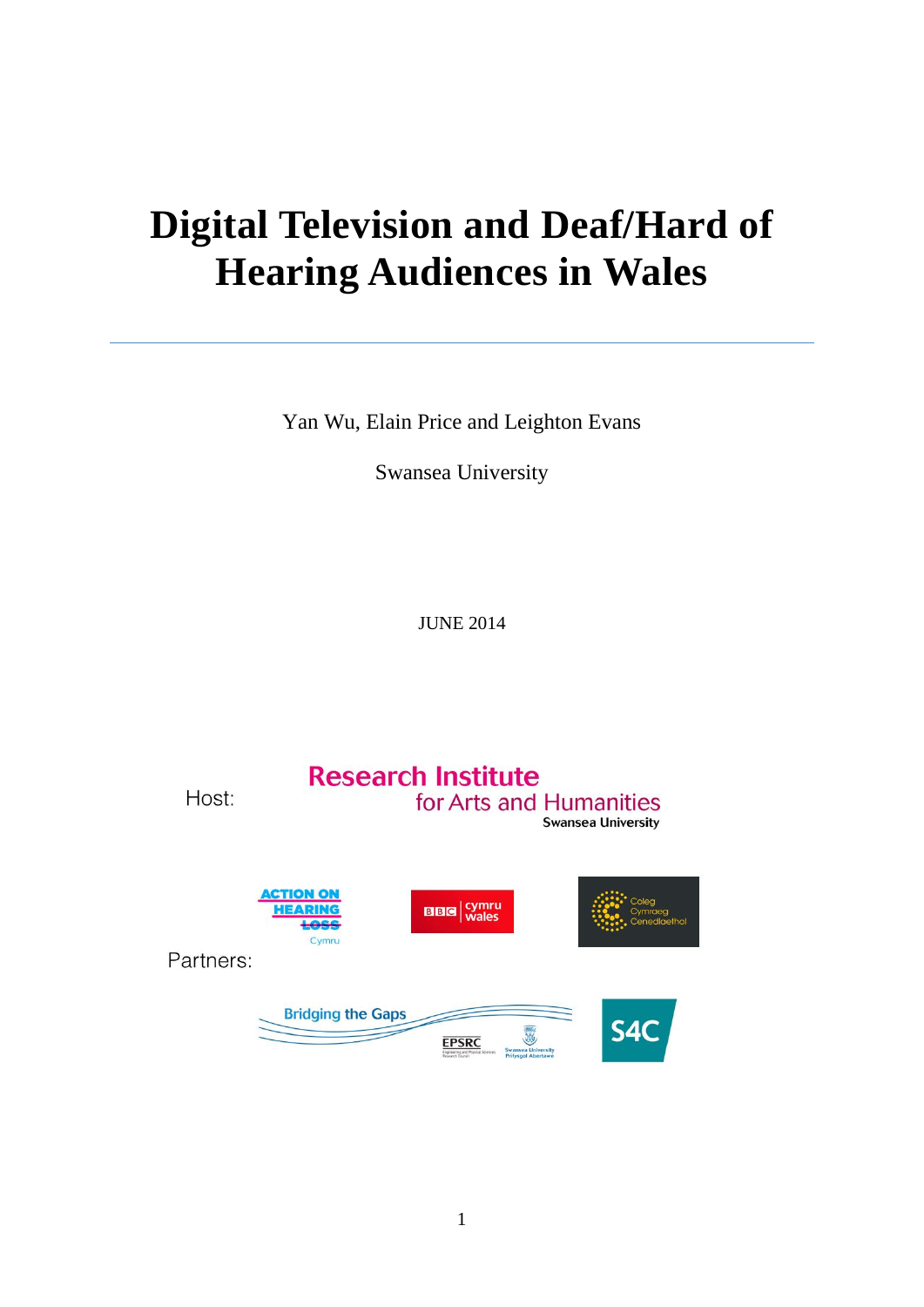# **Digital Television and Deaf/Hard of Hearing Audiences in Wales**

Yan Wu, Elain Price and Leighton Evans

Swansea University

JUNE 2014

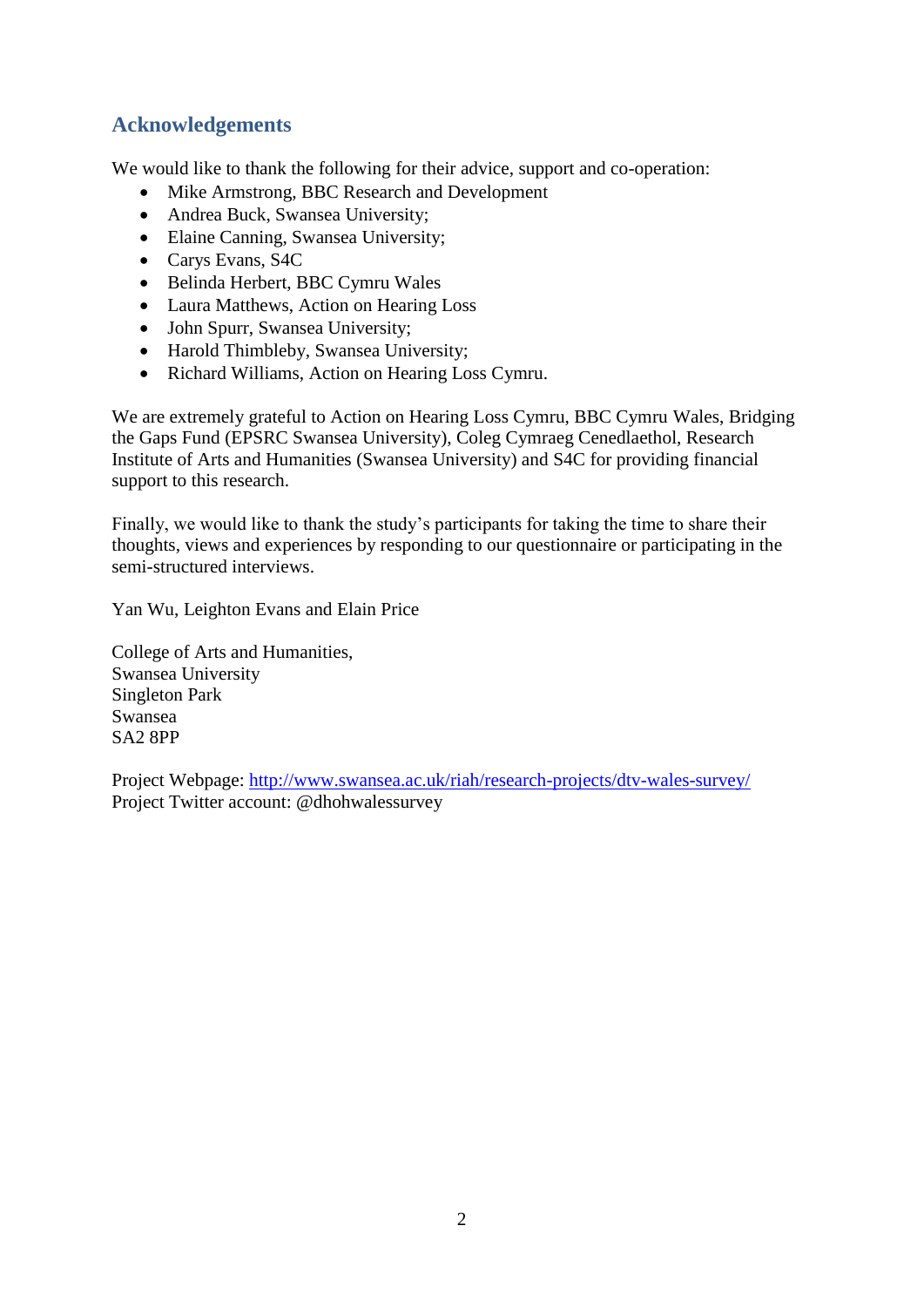## **Acknowledgements**

We would like to thank the following for their advice, support and co-operation:

- Mike Armstrong, BBC Research and Development
- Andrea Buck, Swansea University;
- Elaine Canning, Swansea University;
- Carys Evans, S4C
- Belinda Herbert, BBC Cymru Wales
- Laura Matthews, Action on Hearing Loss
- John Spurr, Swansea University;
- Harold Thimbleby, Swansea University;
- Richard Williams, Action on Hearing Loss Cymru.

We are extremely grateful to Action on Hearing Loss Cymru, BBC Cymru Wales, Bridging the Gaps Fund (EPSRC Swansea University), Coleg Cymraeg Cenedlaethol, Research Institute of Arts and Humanities (Swansea University) and S4C for providing financial support to this research.

Finally, we would like to thank the study's participants for taking the time to share their thoughts, views and experiences by responding to our questionnaire or participating in the semi-structured interviews.

Yan Wu, Leighton Evans and Elain Price

College of Arts and Humanities, Swansea University Singleton Park Swansea SA2 8PP

Project Webpage: <http://www.swansea.ac.uk/riah/research-projects/dtv-wales-survey/> Project Twitter account: @dhohwalessurvey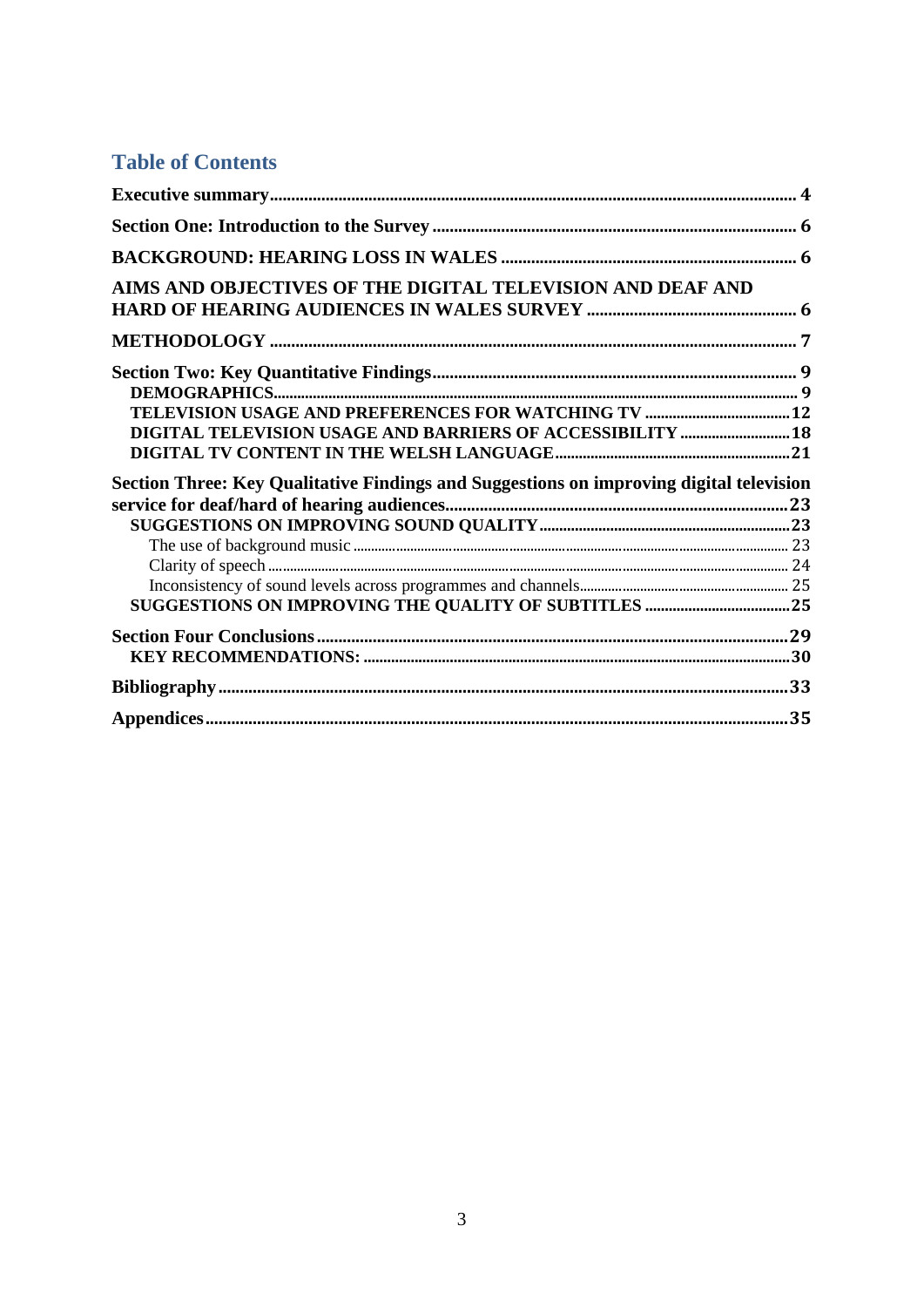## **Table of Contents**

| AIMS AND OBJECTIVES OF THE DIGITAL TELEVISION AND DEAF AND                              |  |
|-----------------------------------------------------------------------------------------|--|
|                                                                                         |  |
|                                                                                         |  |
|                                                                                         |  |
| DIGITAL TELEVISION USAGE AND BARRIERS OF ACCESSIBILITY  18                              |  |
| Section Three: Key Qualitative Findings and Suggestions on improving digital television |  |
|                                                                                         |  |
|                                                                                         |  |
|                                                                                         |  |
|                                                                                         |  |
|                                                                                         |  |
|                                                                                         |  |
|                                                                                         |  |
|                                                                                         |  |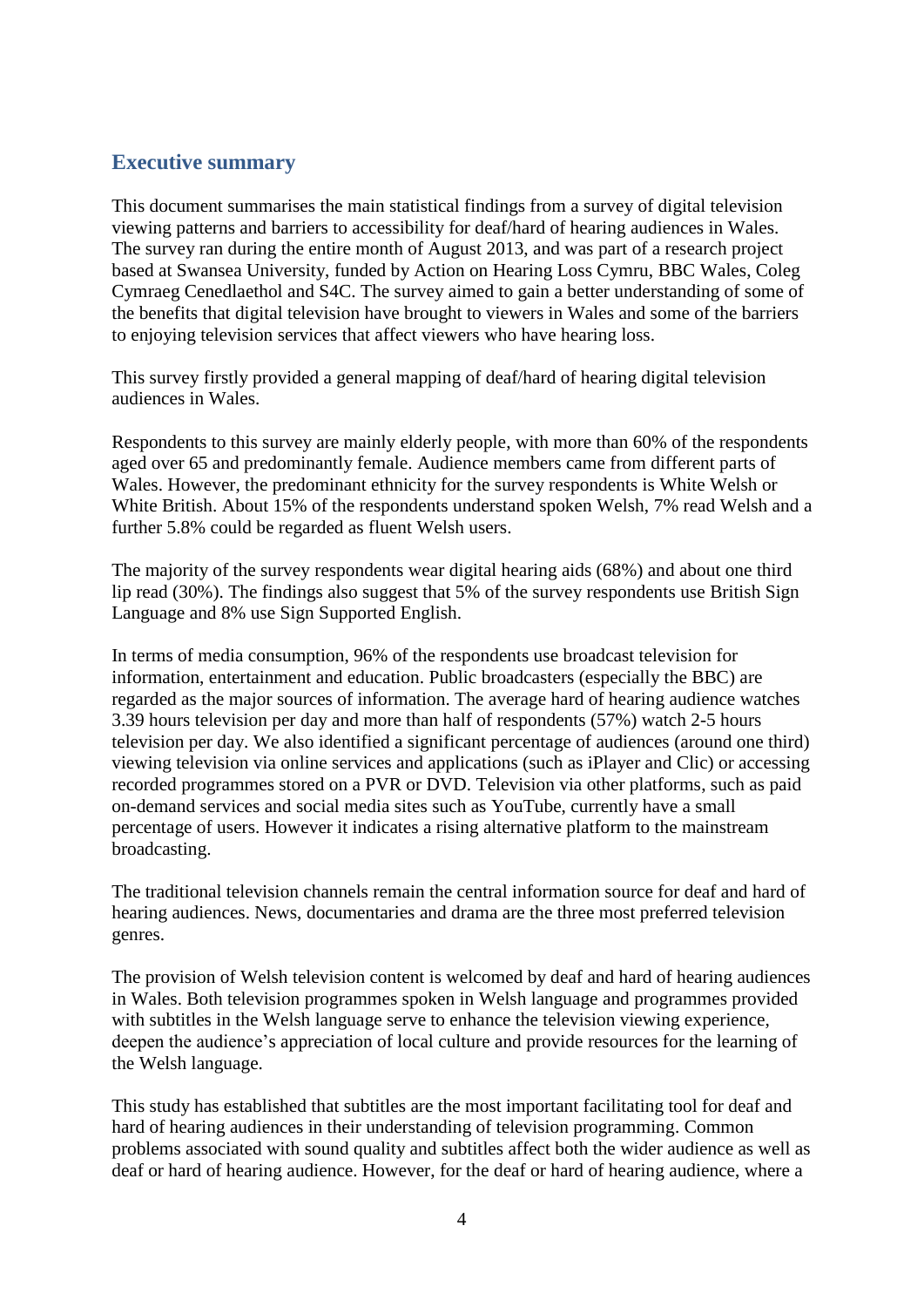## **Executive summary**

This document summarises the main statistical findings from a survey of digital television viewing patterns and barriers to accessibility for deaf/hard of hearing audiences in Wales. The survey ran during the entire month of August 2013, and was part of a research project based at Swansea University, funded by Action on Hearing Loss Cymru, BBC Wales, Coleg Cymraeg Cenedlaethol and S4C. The survey aimed to gain a better understanding of some of the benefits that digital television have brought to viewers in Wales and some of the barriers to enjoying television services that affect viewers who have hearing loss.

This survey firstly provided a general mapping of deaf/hard of hearing digital television audiences in Wales.

Respondents to this survey are mainly elderly people, with more than 60% of the respondents aged over 65 and predominantly female. Audience members came from different parts of Wales. However, the predominant ethnicity for the survey respondents is White Welsh or White British. About 15% of the respondents understand spoken Welsh, 7% read Welsh and a further 5.8% could be regarded as fluent Welsh users.

The majority of the survey respondents wear digital hearing aids (68%) and about one third lip read (30%). The findings also suggest that 5% of the survey respondents use British Sign Language and 8% use Sign Supported English.

In terms of media consumption, 96% of the respondents use broadcast television for information, entertainment and education. Public broadcasters (especially the BBC) are regarded as the major sources of information. The average hard of hearing audience watches 3.39 hours television per day and more than half of respondents (57%) watch 2-5 hours television per day. We also identified a significant percentage of audiences (around one third) viewing television via online services and applications (such as iPlayer and Clic) or accessing recorded programmes stored on a PVR or DVD. Television via other platforms, such as paid on-demand services and social media sites such as YouTube, currently have a small percentage of users. However it indicates a rising alternative platform to the mainstream broadcasting.

The traditional television channels remain the central information source for deaf and hard of hearing audiences. News, documentaries and drama are the three most preferred television genres.

The provision of Welsh television content is welcomed by deaf and hard of hearing audiences in Wales. Both television programmes spoken in Welsh language and programmes provided with subtitles in the Welsh language serve to enhance the television viewing experience, deepen the audience's appreciation of local culture and provide resources for the learning of the Welsh language.

This study has established that subtitles are the most important facilitating tool for deaf and hard of hearing audiences in their understanding of television programming. Common problems associated with sound quality and subtitles affect both the wider audience as well as deaf or hard of hearing audience. However, for the deaf or hard of hearing audience, where a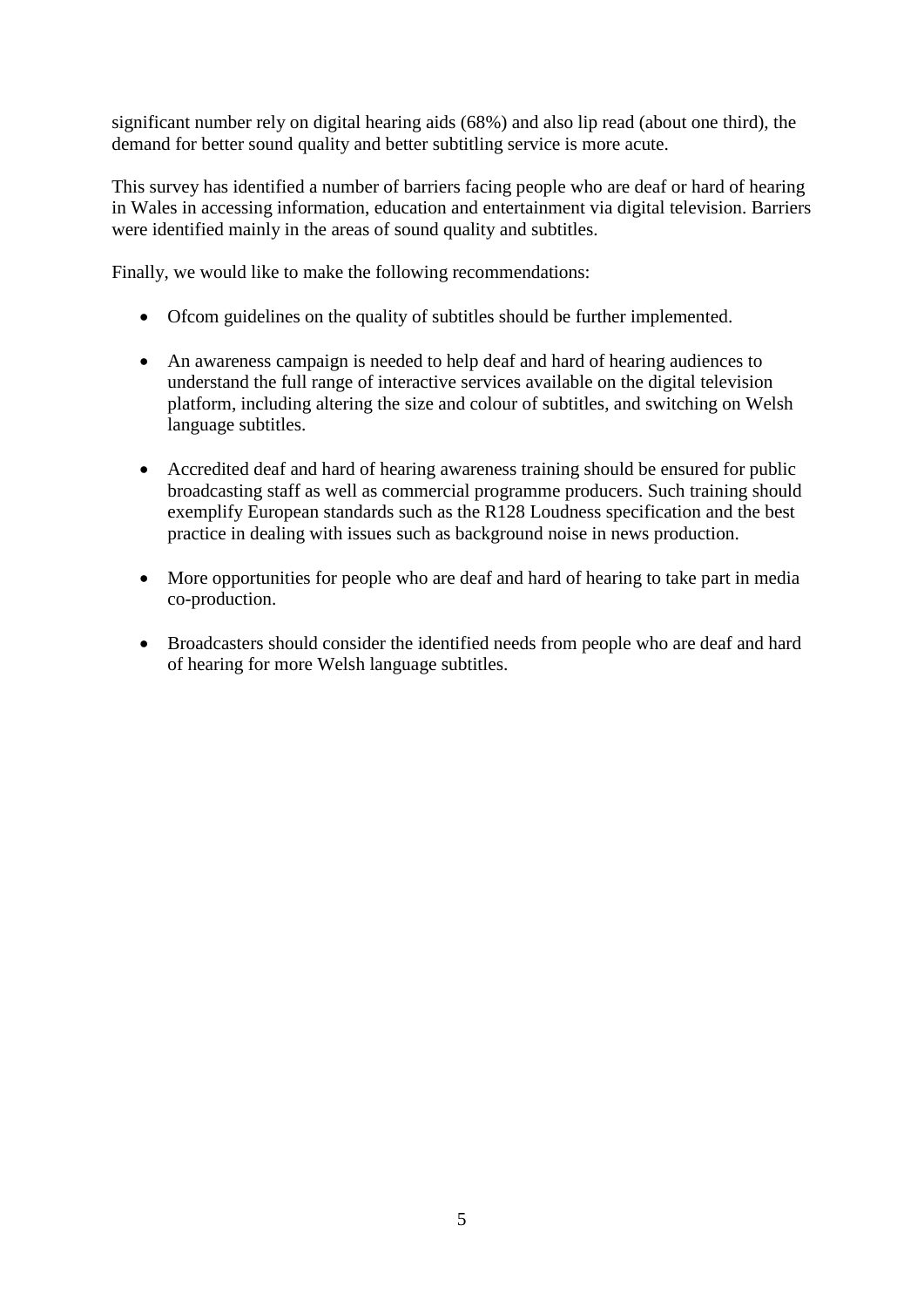significant number rely on digital hearing aids (68%) and also lip read (about one third), the demand for better sound quality and better subtitling service is more acute.

This survey has identified a number of barriers facing people who are deaf or hard of hearing in Wales in accessing information, education and entertainment via digital television. Barriers were identified mainly in the areas of sound quality and subtitles.

Finally, we would like to make the following recommendations:

- Ofcom guidelines on the quality of subtitles should be further implemented.
- An awareness campaign is needed to help deaf and hard of hearing audiences to understand the full range of interactive services available on the digital television platform, including altering the size and colour of subtitles, and switching on Welsh language subtitles.
- Accredited deaf and hard of hearing awareness training should be ensured for public broadcasting staff as well as commercial programme producers. Such training should exemplify European standards such as the R128 Loudness specification and the best practice in dealing with issues such as background noise in news production.
- More opportunities for people who are deaf and hard of hearing to take part in media co-production.
- Broadcasters should consider the identified needs from people who are deaf and hard of hearing for more Welsh language subtitles.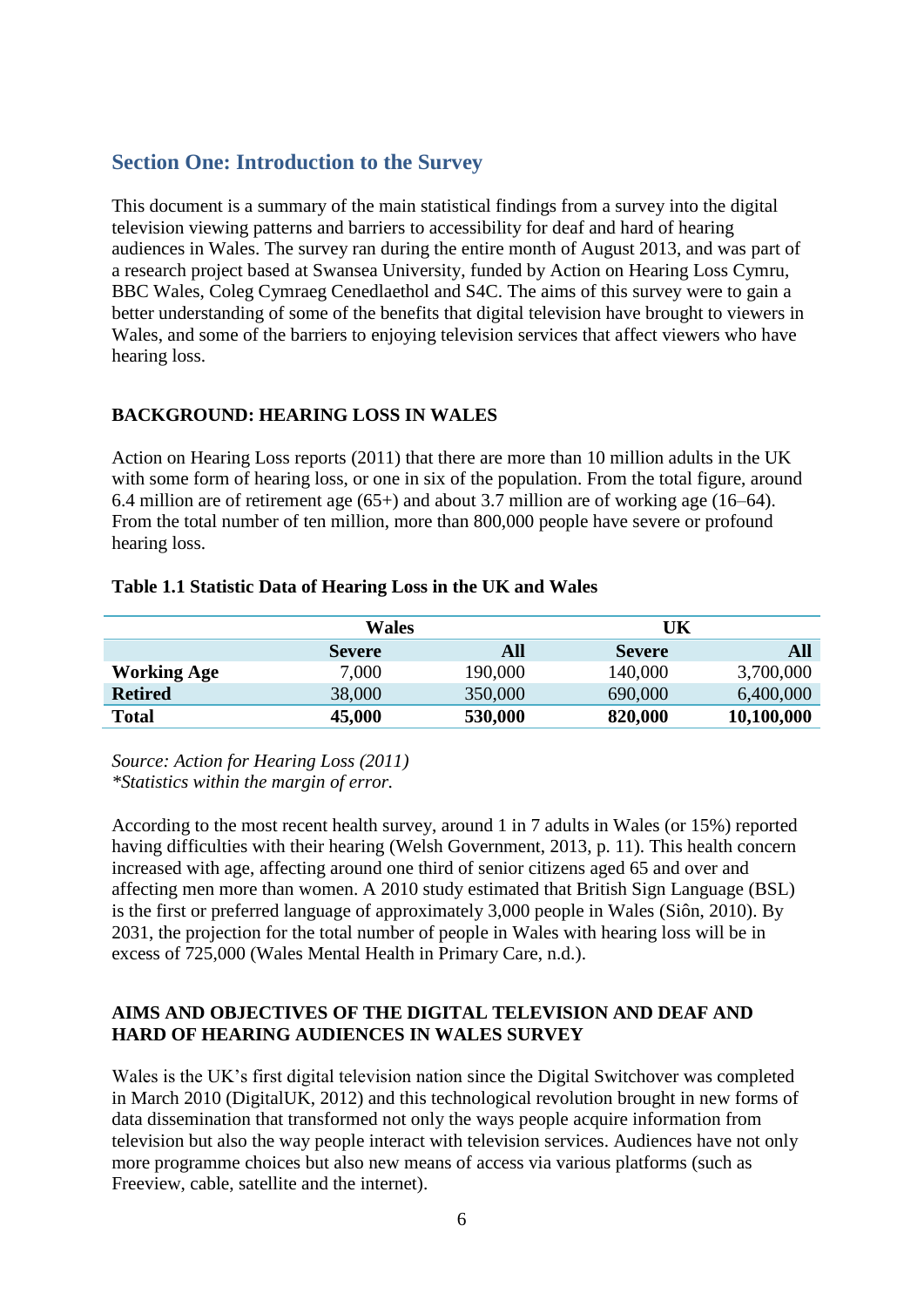## **Section One: Introduction to the Survey**

This document is a summary of the main statistical findings from a survey into the digital television viewing patterns and barriers to accessibility for deaf and hard of hearing audiences in Wales. The survey ran during the entire month of August 2013, and was part of a research project based at Swansea University, funded by Action on Hearing Loss Cymru, BBC Wales, Coleg Cymraeg Cenedlaethol and S4C. The aims of this survey were to gain a better understanding of some of the benefits that digital television have brought to viewers in Wales, and some of the barriers to enjoying television services that affect viewers who have hearing loss.

## **BACKGROUND: HEARING LOSS IN WALES**

Action on Hearing Loss reports (2011) that there are more than 10 million adults in the UK with some form of hearing loss, or one in six of the population. From the total figure, around 6.4 million are of retirement age (65+) and about 3.7 million are of working age (16–64). From the total number of ten million, more than 800,000 people have severe or profound hearing loss.

#### **Table 1.1 Statistic Data of Hearing Loss in the UK and Wales**

|                    | <b>Wales</b>  |         | UK            |            |
|--------------------|---------------|---------|---------------|------------|
|                    | <b>Severe</b> | All     | <b>Severe</b> | All        |
| <b>Working Age</b> | 7,000         | 190,000 | 140,000       | 3,700,000  |
| <b>Retired</b>     | 38,000        | 350,000 | 690,000       | 6,400,000  |
| <b>Total</b>       | 45,000        | 530,000 | 820,000       | 10,100,000 |

*Source: Action for Hearing Loss (2011) \*Statistics within the margin of error.*

According to the most recent health survey, around 1 in 7 adults in Wales (or 15%) reported having difficulties with their hearing (Welsh Government, 2013, p. 11). This health concern increased with age, affecting around one third of senior citizens aged 65 and over and affecting men more than women. A 2010 study estimated that British Sign Language (BSL) is the first or preferred language of approximately 3,000 people in Wales (Siôn, 2010). By 2031, the projection for the total number of people in Wales with hearing loss will be in excess of 725,000 (Wales Mental Health in Primary Care, n.d.).

## **AIMS AND OBJECTIVES OF THE DIGITAL TELEVISION AND DEAF AND HARD OF HEARING AUDIENCES IN WALES SURVEY**

Wales is the UK's first digital television nation since the Digital Switchover was completed in March 2010 (DigitalUK, 2012) and this technological revolution brought in new forms of data dissemination that transformed not only the ways people acquire information from television but also the way people interact with television services. Audiences have not only more programme choices but also new means of access via various platforms (such as Freeview, cable, satellite and the internet).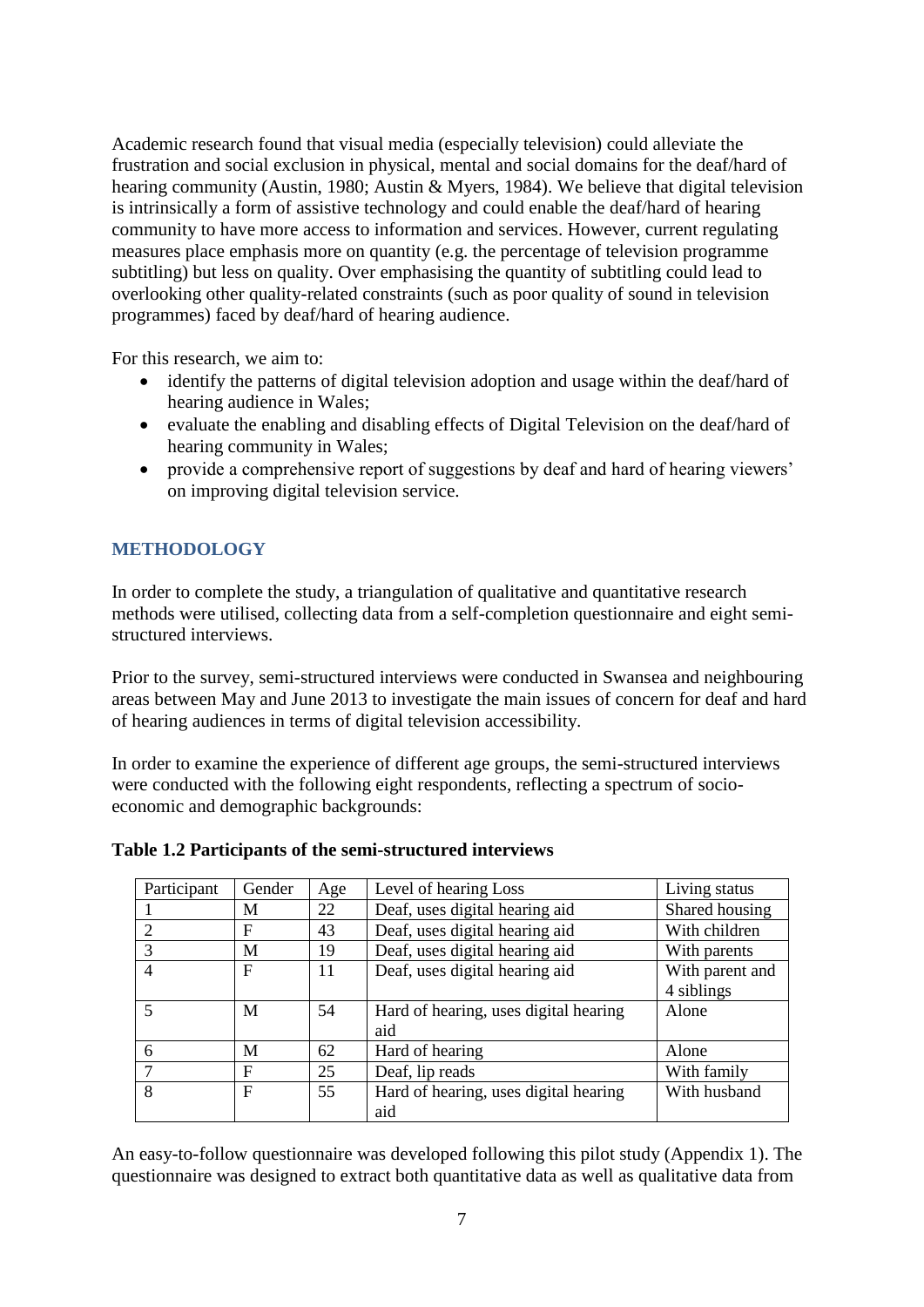Academic research found that visual media (especially television) could alleviate the frustration and social exclusion in physical, mental and social domains for the deaf/hard of hearing community (Austin, 1980; Austin & Myers, 1984). We believe that digital television is intrinsically a form of assistive technology and could enable the deaf/hard of hearing community to have more access to information and services. However, current regulating measures place emphasis more on quantity (e.g. the percentage of television programme subtitling) but less on quality. Over emphasising the quantity of subtitling could lead to overlooking other quality-related constraints (such as poor quality of sound in television programmes) faced by deaf/hard of hearing audience.

For this research, we aim to:

- identify the patterns of digital television adoption and usage within the deaf/hard of hearing audience in Wales;
- evaluate the enabling and disabling effects of Digital Television on the deaf/hard of hearing community in Wales;
- provide a comprehensive report of suggestions by deaf and hard of hearing viewers' on improving digital television service.

## **METHODOLOGY**

In order to complete the study, a triangulation of qualitative and quantitative research methods were utilised, collecting data from a self-completion questionnaire and eight semistructured interviews.

Prior to the survey, semi-structured interviews were conducted in Swansea and neighbouring areas between May and June 2013 to investigate the main issues of concern for deaf and hard of hearing audiences in terms of digital television accessibility.

In order to examine the experience of different age groups, the semi-structured interviews were conducted with the following eight respondents, reflecting a spectrum of socioeconomic and demographic backgrounds:

| Participant    | Gender       | Age | Level of hearing Loss                 | Living status   |
|----------------|--------------|-----|---------------------------------------|-----------------|
|                | M            | 22  | Deaf, uses digital hearing aid        | Shared housing  |
| 2              | F            | 43  | Deaf, uses digital hearing aid        | With children   |
| 3              | M            | 19  | Deaf, uses digital hearing aid        | With parents    |
| $\overline{4}$ | F            | 11  | Deaf, uses digital hearing aid        | With parent and |
|                |              |     |                                       | 4 siblings      |
|                | M            | 54  | Hard of hearing, uses digital hearing | Alone           |
|                |              |     | aid                                   |                 |
| 6              | M            | 62  | Hard of hearing                       | Alone           |
|                | $\mathbf F$  | 25  | Deaf, lip reads                       | With family     |
| 8              | $\mathbf{F}$ | 55  | Hard of hearing, uses digital hearing | With husband    |
|                |              |     | aid                                   |                 |

## **Table 1.2 Participants of the semi-structured interviews**

An easy-to-follow questionnaire was developed following this pilot study (Appendix 1). The questionnaire was designed to extract both quantitative data as well as qualitative data from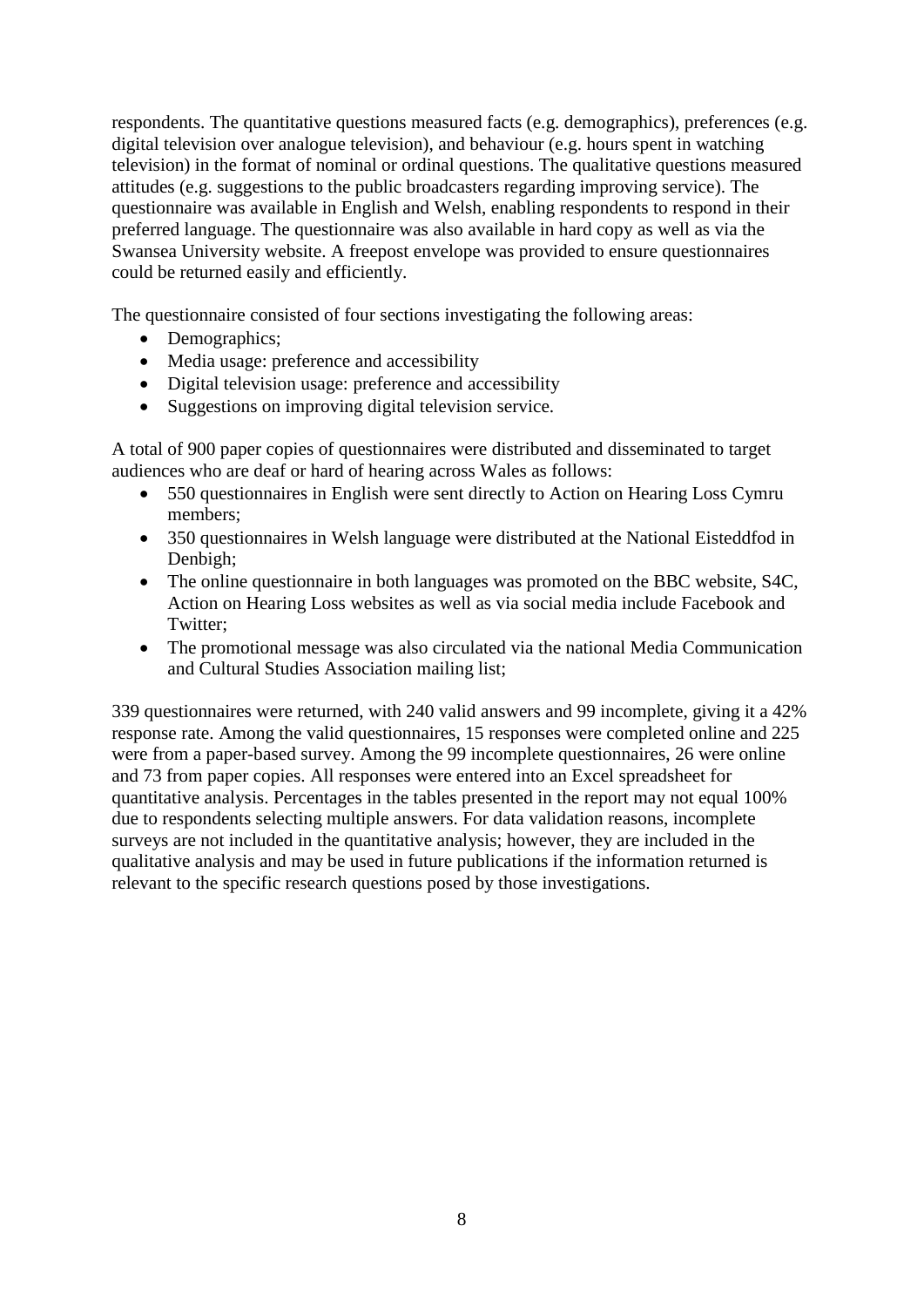respondents. The quantitative questions measured facts (e.g. demographics), preferences (e.g. digital television over analogue television), and behaviour (e.g. hours spent in watching television) in the format of nominal or ordinal questions. The qualitative questions measured attitudes (e.g. suggestions to the public broadcasters regarding improving service). The questionnaire was available in English and Welsh, enabling respondents to respond in their preferred language. The questionnaire was also available in hard copy as well as via the Swansea University website. A freepost envelope was provided to ensure questionnaires could be returned easily and efficiently.

The questionnaire consisted of four sections investigating the following areas:

- Demographics;
- Media usage: preference and accessibility
- Digital television usage: preference and accessibility
- Suggestions on improving digital television service.

A total of 900 paper copies of questionnaires were distributed and disseminated to target audiences who are deaf or hard of hearing across Wales as follows:

- 550 questionnaires in English were sent directly to Action on Hearing Loss Cymru members;
- 350 questionnaires in Welsh language were distributed at the National Eisteddfod in Denbigh;
- The online questionnaire in both languages was promoted on the BBC website, S4C, Action on Hearing Loss websites as well as via social media include Facebook and Twitter:
- The promotional message was also circulated via the national Media Communication and Cultural Studies Association mailing list;

339 questionnaires were returned, with 240 valid answers and 99 incomplete, giving it a 42% response rate. Among the valid questionnaires, 15 responses were completed online and 225 were from a paper-based survey. Among the 99 incomplete questionnaires, 26 were online and 73 from paper copies. All responses were entered into an Excel spreadsheet for quantitative analysis. Percentages in the tables presented in the report may not equal 100% due to respondents selecting multiple answers. For data validation reasons, incomplete surveys are not included in the quantitative analysis; however, they are included in the qualitative analysis and may be used in future publications if the information returned is relevant to the specific research questions posed by those investigations.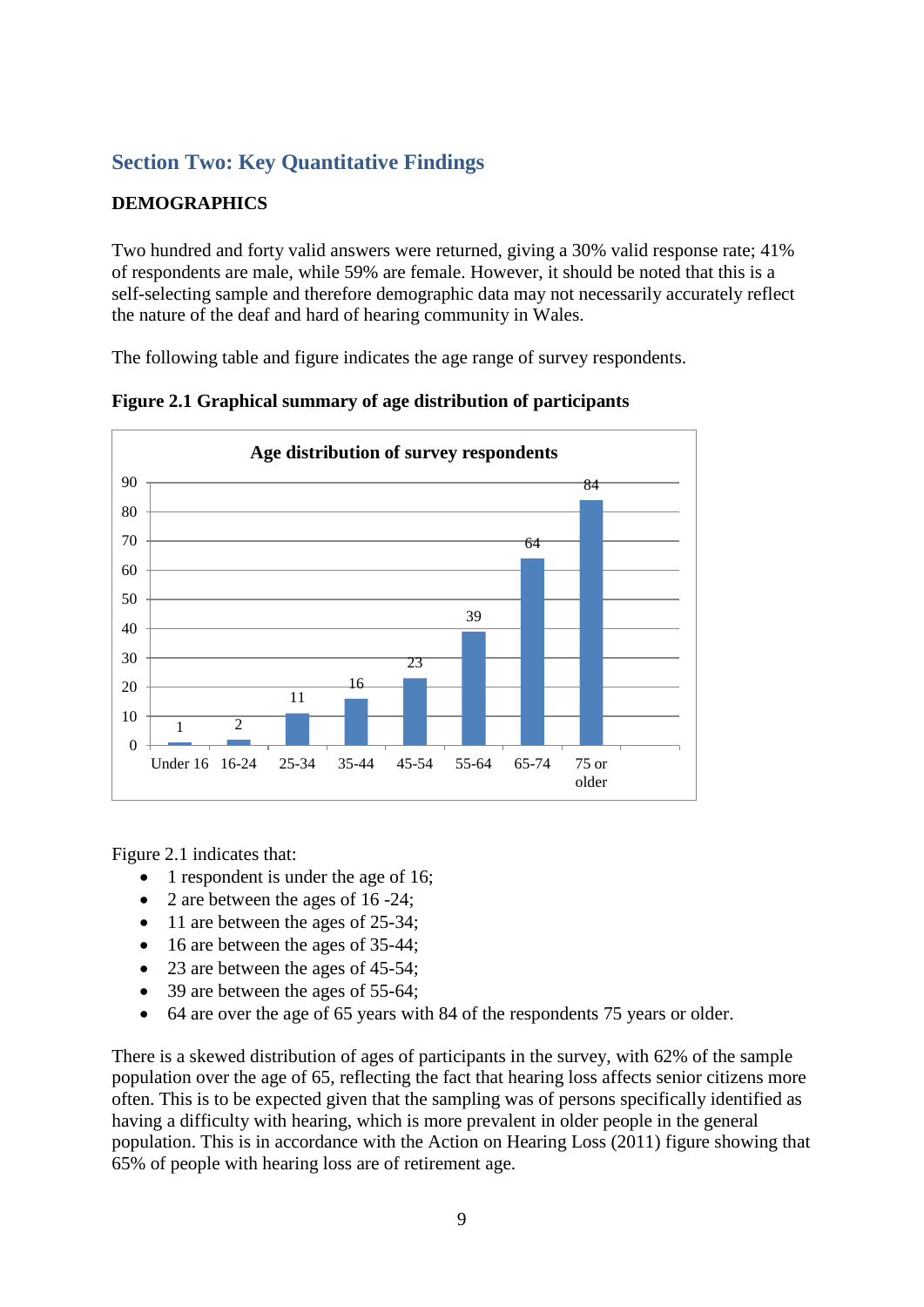## **Section Two: Key Quantitative Findings**

## **DEMOGRAPHICS**

Two hundred and forty valid answers were returned, giving a 30% valid response rate; 41% of respondents are male, while 59% are female. However, it should be noted that this is a self-selecting sample and therefore demographic data may not necessarily accurately reflect the nature of the deaf and hard of hearing community in Wales.

The following table and figure indicates the age range of survey respondents.



**Figure 2.1 Graphical summary of age distribution of participants**

Figure 2.1 indicates that:

- 1 respondent is under the age of 16;
- 2 are between the ages of 16 -24;
- 11 are between the ages of 25-34;
- 16 are between the ages of 35-44;
- 23 are between the ages of 45-54;
- 39 are between the ages of 55-64;
- 64 are over the age of 65 years with 84 of the respondents 75 years or older.

There is a skewed distribution of ages of participants in the survey, with 62% of the sample population over the age of 65, reflecting the fact that hearing loss affects senior citizens more often. This is to be expected given that the sampling was of persons specifically identified as having a difficulty with hearing, which is more prevalent in older people in the general population. This is in accordance with the Action on Hearing Loss (2011) figure showing that 65% of people with hearing loss are of retirement age.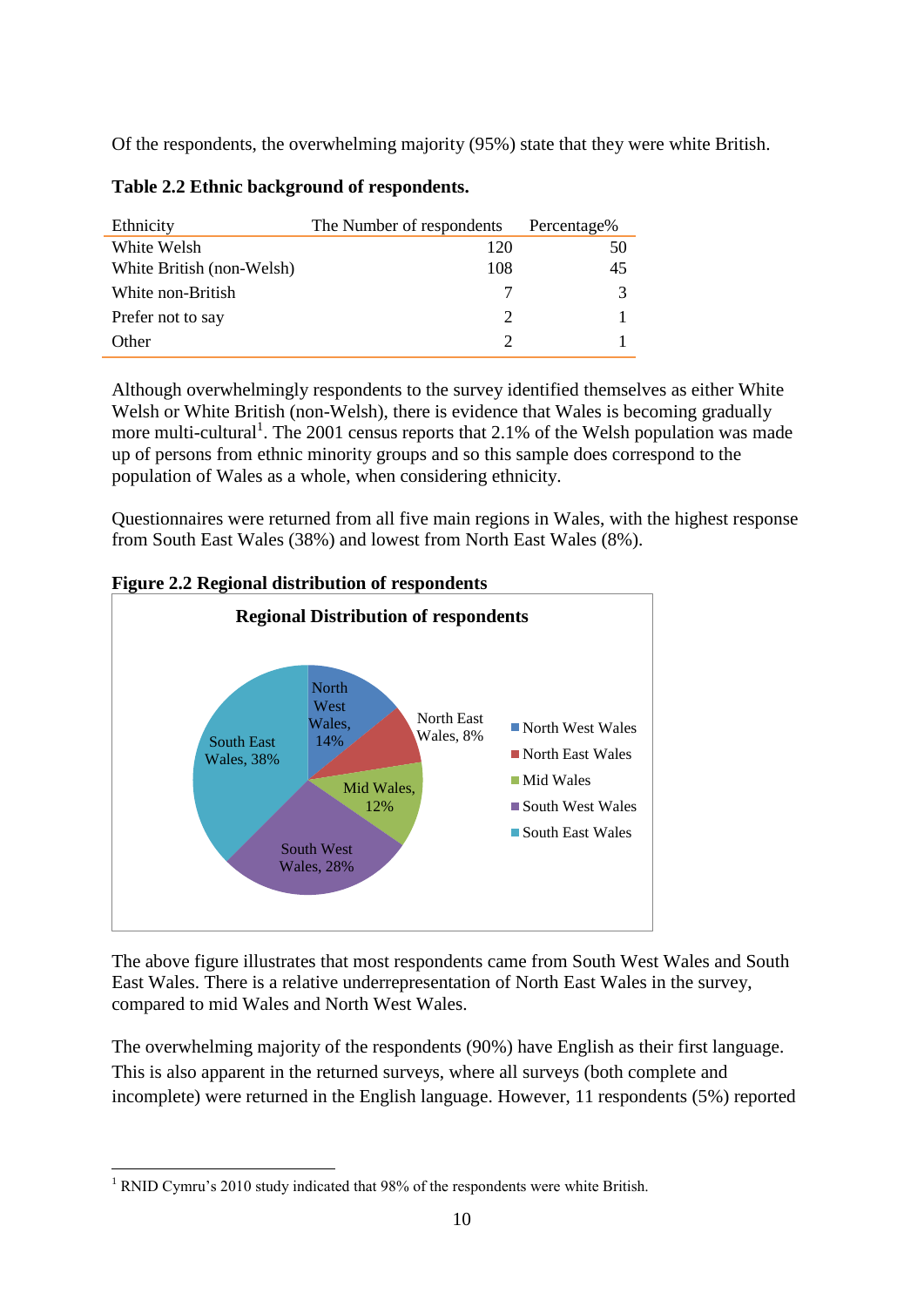Of the respondents, the overwhelming majority (95%) state that they were white British.

| Ethnicity                 | The Number of respondents | Percentage% |
|---------------------------|---------------------------|-------------|
| White Welsh               | 120                       | 50          |
| White British (non-Welsh) | 108                       | 45          |
| White non-British         |                           | 3           |
| Prefer not to say         | $\mathcal{D}$             |             |
| Other                     | 2                         |             |

**Table 2.2 Ethnic background of respondents.** 

Although overwhelmingly respondents to the survey identified themselves as either White Welsh or White British (non-Welsh), there is evidence that Wales is becoming gradually more multi-cultural<sup>1</sup>. The 2001 census reports that 2.1% of the Welsh population was made up of persons from ethnic minority groups and so this sample does correspond to the population of Wales as a whole, when considering ethnicity.

Questionnaires were returned from all five main regions in Wales, with the highest response from South East Wales (38%) and lowest from North East Wales (8%).



**Figure 2.2 Regional distribution of respondents**

The above figure illustrates that most respondents came from South West Wales and South East Wales. There is a relative underrepresentation of North East Wales in the survey, compared to mid Wales and North West Wales.

The overwhelming majority of the respondents (90%) have English as their first language. This is also apparent in the returned surveys, where all surveys (both complete and incomplete) were returned in the English language. However, 11 respondents (5%) reported

<sup>&</sup>lt;u>.</u> <sup>1</sup> RNID Cymru's 2010 study indicated that 98% of the respondents were white British.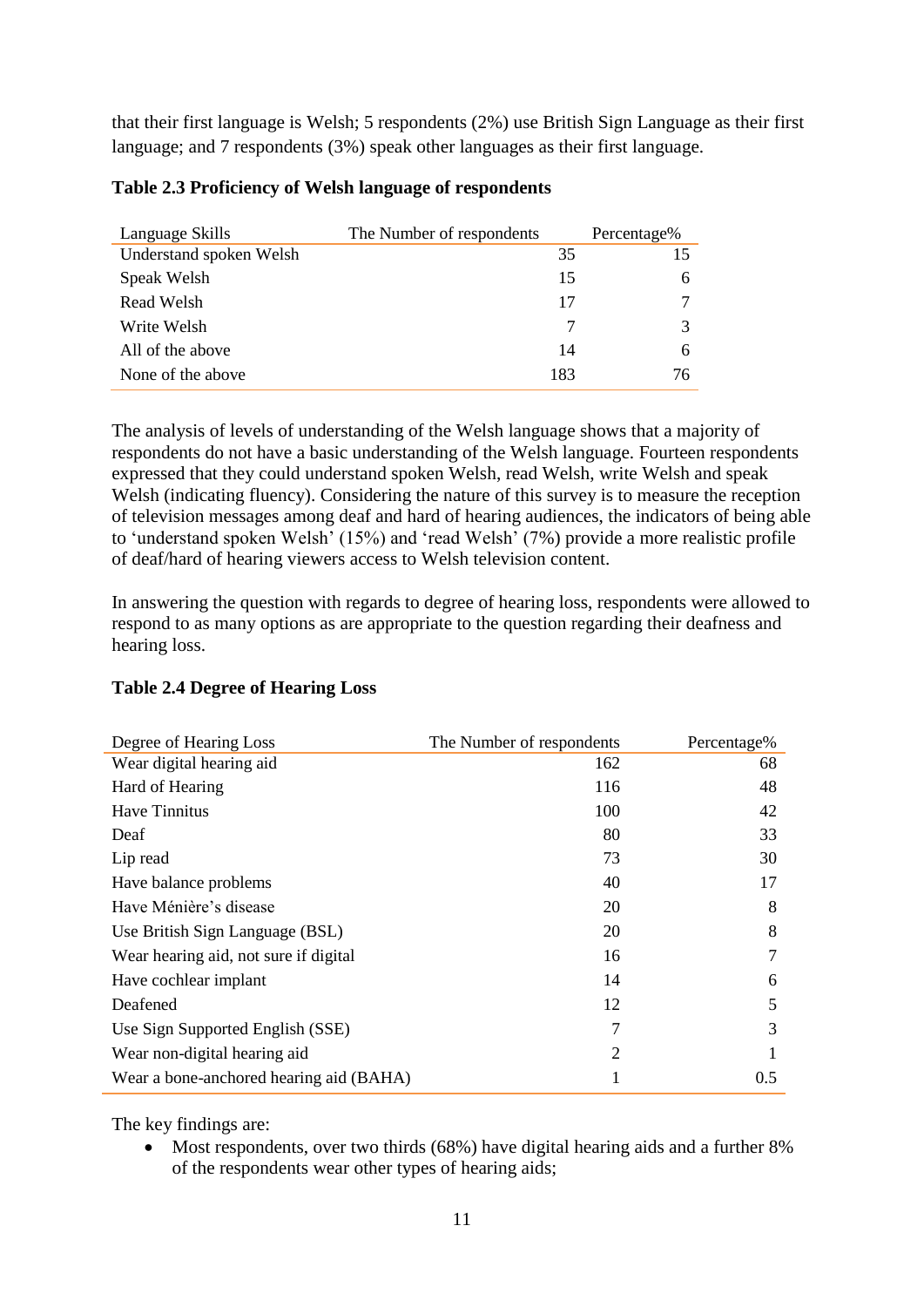that their first language is Welsh; 5 respondents (2%) use British Sign Language as their first language; and 7 respondents (3%) speak other languages as their first language.

| Language Skills         | The Number of respondents |     | Percentage% |
|-------------------------|---------------------------|-----|-------------|
| Understand spoken Welsh |                           | 35  | 15          |
| Speak Welsh             |                           | 15  | 6           |
| Read Welsh              |                           | 17  |             |
| Write Welsh             |                           | 7   | 3           |
| All of the above        |                           | 14  | 6           |
| None of the above       |                           | 183 | 76          |

#### **Table 2.3 Proficiency of Welsh language of respondents**

The analysis of levels of understanding of the Welsh language shows that a majority of respondents do not have a basic understanding of the Welsh language. Fourteen respondents expressed that they could understand spoken Welsh, read Welsh, write Welsh and speak Welsh (indicating fluency). Considering the nature of this survey is to measure the reception of television messages among deaf and hard of hearing audiences, the indicators of being able to 'understand spoken Welsh' (15%) and 'read Welsh' (7%) provide a more realistic profile of deaf/hard of hearing viewers access to Welsh television content.

In answering the question with regards to degree of hearing loss, respondents were allowed to respond to as many options as are appropriate to the question regarding their deafness and hearing loss.

|  |  |  | <b>Table 2.4 Degree of Hearing Loss</b> |  |
|--|--|--|-----------------------------------------|--|
|--|--|--|-----------------------------------------|--|

| Degree of Hearing Loss                  | The Number of respondents | Percentage% |
|-----------------------------------------|---------------------------|-------------|
| Wear digital hearing aid                | 162                       | 68          |
| Hard of Hearing                         | 116                       | 48          |
| Have Tinnitus                           | 100                       | 42          |
| Deaf                                    | 80                        | 33          |
| Lip read                                | 73                        | 30          |
| Have balance problems                   | 40                        | 17          |
| Have Ménière's disease                  | 20                        | 8           |
| Use British Sign Language (BSL)         | 20                        | 8           |
| Wear hearing aid, not sure if digital   | 16                        | 7           |
| Have cochlear implant                   | 14                        | 6           |
| Deafened                                | 12                        | 5           |
| Use Sign Supported English (SSE)        | 7                         | 3           |
| Wear non-digital hearing aid            | 2                         |             |
| Wear a bone-anchored hearing aid (BAHA) | 1                         | 0.5         |

The key findings are:

 Most respondents, over two thirds (68%) have digital hearing aids and a further 8% of the respondents wear other types of hearing aids;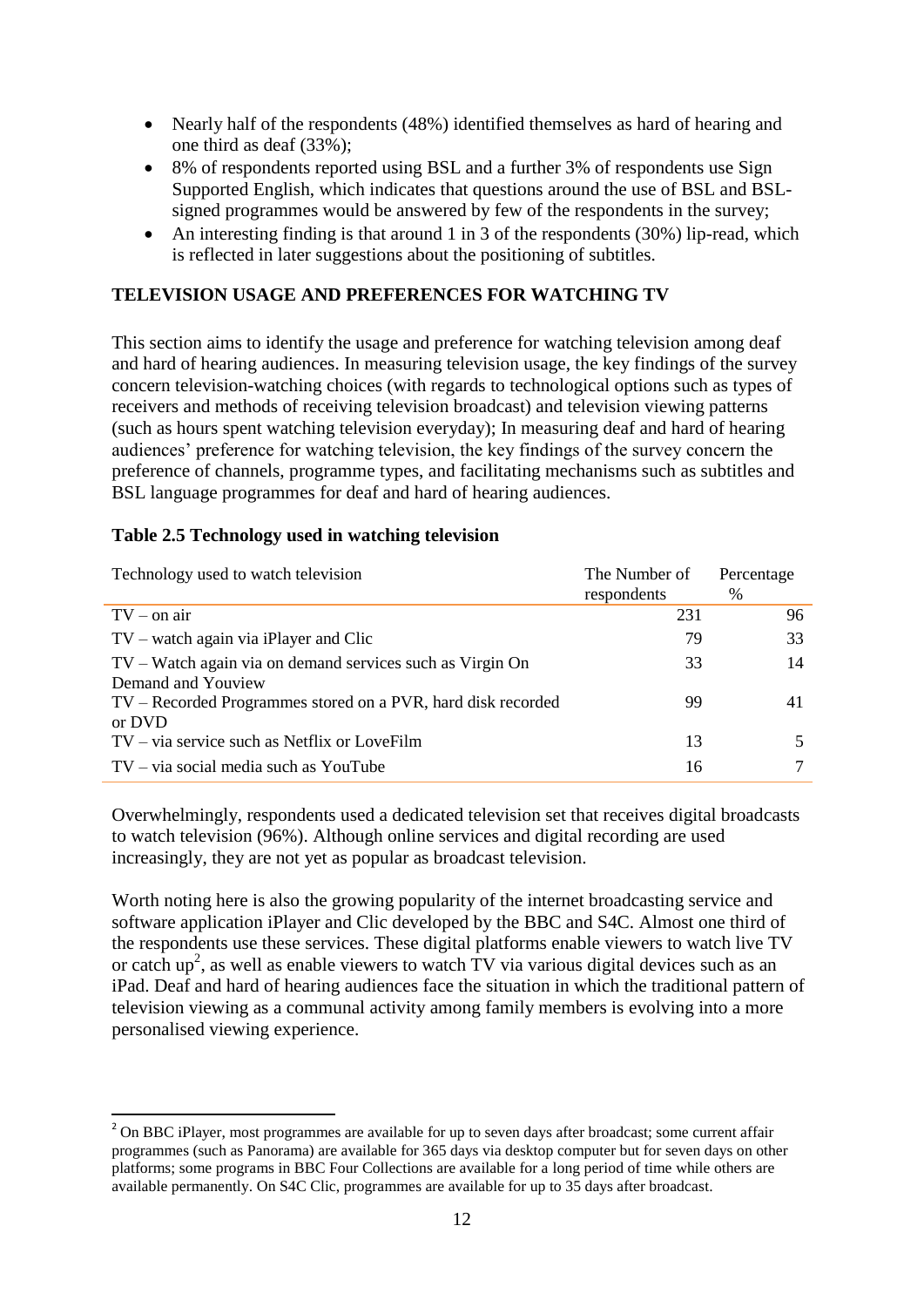- Nearly half of the respondents (48%) identified themselves as hard of hearing and one third as deaf (33%);
- 8% of respondents reported using BSL and a further 3% of respondents use Sign Supported English, which indicates that questions around the use of BSL and BSLsigned programmes would be answered by few of the respondents in the survey;
- An interesting finding is that around 1 in 3 of the respondents  $(30\%)$  lip-read, which is reflected in later suggestions about the positioning of subtitles.

#### **TELEVISION USAGE AND PREFERENCES FOR WATCHING TV**

This section aims to identify the usage and preference for watching television among deaf and hard of hearing audiences. In measuring television usage, the key findings of the survey concern television-watching choices (with regards to technological options such as types of receivers and methods of receiving television broadcast) and television viewing patterns (such as hours spent watching television everyday); In measuring deaf and hard of hearing audiences' preference for watching television, the key findings of the survey concern the preference of channels, programme types, and facilitating mechanisms such as subtitles and BSL language programmes for deaf and hard of hearing audiences.

#### **Table 2.5 Technology used in watching television**

<u>.</u>

| Technology used to watch television                          | The Number of | Percentage |
|--------------------------------------------------------------|---------------|------------|
|                                                              | respondents   | $\%$       |
| $TV - on$ air                                                | 231           | 96         |
| $TV$ – watch again via iPlayer and Clic                      | 79            | 33         |
| TV – Watch again via on demand services such as Virgin On    | 33            | 14         |
| Demand and Youview                                           |               |            |
| TV – Recorded Programmes stored on a PVR, hard disk recorded | 99            | 41         |
| or DVD                                                       |               |            |
| TV – via service such as Netflix or LoveFilm                 | 13            |            |
| $TV - via social media such as YouTube$                      | 16            |            |

Overwhelmingly, respondents used a dedicated television set that receives digital broadcasts to watch television (96%). Although online services and digital recording are used increasingly, they are not yet as popular as broadcast television.

Worth noting here is also the growing popularity of the internet broadcasting service and software application iPlayer and Clic developed by the BBC and S4C. Almost one third of the respondents use these services. These digital platforms enable viewers to watch live TV or catch up<sup>2</sup>, as well as enable viewers to watch TV via various digital devices such as an iPad. Deaf and hard of hearing audiences face the situation in which the traditional pattern of television viewing as a communal activity among family members is evolving into a more personalised viewing experience.

<sup>&</sup>lt;sup>2</sup> On BBC iPlayer, most programmes are available for up to seven days after broadcast; some current affair programmes (such as Panorama) are available for 365 days via desktop computer but for seven days on other platforms; some programs in BBC Four Collections are available for a long period of time while others are available permanently. On S4C Clic, programmes are available for up to 35 days after broadcast.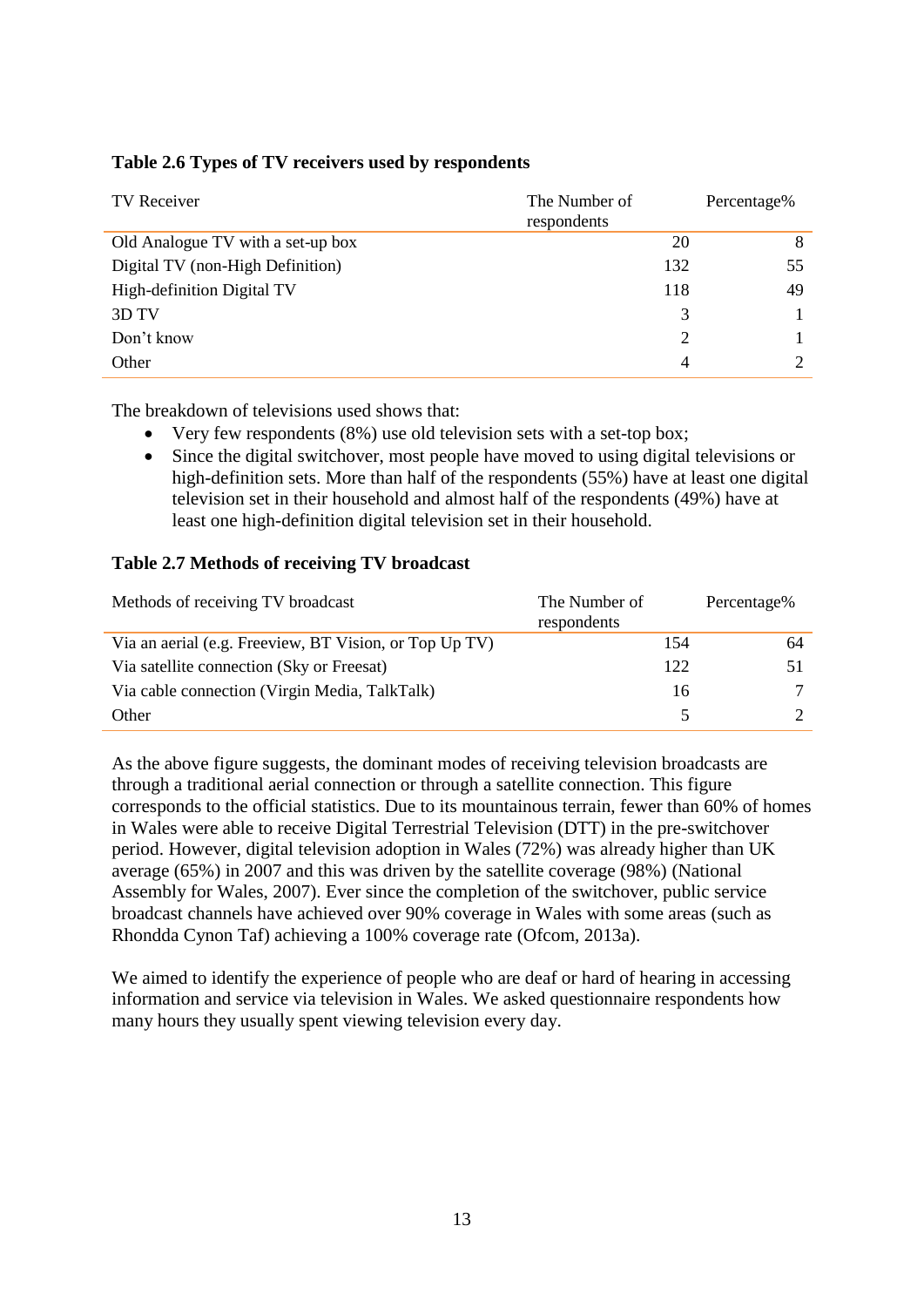| TV Receiver                       | The Number of<br>respondents | Percentage% |
|-----------------------------------|------------------------------|-------------|
| Old Analogue TV with a set-up box | 20                           | 8           |
| Digital TV (non-High Definition)  | 132                          | 55          |
| High-definition Digital TV        | 118                          | 49          |
| 3D TV                             | 3                            |             |
| Don't know                        | 2                            |             |
| Other                             | 4                            |             |

## **Table 2.6 Types of TV receivers used by respondents**

The breakdown of televisions used shows that:

- Very few respondents (8%) use old television sets with a set-top box;
- Since the digital switchover, most people have moved to using digital televisions or high-definition sets. More than half of the respondents (55%) have at least one digital television set in their household and almost half of the respondents (49%) have at least one high-definition digital television set in their household.

## **Table 2.7 Methods of receiving TV broadcast**

| Methods of receiving TV broadcast                      | The Number of<br>respondents |     | Percentage% |
|--------------------------------------------------------|------------------------------|-----|-------------|
| Via an aerial (e.g. Freeview, BT Vision, or Top Up TV) |                              | 154 | 64          |
| Via satellite connection (Sky or Freesat)              |                              | 122 | 51          |
| Via cable connection (Virgin Media, TalkTalk)          |                              | 16  |             |
| Other                                                  |                              |     |             |

As the above figure suggests, the dominant modes of receiving television broadcasts are through a traditional aerial connection or through a satellite connection. This figure corresponds to the official statistics. Due to its mountainous terrain, fewer than 60% of homes in Wales were able to receive Digital Terrestrial Television (DTT) in the pre-switchover period. However, digital television adoption in Wales (72%) was already higher than UK average (65%) in 2007 and this was driven by the satellite coverage (98%) (National Assembly for Wales, 2007). Ever since the completion of the switchover, public service broadcast channels have achieved over 90% coverage in Wales with some areas (such as Rhondda Cynon Taf) achieving a 100% coverage rate (Ofcom, 2013a).

We aimed to identify the experience of people who are deaf or hard of hearing in accessing information and service via television in Wales. We asked questionnaire respondents how many hours they usually spent viewing television every day.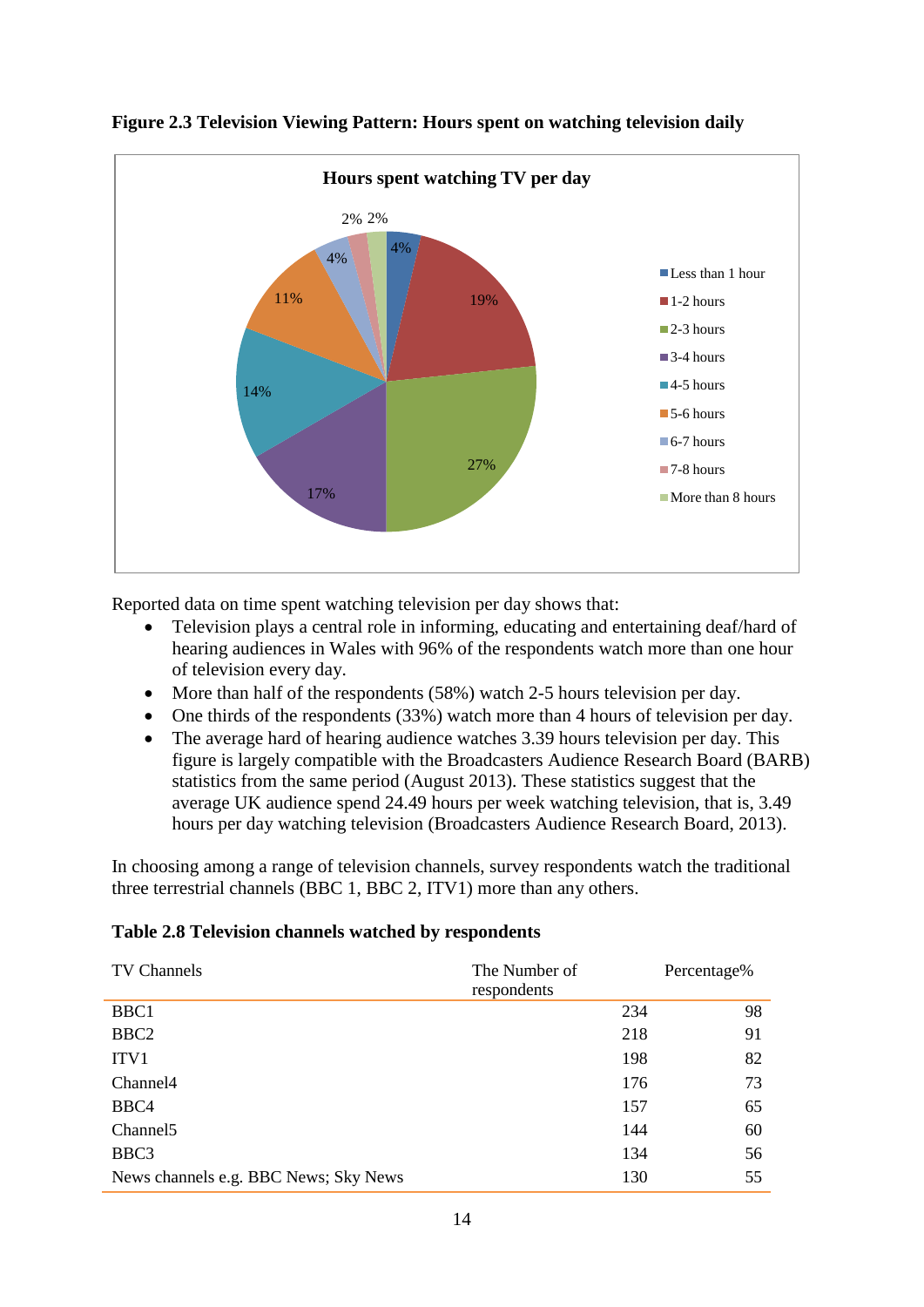



Reported data on time spent watching television per day shows that:

- Television plays a central role in informing, educating and entertaining deaf/hard of hearing audiences in Wales with 96% of the respondents watch more than one hour of television every day.
- More than half of the respondents (58%) watch 2-5 hours television per day.
- One thirds of the respondents (33%) watch more than 4 hours of television per day.
- The average hard of hearing audience watches 3.39 hours television per day. This figure is largely compatible with the Broadcasters Audience Research Board (BARB) statistics from the same period (August 2013). These statistics suggest that the average UK audience spend 24.49 hours per week watching television, that is, 3.49 hours per day watching television (Broadcasters Audience Research Board, 2013).

In choosing among a range of television channels, survey respondents watch the traditional three terrestrial channels (BBC 1, BBC 2, ITV1) more than any others.

#### **Table 2.8 Television channels watched by respondents**

| TV Channels                           | The Number of<br>respondents | Percentage% |
|---------------------------------------|------------------------------|-------------|
| BBC1                                  | 234                          | 98          |
| BBC <sub>2</sub>                      | 218                          | 91          |
| ITV1                                  | 198                          | 82          |
| Channel <sup>4</sup>                  | 176                          | 73          |
| BBC4                                  | 157                          | 65          |
| Channel <sub>5</sub>                  | 144                          | 60          |
| BBC3                                  | 134                          | 56          |
| News channels e.g. BBC News; Sky News | 130                          | 55          |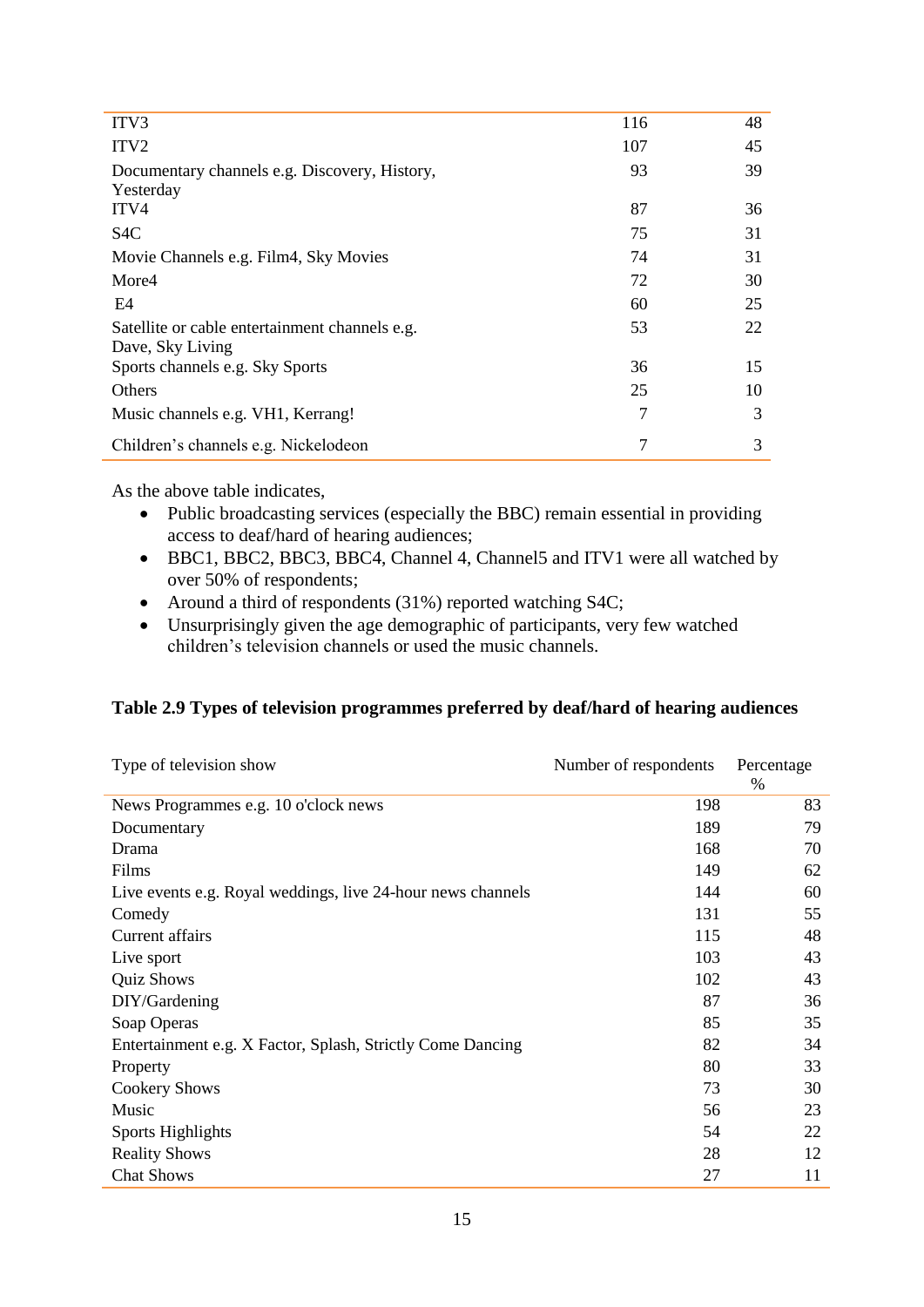| 116 | 48 |
|-----|----|
| 107 | 45 |
| 93  | 39 |
| 87  | 36 |
| 75  | 31 |
| 74  | 31 |
| 72  | 30 |
| 60  | 25 |
| 53  | 22 |
| 36  | 15 |
| 25  | 10 |
| 7   | 3  |
| 7   | 3  |
|     |    |

As the above table indicates,

- Public broadcasting services (especially the BBC) remain essential in providing access to deaf/hard of hearing audiences;
- BBC1, BBC2, BBC3, BBC4, Channel 4, Channel5 and ITV1 were all watched by over 50% of respondents;
- Around a third of respondents (31%) reported watching S4C;
- Unsurprisingly given the age demographic of participants, very few watched children's television channels or used the music channels.

## **Table 2.9 Types of television programmes preferred by deaf/hard of hearing audiences**

| Type of television show                                     | Number of respondents | Percentage |
|-------------------------------------------------------------|-----------------------|------------|
|                                                             |                       | $\%$       |
| News Programmes e.g. 10 o'clock news                        | 198                   | 83         |
| Documentary                                                 | 189                   | 79         |
| Drama                                                       | 168                   | 70         |
| Films                                                       | 149                   | 62         |
| Live events e.g. Royal weddings, live 24-hour news channels | 144                   | 60         |
| Comedy                                                      | 131                   | 55         |
| Current affairs                                             | 115                   | 48         |
| Live sport                                                  | 103                   | 43         |
| <b>Quiz Shows</b>                                           | 102                   | 43         |
| DIY/Gardening                                               | 87                    | 36         |
| Soap Operas                                                 | 85                    | 35         |
| Entertainment e.g. X Factor, Splash, Strictly Come Dancing  | 82                    | 34         |
| Property                                                    | 80                    | 33         |
| <b>Cookery Shows</b>                                        | 73                    | 30         |
| Music                                                       | 56                    | 23         |
| Sports Highlights                                           | 54                    | 22         |
| <b>Reality Shows</b>                                        | 28                    | 12         |
| <b>Chat Shows</b>                                           | 27                    | 11         |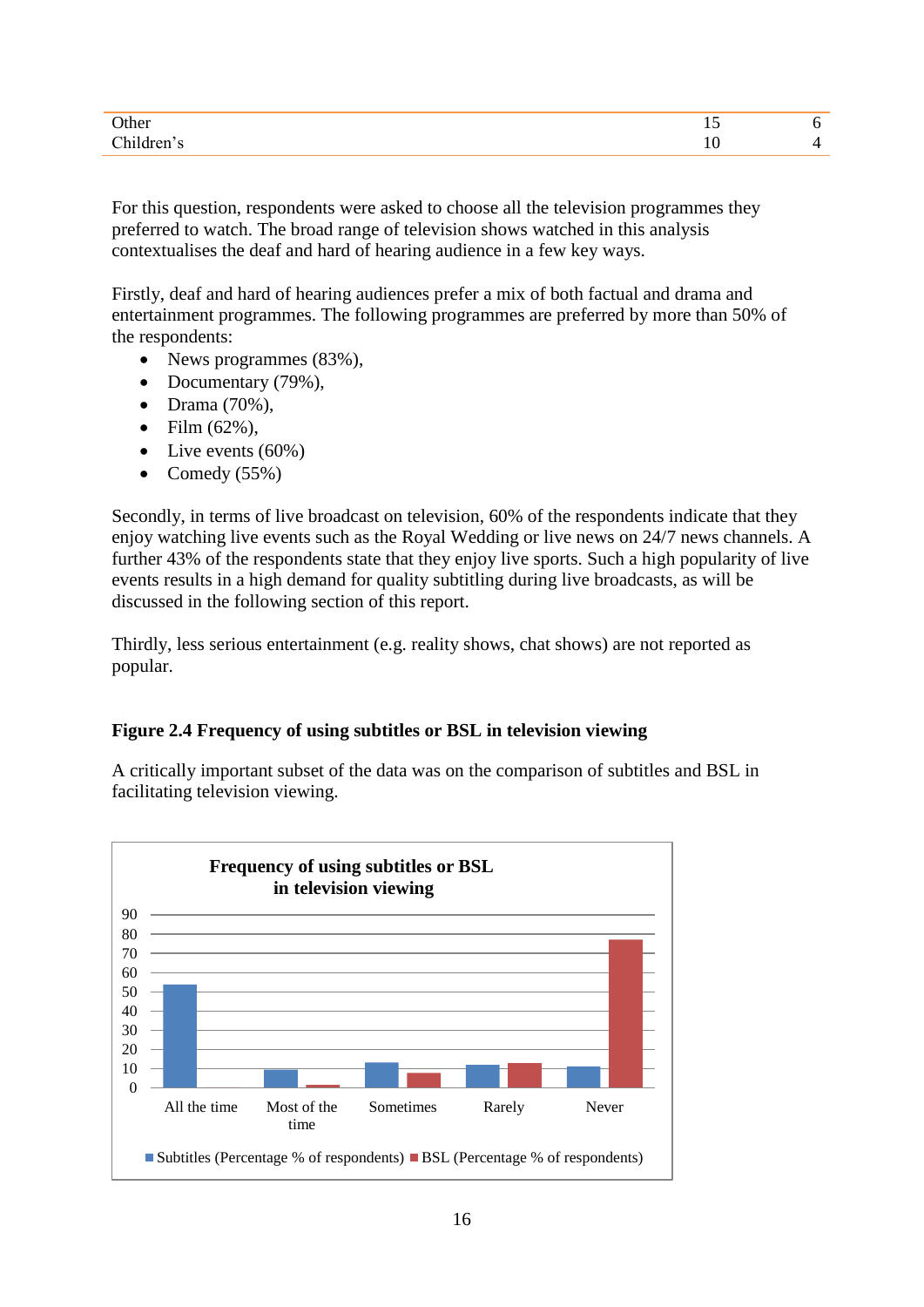| )me<br>____ | --<br>$\sim$ |  |
|-------------|--------------|--|
|             | $\sim$       |  |

For this question, respondents were asked to choose all the television programmes they preferred to watch. The broad range of television shows watched in this analysis contextualises the deaf and hard of hearing audience in a few key ways.

Firstly, deaf and hard of hearing audiences prefer a mix of both factual and drama and entertainment programmes. The following programmes are preferred by more than 50% of the respondents:

- News programmes (83%),
- Documentary (79%),
- $\bullet$  Drama (70%),
- $\bullet$  Film  $(62\%)$ ,
- $\bullet$  Live events (60%)
- Comedy  $(55\%)$

Secondly, in terms of live broadcast on television, 60% of the respondents indicate that they enjoy watching live events such as the Royal Wedding or live news on 24/7 news channels. A further 43% of the respondents state that they enjoy live sports. Such a high popularity of live events results in a high demand for quality subtitling during live broadcasts, as will be discussed in the following section of this report.

Thirdly, less serious entertainment (e.g. reality shows, chat shows) are not reported as popular.

#### **Figure 2.4 Frequency of using subtitles or BSL in television viewing**

A critically important subset of the data was on the comparison of subtitles and BSL in facilitating television viewing.

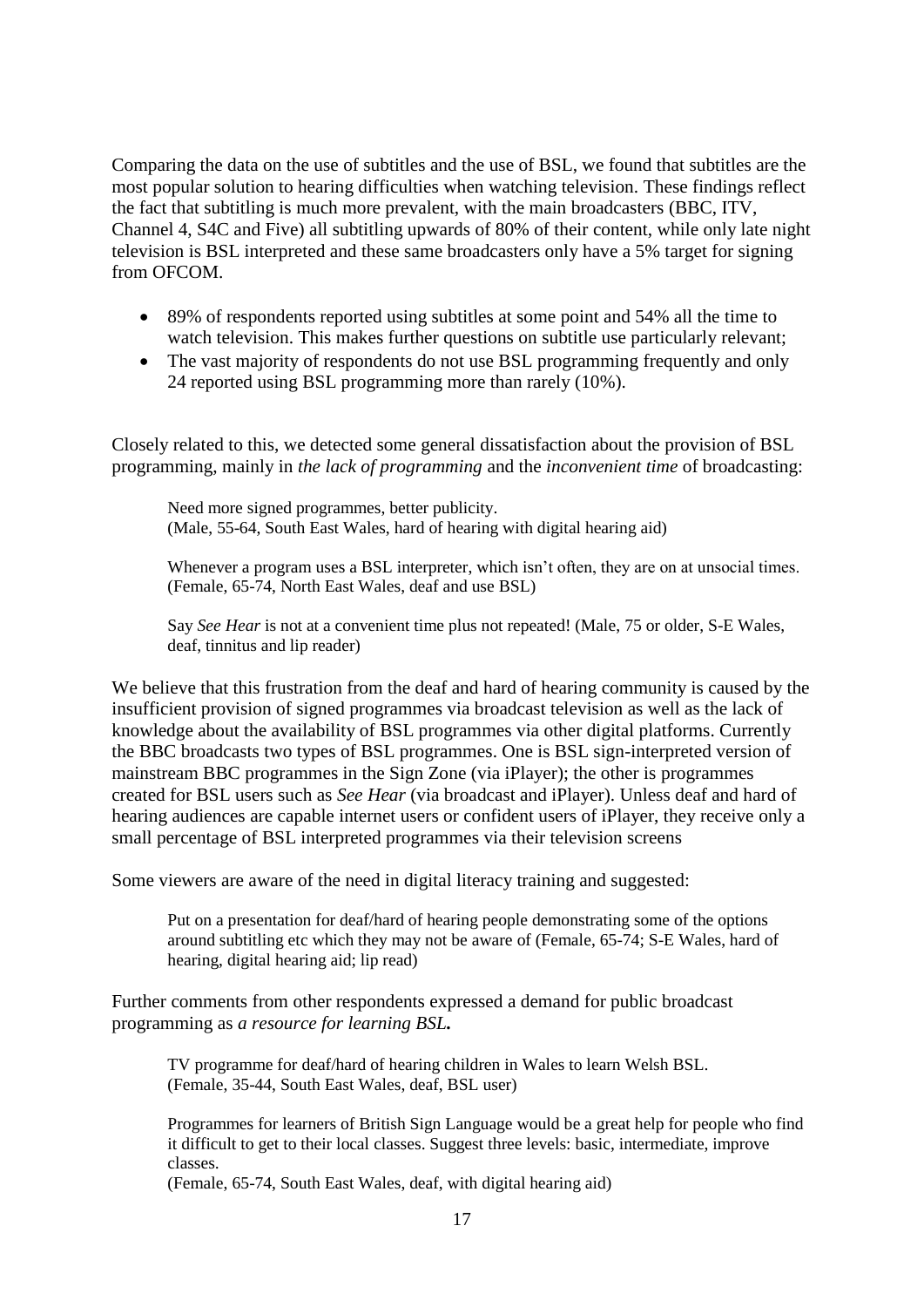Comparing the data on the use of subtitles and the use of BSL, we found that subtitles are the most popular solution to hearing difficulties when watching television. These findings reflect the fact that subtitling is much more prevalent, with the main broadcasters (BBC, ITV, Channel 4, S4C and Five) all subtitling upwards of 80% of their content, while only late night television is BSL interpreted and these same broadcasters only have a 5% target for signing from OFCOM

- 89% of respondents reported using subtitles at some point and 54% all the time to watch television. This makes further questions on subtitle use particularly relevant;
- The vast majority of respondents do not use BSL programming frequently and only 24 reported using BSL programming more than rarely (10%).

Closely related to this, we detected some general dissatisfaction about the provision of BSL programming, mainly in *the lack of programming* and the *inconvenient time* of broadcasting:

Need more signed programmes, better publicity. (Male, 55-64, South East Wales, hard of hearing with digital hearing aid)

Whenever a program uses a BSL interpreter, which isn't often, they are on at unsocial times. (Female, 65-74, North East Wales, deaf and use BSL)

Say *See Hear* is not at a convenient time plus not repeated! (Male, 75 or older, S-E Wales, deaf, tinnitus and lip reader)

We believe that this frustration from the deaf and hard of hearing community is caused by the insufficient provision of signed programmes via broadcast television as well as the lack of knowledge about the availability of BSL programmes via other digital platforms. Currently the BBC broadcasts two types of BSL programmes. One is BSL sign-interpreted version of mainstream BBC programmes in the Sign Zone (via iPlayer); the other is programmes created for BSL users such as *See Hear* (via broadcast and iPlayer). Unless deaf and hard of hearing audiences are capable internet users or confident users of iPlayer, they receive only a small percentage of BSL interpreted programmes via their television screens

Some viewers are aware of the need in digital literacy training and suggested:

Put on a presentation for deaf/hard of hearing people demonstrating some of the options around subtitling etc which they may not be aware of (Female, 65-74; S-E Wales, hard of hearing, digital hearing aid; lip read)

Further comments from other respondents expressed a demand for public broadcast programming as *a resource for learning BSL.*

TV programme for deaf/hard of hearing children in Wales to learn Welsh BSL. (Female, 35-44, South East Wales, deaf, BSL user)

Programmes for learners of British Sign Language would be a great help for people who find it difficult to get to their local classes. Suggest three levels: basic, intermediate, improve classes.

(Female, 65-74, South East Wales, deaf, with digital hearing aid)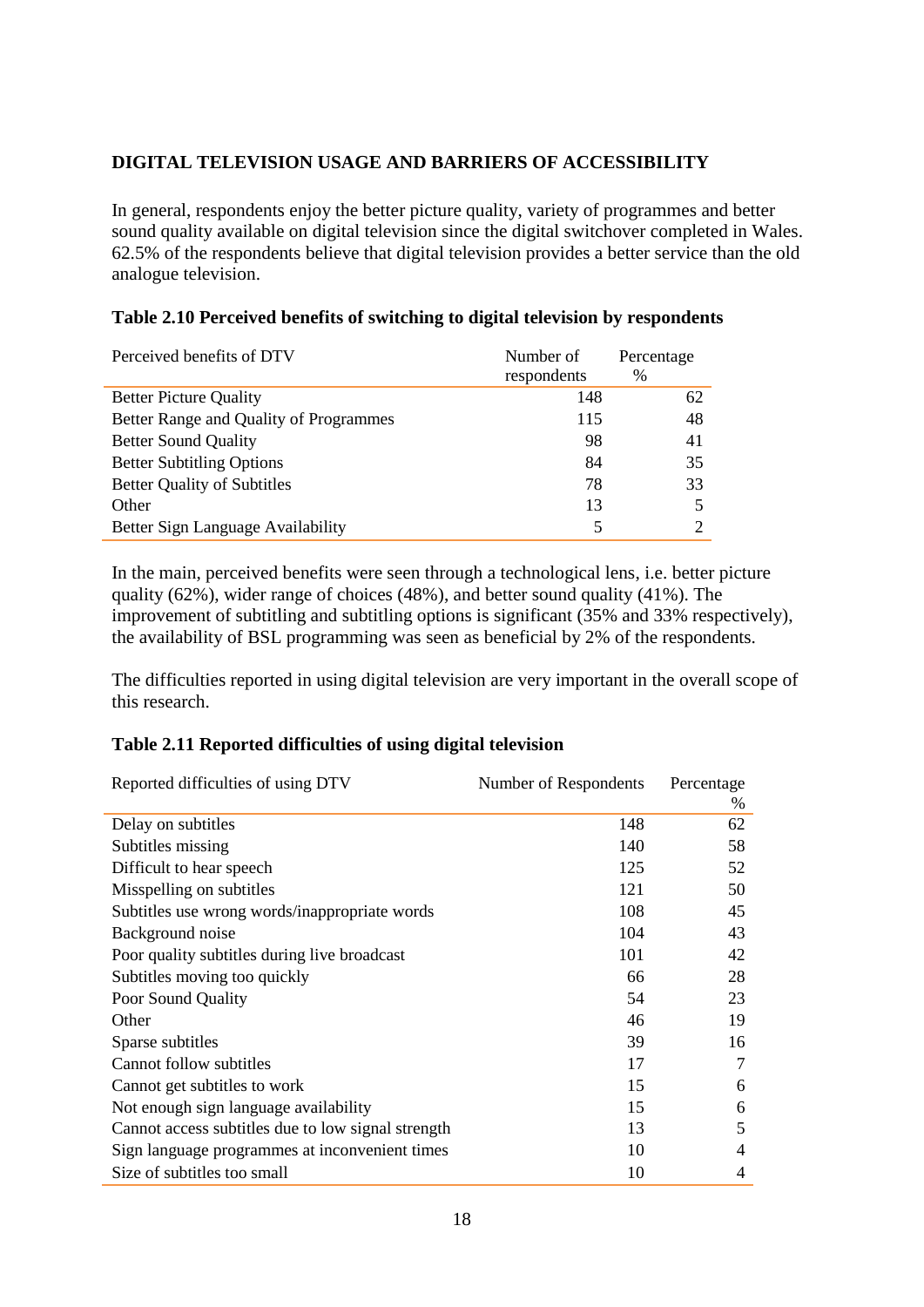## **DIGITAL TELEVISION USAGE AND BARRIERS OF ACCESSIBILITY**

In general, respondents enjoy the better picture quality, variety of programmes and better sound quality available on digital television since the digital switchover completed in Wales. 62.5% of the respondents believe that digital television provides a better service than the old analogue television.

#### **Table 2.10 Perceived benefits of switching to digital television by respondents**

| Perceived benefits of DTV              | Number of<br>respondents | Percentage<br>$\%$ |
|----------------------------------------|--------------------------|--------------------|
| <b>Better Picture Quality</b>          | 148                      | 62                 |
| Better Range and Quality of Programmes | 115                      | 48                 |
| <b>Better Sound Quality</b>            | 98                       | 41                 |
| <b>Better Subtitling Options</b>       | 84                       | 35                 |
| <b>Better Quality of Subtitles</b>     | 78                       | 33                 |
| Other                                  | 13                       |                    |
| Better Sign Language Availability      | 5                        |                    |

In the main, perceived benefits were seen through a technological lens, i.e. better picture quality (62%), wider range of choices (48%), and better sound quality (41%). The improvement of subtitling and subtitling options is significant (35% and 33% respectively), the availability of BSL programming was seen as beneficial by 2% of the respondents.

The difficulties reported in using digital television are very important in the overall scope of this research.

#### **Table 2.11 Reported difficulties of using digital television**

| Reported difficulties of using DTV                 | Number of Respondents | Percentage |
|----------------------------------------------------|-----------------------|------------|
| Delay on subtitles                                 | 148                   | $\%$<br>62 |
|                                                    |                       |            |
| Subtitles missing                                  | 140                   | 58         |
| Difficult to hear speech                           | 125                   | 52         |
| Misspelling on subtitles                           | 121                   | 50         |
| Subtitles use wrong words/inappropriate words      | 108                   | 45         |
| Background noise                                   | 104                   | 43         |
| Poor quality subtitles during live broadcast       | 101                   | 42         |
| Subtitles moving too quickly                       | 66                    | 28         |
| Poor Sound Quality                                 | 54                    | 23         |
| Other                                              | 46                    | 19         |
| Sparse subtitles                                   | 39                    | 16         |
| Cannot follow subtitles                            | 17                    | 7          |
| Cannot get subtitles to work                       | 15                    | 6          |
| Not enough sign language availability              | 15                    | 6          |
| Cannot access subtitles due to low signal strength | 13                    | 5          |
| Sign language programmes at inconvenient times     | 10                    | 4          |
| Size of subtitles too small                        | 10                    | 4          |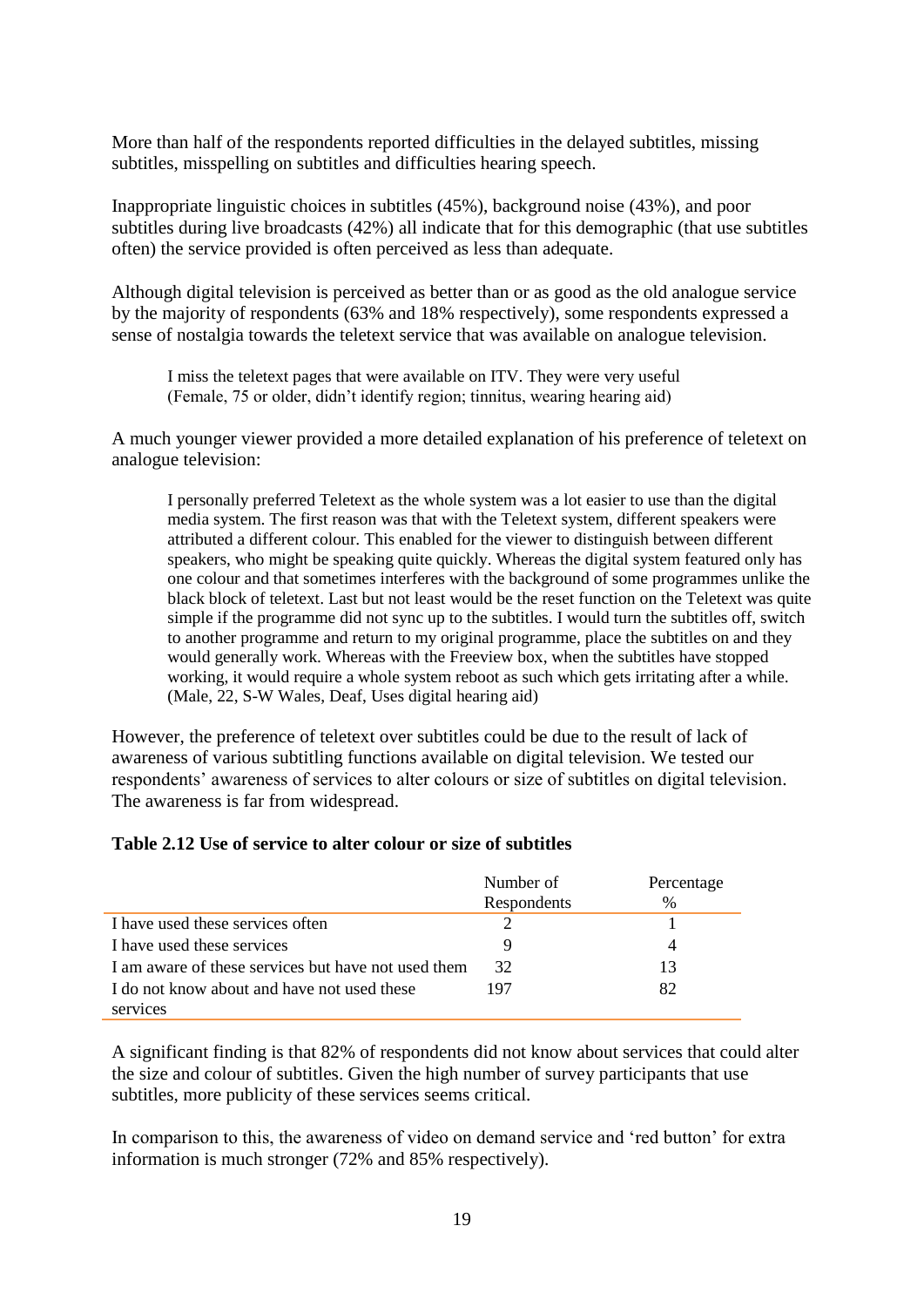More than half of the respondents reported difficulties in the delayed subtitles, missing subtitles, misspelling on subtitles and difficulties hearing speech.

Inappropriate linguistic choices in subtitles (45%), background noise (43%), and poor subtitles during live broadcasts (42%) all indicate that for this demographic (that use subtitles often) the service provided is often perceived as less than adequate.

Although digital television is perceived as better than or as good as the old analogue service by the majority of respondents (63% and 18% respectively), some respondents expressed a sense of nostalgia towards the teletext service that was available on analogue television.

I miss the teletext pages that were available on ITV. They were very useful (Female, 75 or older, didn't identify region; tinnitus, wearing hearing aid)

A much younger viewer provided a more detailed explanation of his preference of teletext on analogue television:

I personally preferred Teletext as the whole system was a lot easier to use than the digital media system. The first reason was that with the Teletext system, different speakers were attributed a different colour. This enabled for the viewer to distinguish between different speakers, who might be speaking quite quickly. Whereas the digital system featured only has one colour and that sometimes interferes with the background of some programmes unlike the black block of teletext. Last but not least would be the reset function on the Teletext was quite simple if the programme did not sync up to the subtitles. I would turn the subtitles off, switch to another programme and return to my original programme, place the subtitles on and they would generally work. Whereas with the Freeview box, when the subtitles have stopped working, it would require a whole system reboot as such which gets irritating after a while. (Male, 22, S-W Wales, Deaf, Uses digital hearing aid)

However, the preference of teletext over subtitles could be due to the result of lack of awareness of various subtitling functions available on digital television. We tested our respondents' awareness of services to alter colours or size of subtitles on digital television. The awareness is far from widespread.

#### **Table 2.12 Use of service to alter colour or size of subtitles**

|                                                     | Number of   | Percentage |
|-----------------------------------------------------|-------------|------------|
|                                                     | Respondents | $\%$       |
| I have used these services often                    |             |            |
| I have used these services                          |             |            |
| I am aware of these services but have not used them | 32          | 13         |
| I do not know about and have not used these         | 197         | 82         |
| services                                            |             |            |

A significant finding is that 82% of respondents did not know about services that could alter the size and colour of subtitles. Given the high number of survey participants that use subtitles, more publicity of these services seems critical.

In comparison to this, the awareness of video on demand service and 'red button' for extra information is much stronger (72% and 85% respectively).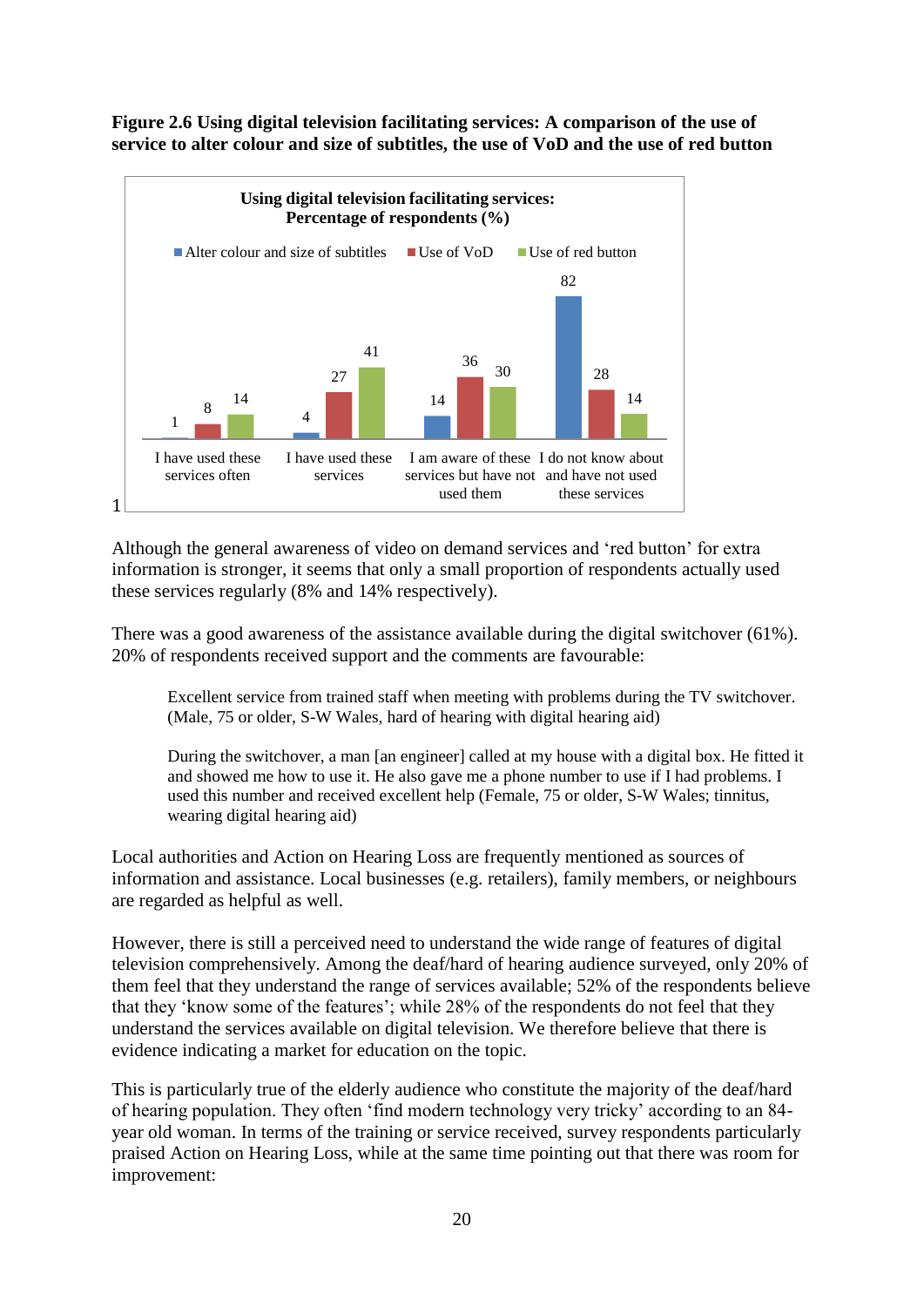

#### **Figure 2.6 Using digital television facilitating services: A comparison of the use of service to alter colour and size of subtitles, the use of VoD and the use of red button**

Although the general awareness of video on demand services and 'red button' for extra information is stronger, it seems that only a small proportion of respondents actually used these services regularly (8% and 14% respectively).

There was a good awareness of the assistance available during the digital switchover (61%). 20% of respondents received support and the comments are favourable:

Excellent service from trained staff when meeting with problems during the TV switchover. (Male, 75 or older, S-W Wales, hard of hearing with digital hearing aid)

During the switchover, a man [an engineer] called at my house with a digital box. He fitted it and showed me how to use it. He also gave me a phone number to use if I had problems. I used this number and received excellent help (Female, 75 or older, S-W Wales; tinnitus, wearing digital hearing aid)

Local authorities and Action on Hearing Loss are frequently mentioned as sources of information and assistance. Local businesses (e.g. retailers), family members, or neighbours are regarded as helpful as well.

However, there is still a perceived need to understand the wide range of features of digital television comprehensively. Among the deaf/hard of hearing audience surveyed, only 20% of them feel that they understand the range of services available; 52% of the respondents believe that they 'know some of the features'; while 28% of the respondents do not feel that they understand the services available on digital television. We therefore believe that there is evidence indicating a market for education on the topic.

This is particularly true of the elderly audience who constitute the majority of the deaf/hard of hearing population. They often 'find modern technology very tricky' according to an 84 year old woman. In terms of the training or service received, survey respondents particularly praised Action on Hearing Loss, while at the same time pointing out that there was room for improvement: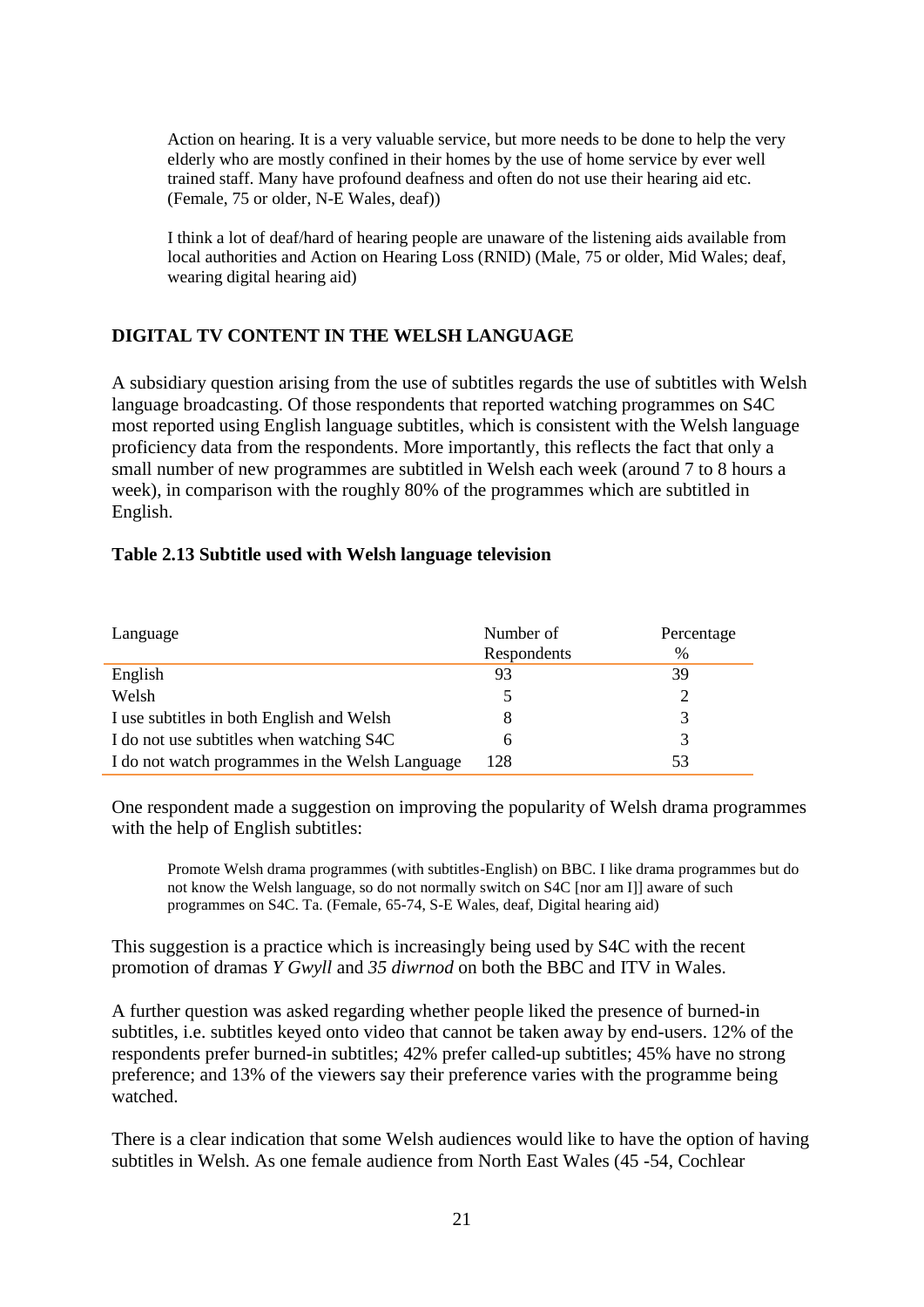Action on hearing. It is a very valuable service, but more needs to be done to help the very elderly who are mostly confined in their homes by the use of home service by ever well trained staff. Many have profound deafness and often do not use their hearing aid etc. (Female, 75 or older, N-E Wales, deaf))

I think a lot of deaf/hard of hearing people are unaware of the listening aids available from local authorities and Action on Hearing Loss (RNID) (Male, 75 or older, Mid Wales; deaf, wearing digital hearing aid)

## **DIGITAL TV CONTENT IN THE WELSH LANGUAGE**

A subsidiary question arising from the use of subtitles regards the use of subtitles with Welsh language broadcasting. Of those respondents that reported watching programmes on S4C most reported using English language subtitles, which is consistent with the Welsh language proficiency data from the respondents. More importantly, this reflects the fact that only a small number of new programmes are subtitled in Welsh each week (around 7 to 8 hours a week), in comparison with the roughly 80% of the programmes which are subtitled in English.

|  | Table 2.13 Subtitle used with Welsh language television |  |
|--|---------------------------------------------------------|--|
|  |                                                         |  |

| Language                                        | Number of   | Percentage |
|-------------------------------------------------|-------------|------------|
|                                                 | Respondents | $\%$       |
| English                                         | 93          | 39         |
| Welsh                                           |             |            |
| I use subtitles in both English and Welsh       |             |            |
| I do not use subtitles when watching S4C        | h           | 3          |
| I do not watch programmes in the Welsh Language | 128         | 53         |

One respondent made a suggestion on improving the popularity of Welsh drama programmes with the help of English subtitles:

Promote Welsh drama programmes (with subtitles-English) on BBC. I like drama programmes but do not know the Welsh language, so do not normally switch on S4C [nor am I]] aware of such programmes on S4C. Ta. (Female, 65-74, S-E Wales, deaf, Digital hearing aid)

This suggestion is a practice which is increasingly being used by S4C with the recent promotion of dramas *Y Gwyll* and *35 diwrnod* on both the BBC and ITV in Wales.

A further question was asked regarding whether people liked the presence of burned-in subtitles, i.e. subtitles keyed onto video that cannot be taken away by end-users. 12% of the respondents prefer burned-in subtitles; 42% prefer called-up subtitles; 45% have no strong preference; and 13% of the viewers say their preference varies with the programme being watched.

There is a clear indication that some Welsh audiences would like to have the option of having subtitles in Welsh. As one female audience from North East Wales (45 -54, Cochlear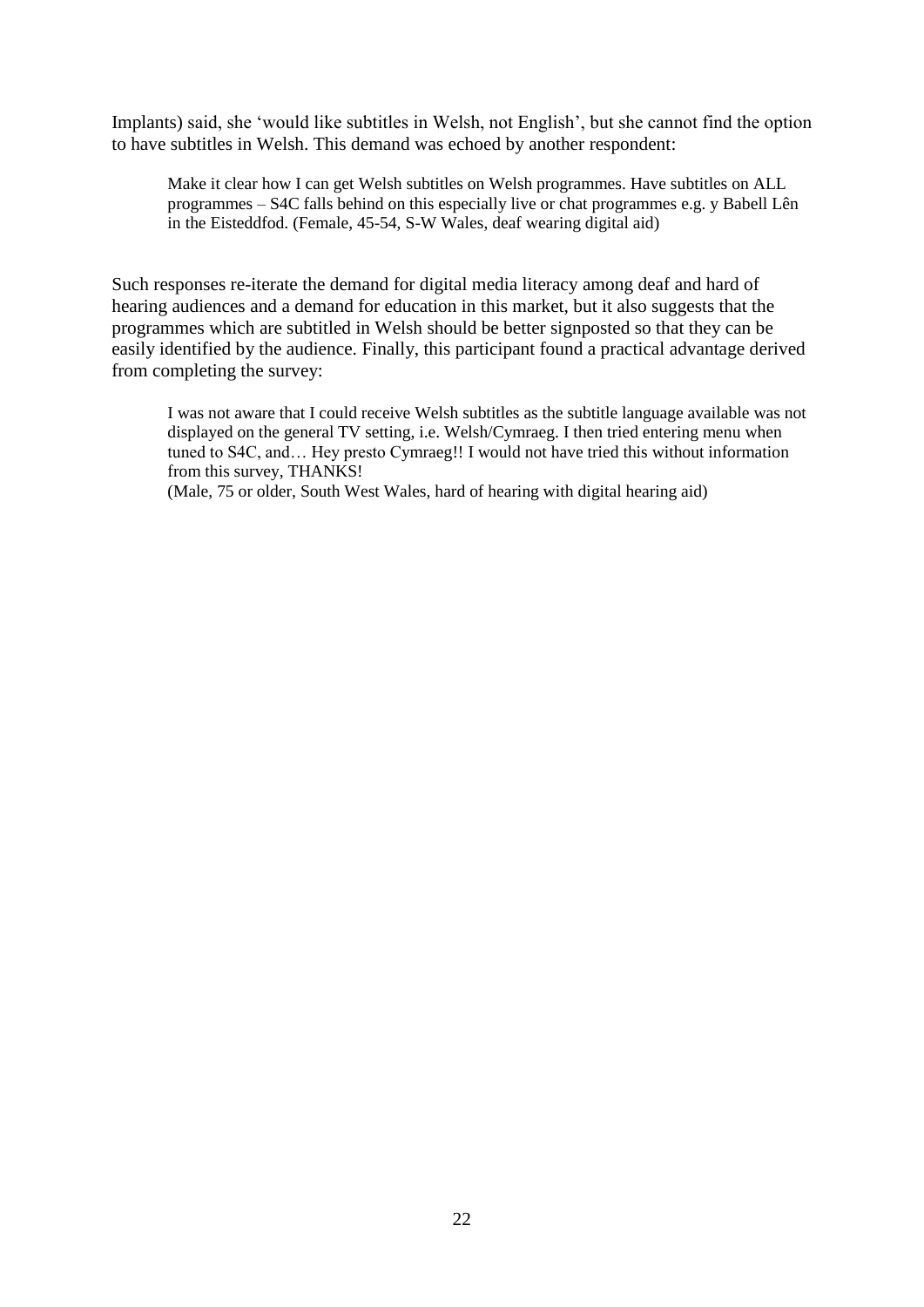Implants) said, she 'would like subtitles in Welsh, not English', but she cannot find the option to have subtitles in Welsh. This demand was echoed by another respondent:

Make it clear how I can get Welsh subtitles on Welsh programmes. Have subtitles on ALL programmes – S4C falls behind on this especially live or chat programmes e.g. y Babell Lên in the Eisteddfod. (Female, 45-54, S-W Wales, deaf wearing digital aid)

Such responses re-iterate the demand for digital media literacy among deaf and hard of hearing audiences and a demand for education in this market, but it also suggests that the programmes which are subtitled in Welsh should be better signposted so that they can be easily identified by the audience. Finally, this participant found a practical advantage derived from completing the survey:

I was not aware that I could receive Welsh subtitles as the subtitle language available was not displayed on the general TV setting, i.e. Welsh/Cymraeg. I then tried entering menu when tuned to S4C, and… Hey presto Cymraeg!! I would not have tried this without information from this survey, THANKS!

(Male, 75 or older, South West Wales, hard of hearing with digital hearing aid)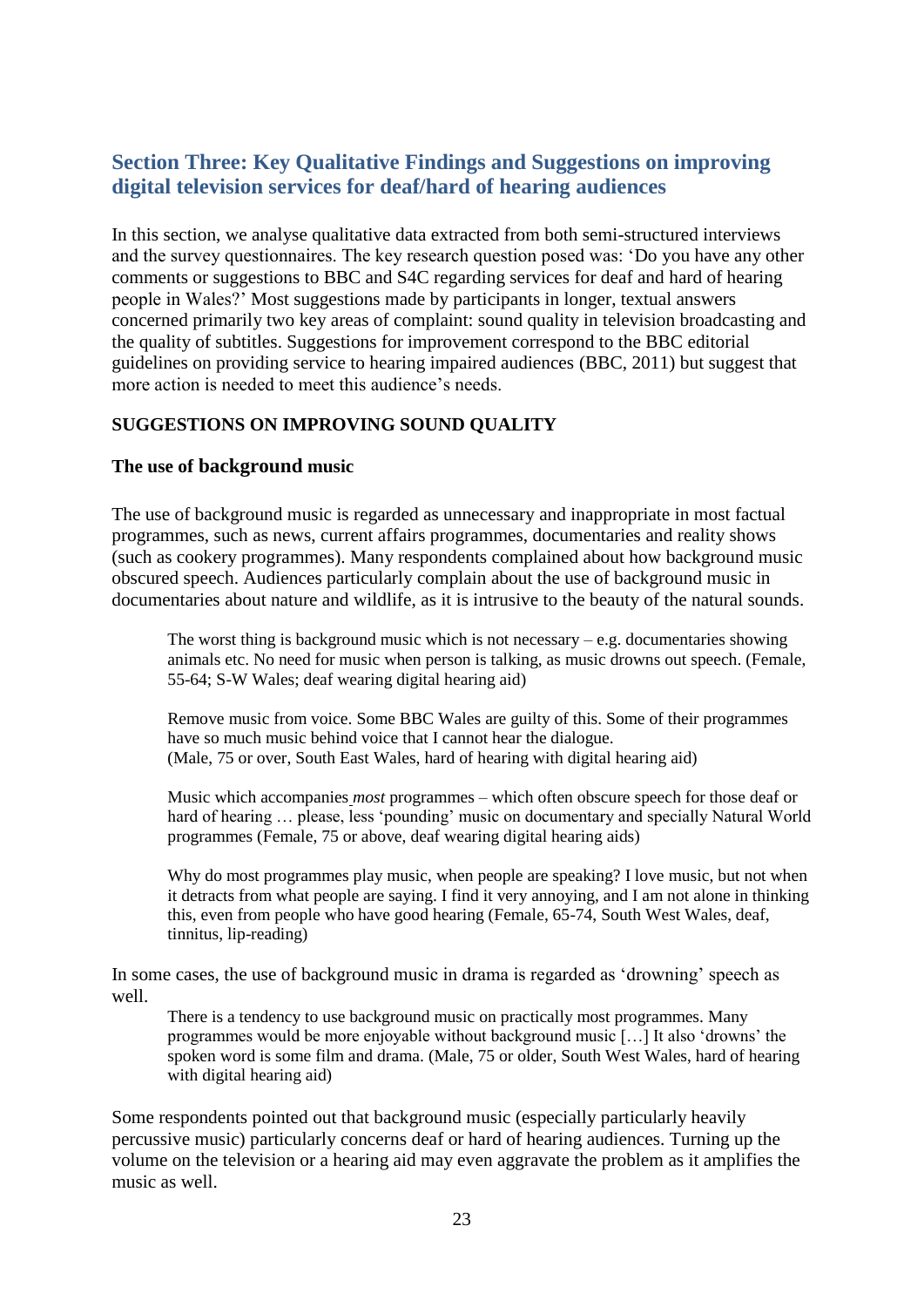## **Section Three: Key Qualitative Findings and Suggestions on improving digital television services for deaf/hard of hearing audiences**

In this section, we analyse qualitative data extracted from both semi-structured interviews and the survey questionnaires. The key research question posed was: 'Do you have any other comments or suggestions to BBC and S4C regarding services for deaf and hard of hearing people in Wales?' Most suggestions made by participants in longer, textual answers concerned primarily two key areas of complaint: sound quality in television broadcasting and the quality of subtitles. Suggestions for improvement correspond to the BBC editorial guidelines on providing service to hearing impaired audiences (BBC, 2011) but suggest that more action is needed to meet this audience's needs.

## **SUGGESTIONS ON IMPROVING SOUND QUALITY**

#### **The use of background music**

The use of background music is regarded as unnecessary and inappropriate in most factual programmes, such as news, current affairs programmes, documentaries and reality shows (such as cookery programmes). Many respondents complained about how background music obscured speech. Audiences particularly complain about the use of background music in documentaries about nature and wildlife, as it is intrusive to the beauty of the natural sounds.

The worst thing is background music which is not necessary  $-e.g.$  documentaries showing animals etc. No need for music when person is talking, as music drowns out speech. (Female, 55-64; S-W Wales; deaf wearing digital hearing aid)

Remove music from voice. Some BBC Wales are guilty of this. Some of their programmes have so much music behind voice that I cannot hear the dialogue. (Male, 75 or over, South East Wales, hard of hearing with digital hearing aid)

Music which accompanies *most* programmes – which often obscure speech for those deaf or hard of hearing ... please, less 'pounding' music on documentary and specially Natural World programmes (Female, 75 or above, deaf wearing digital hearing aids)

Why do most programmes play music, when people are speaking? I love music, but not when it detracts from what people are saying. I find it very annoying, and I am not alone in thinking this, even from people who have good hearing (Female, 65-74, South West Wales, deaf, tinnitus, lip-reading)

In some cases, the use of background music in drama is regarded as 'drowning' speech as well.

There is a tendency to use background music on practically most programmes. Many programmes would be more enjoyable without background music […] It also 'drowns' the spoken word is some film and drama. (Male, 75 or older, South West Wales, hard of hearing with digital hearing aid)

Some respondents pointed out that background music (especially particularly heavily percussive music) particularly concerns deaf or hard of hearing audiences. Turning up the volume on the television or a hearing aid may even aggravate the problem as it amplifies the music as well.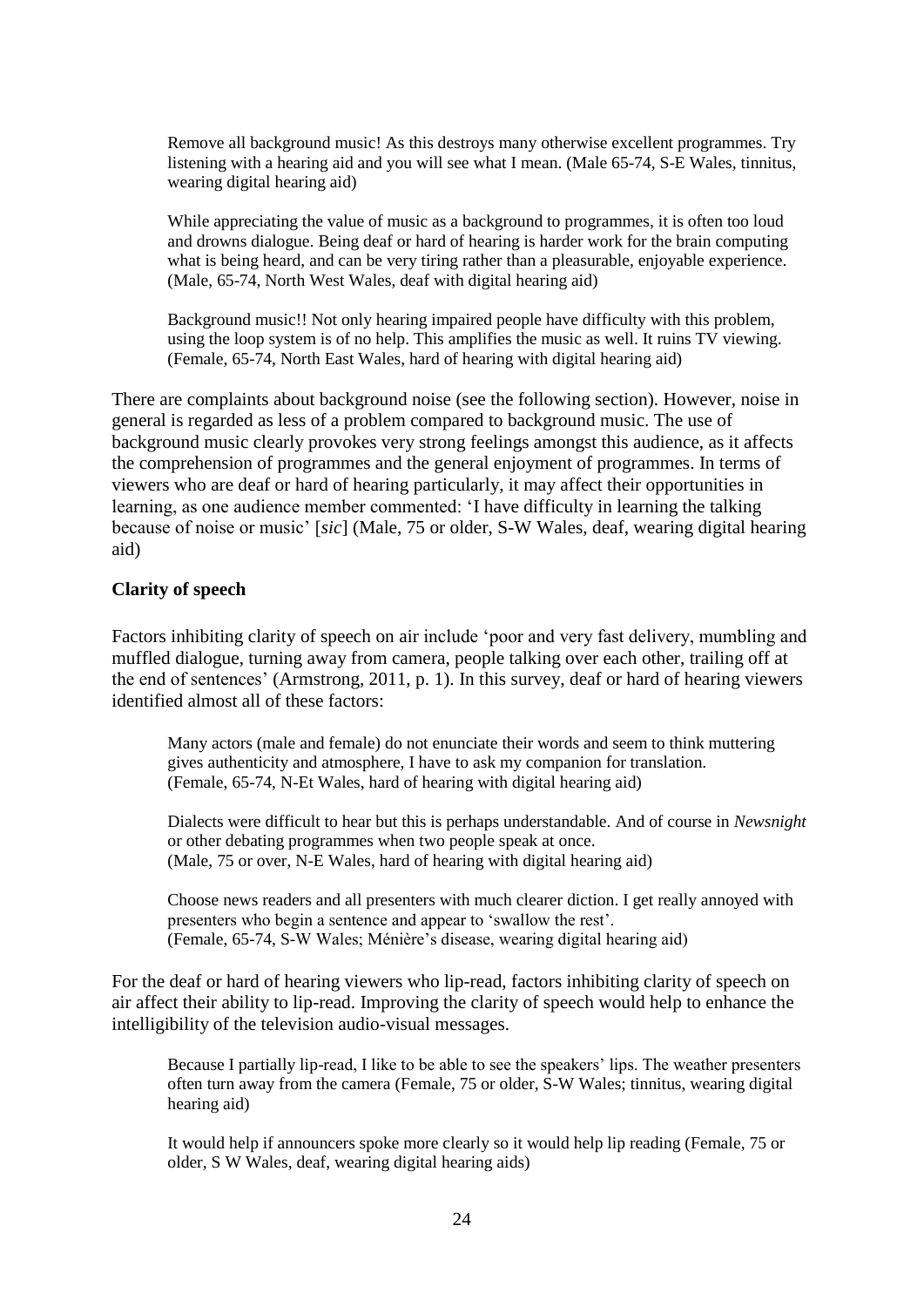Remove all background music! As this destroys many otherwise excellent programmes. Try listening with a hearing aid and you will see what I mean. (Male 65-74, S-E Wales, tinnitus, wearing digital hearing aid)

While appreciating the value of music as a background to programmes, it is often too loud and drowns dialogue. Being deaf or hard of hearing is harder work for the brain computing what is being heard, and can be very tiring rather than a pleasurable, enjoyable experience. (Male, 65-74, North West Wales, deaf with digital hearing aid)

Background music!! Not only hearing impaired people have difficulty with this problem, using the loop system is of no help. This amplifies the music as well. It ruins TV viewing. (Female, 65-74, North East Wales, hard of hearing with digital hearing aid)

There are complaints about background noise (see the following section). However, noise in general is regarded as less of a problem compared to background music. The use of background music clearly provokes very strong feelings amongst this audience, as it affects the comprehension of programmes and the general enjoyment of programmes. In terms of viewers who are deaf or hard of hearing particularly, it may affect their opportunities in learning, as one audience member commented: 'I have difficulty in learning the talking because of noise or music' [*sic*] (Male, 75 or older, S-W Wales, deaf, wearing digital hearing aid)

#### **Clarity of speech**

Factors inhibiting clarity of speech on air include 'poor and very fast delivery, mumbling and muffled dialogue, turning away from camera, people talking over each other, trailing off at the end of sentences' (Armstrong, 2011, p. 1). In this survey, deaf or hard of hearing viewers identified almost all of these factors:

Many actors (male and female) do not enunciate their words and seem to think muttering gives authenticity and atmosphere, I have to ask my companion for translation. (Female, 65-74, N-Et Wales, hard of hearing with digital hearing aid)

Dialects were difficult to hear but this is perhaps understandable. And of course in *Newsnight* or other debating programmes when two people speak at once. (Male, 75 or over, N-E Wales, hard of hearing with digital hearing aid)

Choose news readers and all presenters with much clearer diction. I get really annoyed with presenters who begin a sentence and appear to 'swallow the rest'. (Female, 65-74, S-W Wales; Ménière's disease, wearing digital hearing aid)

For the deaf or hard of hearing viewers who lip-read, factors inhibiting clarity of speech on air affect their ability to lip-read. Improving the clarity of speech would help to enhance the intelligibility of the television audio-visual messages.

Because I partially lip-read, I like to be able to see the speakers' lips. The weather presenters often turn away from the camera (Female, 75 or older, S-W Wales; tinnitus, wearing digital hearing aid)

It would help if announcers spoke more clearly so it would help lip reading (Female, 75 or older, S W Wales, deaf, wearing digital hearing aids)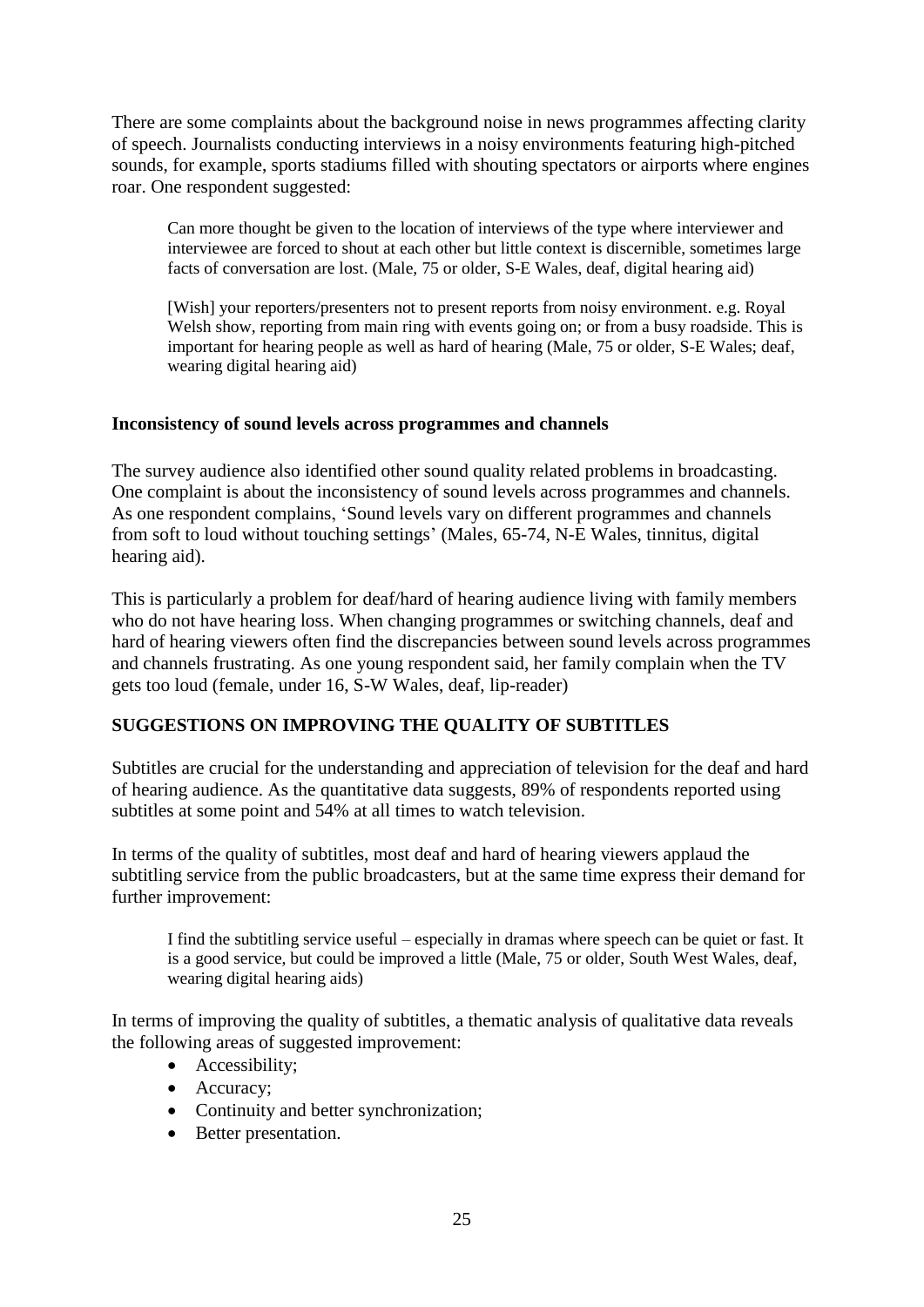There are some complaints about the background noise in news programmes affecting clarity of speech. Journalists conducting interviews in a noisy environments featuring high-pitched sounds, for example, sports stadiums filled with shouting spectators or airports where engines roar. One respondent suggested:

Can more thought be given to the location of interviews of the type where interviewer and interviewee are forced to shout at each other but little context is discernible, sometimes large facts of conversation are lost. (Male, 75 or older, S-E Wales, deaf, digital hearing aid)

[Wish] your reporters/presenters not to present reports from noisy environment. e.g. Royal Welsh show, reporting from main ring with events going on; or from a busy roadside. This is important for hearing people as well as hard of hearing (Male, 75 or older, S-E Wales; deaf, wearing digital hearing aid)

#### **Inconsistency of sound levels across programmes and channels**

The survey audience also identified other sound quality related problems in broadcasting. One complaint is about the inconsistency of sound levels across programmes and channels. As one respondent complains, 'Sound levels vary on different programmes and channels from soft to loud without touching settings' (Males, 65-74, N-E Wales, tinnitus, digital hearing aid).

This is particularly a problem for deaf/hard of hearing audience living with family members who do not have hearing loss. When changing programmes or switching channels, deaf and hard of hearing viewers often find the discrepancies between sound levels across programmes and channels frustrating. As one young respondent said, her family complain when the TV gets too loud (female, under 16, S-W Wales, deaf, lip-reader)

## **SUGGESTIONS ON IMPROVING THE QUALITY OF SUBTITLES**

Subtitles are crucial for the understanding and appreciation of television for the deaf and hard of hearing audience. As the quantitative data suggests, 89% of respondents reported using subtitles at some point and 54% at all times to watch television.

In terms of the quality of subtitles, most deaf and hard of hearing viewers applaud the subtitling service from the public broadcasters, but at the same time express their demand for further improvement:

I find the subtitling service useful – especially in dramas where speech can be quiet or fast. It is a good service, but could be improved a little (Male, 75 or older, South West Wales, deaf, wearing digital hearing aids)

In terms of improving the quality of subtitles, a thematic analysis of qualitative data reveals the following areas of suggested improvement:

- Accessibility:
- Accuracy;
- Continuity and better synchronization;
- Better presentation.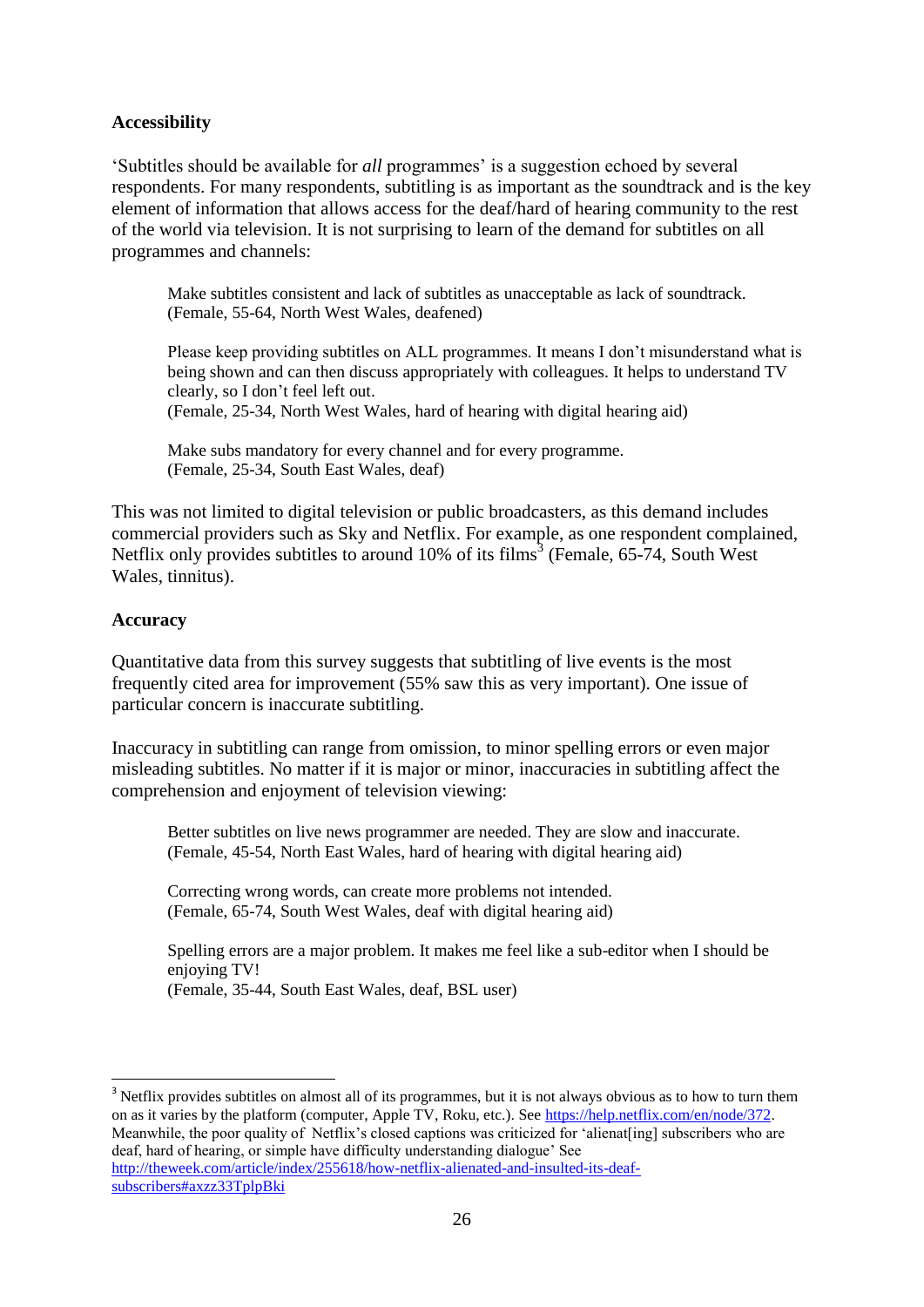#### **Accessibility**

'Subtitles should be available for *all* programmes' is a suggestion echoed by several respondents. For many respondents, subtitling is as important as the soundtrack and is the key element of information that allows access for the deaf/hard of hearing community to the rest of the world via television. It is not surprising to learn of the demand for subtitles on all programmes and channels:

Make subtitles consistent and lack of subtitles as unacceptable as lack of soundtrack. (Female, 55-64, North West Wales, deafened)

Please keep providing subtitles on ALL programmes. It means I don't misunderstand what is being shown and can then discuss appropriately with colleagues. It helps to understand TV clearly, so I don't feel left out. (Female, 25-34, North West Wales, hard of hearing with digital hearing aid)

Make subs mandatory for every channel and for every programme. (Female, 25-34, South East Wales, deaf)

This was not limited to digital television or public broadcasters, as this demand includes commercial providers such as Sky and Netflix. For example, as one respondent complained, Netflix only provides subtitles to around  $10\%$  of its films<sup>3</sup> (Female, 65-74, South West Wales, tinnitus).

#### **Accuracy**

<u>.</u>

Quantitative data from this survey suggests that subtitling of live events is the most frequently cited area for improvement (55% saw this as very important). One issue of particular concern is inaccurate subtitling.

Inaccuracy in subtitling can range from omission, to minor spelling errors or even major misleading subtitles. No matter if it is major or minor, inaccuracies in subtitling affect the comprehension and enjoyment of television viewing:

Better subtitles on live news programmer are needed. They are slow and inaccurate. (Female, 45-54, North East Wales, hard of hearing with digital hearing aid)

Correcting wrong words, can create more problems not intended. (Female, 65-74, South West Wales, deaf with digital hearing aid)

Spelling errors are a major problem. It makes me feel like a sub-editor when I should be enjoying TV!

(Female, 35-44, South East Wales, deaf, BSL user)

<sup>3</sup> Netflix provides subtitles on almost all of its programmes, but it is not always obvious as to how to turn them on as it varies by the platform (computer, Apple TV, Roku, etc.). See [https://help.netflix.com/en/node/372.](https://help.netflix.com/en/node/372) Meanwhile, the poor quality of Netflix's closed captions was criticized for 'alienat[ing] subscribers who are deaf, hard of hearing, or simple have difficulty understanding dialogue' See [http://theweek.com/article/index/255618/how-netflix-alienated-and-insulted-its-deaf](http://theweek.com/article/index/255618/how-netflix-alienated-and-insulted-its-deaf-subscribers#axzz33TplpBki)[subscribers#axzz33TplpBki](http://theweek.com/article/index/255618/how-netflix-alienated-and-insulted-its-deaf-subscribers#axzz33TplpBki)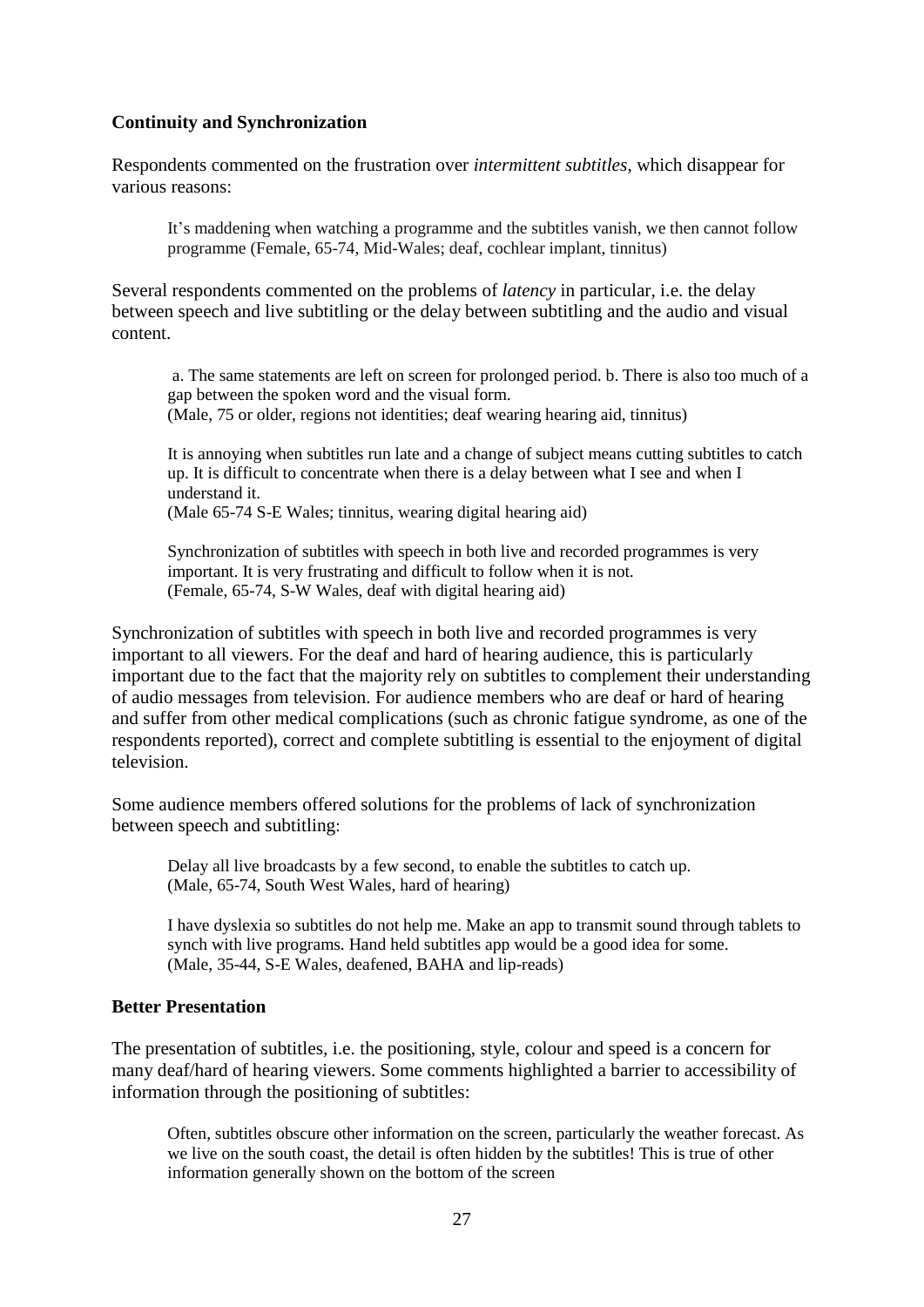#### **Continuity and Synchronization**

Respondents commented on the frustration over *intermittent subtitles*, which disappear for various reasons:

It's maddening when watching a programme and the subtitles vanish, we then cannot follow programme (Female, 65-74, Mid-Wales; deaf, cochlear implant, tinnitus)

Several respondents commented on the problems of *latency* in particular, i.e. the delay between speech and live subtitling or the delay between subtitling and the audio and visual content.

a. The same statements are left on screen for prolonged period. b. There is also too much of a gap between the spoken word and the visual form. (Male, 75 or older, regions not identities; deaf wearing hearing aid, tinnitus)

It is annoying when subtitles run late and a change of subject means cutting subtitles to catch up. It is difficult to concentrate when there is a delay between what I see and when I understand it.

(Male 65-74 S-E Wales; tinnitus, wearing digital hearing aid)

Synchronization of subtitles with speech in both live and recorded programmes is very important. It is very frustrating and difficult to follow when it is not. (Female, 65-74, S-W Wales, deaf with digital hearing aid)

Synchronization of subtitles with speech in both live and recorded programmes is very important to all viewers. For the deaf and hard of hearing audience, this is particularly important due to the fact that the majority rely on subtitles to complement their understanding of audio messages from television. For audience members who are deaf or hard of hearing and suffer from other medical complications (such as chronic fatigue syndrome, as one of the respondents reported), correct and complete subtitling is essential to the enjoyment of digital television.

Some audience members offered solutions for the problems of lack of synchronization between speech and subtitling:

Delay all live broadcasts by a few second, to enable the subtitles to catch up. (Male, 65-74, South West Wales, hard of hearing)

I have dyslexia so subtitles do not help me. Make an app to transmit sound through tablets to synch with live programs. Hand held subtitles app would be a good idea for some. (Male, 35-44, S-E Wales, deafened, BAHA and lip-reads)

#### **Better Presentation**

The presentation of subtitles, i.e. the positioning, style, colour and speed is a concern for many deaf/hard of hearing viewers. Some comments highlighted a barrier to accessibility of information through the positioning of subtitles:

Often, subtitles obscure other information on the screen, particularly the weather forecast. As we live on the south coast, the detail is often hidden by the subtitles! This is true of other information generally shown on the bottom of the screen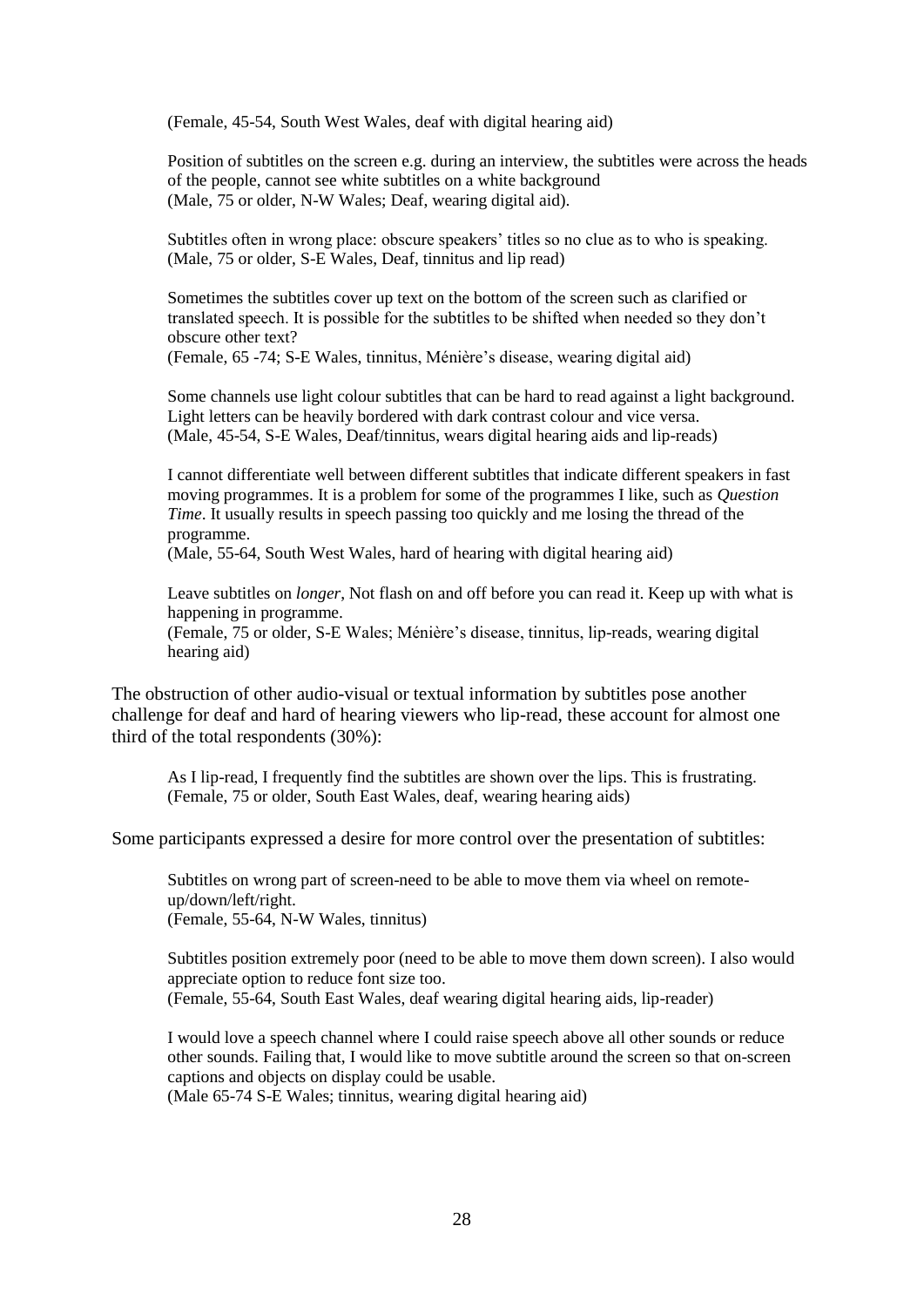(Female, 45-54, South West Wales, deaf with digital hearing aid)

Position of subtitles on the screen e.g. during an interview, the subtitles were across the heads of the people, cannot see white subtitles on a white background (Male, 75 or older, N-W Wales; Deaf, wearing digital aid).

Subtitles often in wrong place: obscure speakers' titles so no clue as to who is speaking. (Male, 75 or older, S-E Wales, Deaf, tinnitus and lip read)

Sometimes the subtitles cover up text on the bottom of the screen such as clarified or translated speech. It is possible for the subtitles to be shifted when needed so they don't obscure other text?

(Female, 65 -74; S-E Wales, tinnitus, Ménière's disease, wearing digital aid)

Some channels use light colour subtitles that can be hard to read against a light background. Light letters can be heavily bordered with dark contrast colour and vice versa. (Male, 45-54, S-E Wales, Deaf/tinnitus, wears digital hearing aids and lip-reads)

I cannot differentiate well between different subtitles that indicate different speakers in fast moving programmes. It is a problem for some of the programmes I like, such as *Question Time*. It usually results in speech passing too quickly and me losing the thread of the programme.

(Male, 55-64, South West Wales, hard of hearing with digital hearing aid)

Leave subtitles on *longer*, Not flash on and off before you can read it. Keep up with what is happening in programme.

(Female, 75 or older, S-E Wales; Ménière's disease, tinnitus, lip-reads, wearing digital hearing aid)

The obstruction of other audio-visual or textual information by subtitles pose another challenge for deaf and hard of hearing viewers who lip-read, these account for almost one third of the total respondents (30%):

As I lip-read, I frequently find the subtitles are shown over the lips. This is frustrating. (Female, 75 or older, South East Wales, deaf, wearing hearing aids)

Some participants expressed a desire for more control over the presentation of subtitles:

Subtitles on wrong part of screen-need to be able to move them via wheel on remoteup/down/left/right. (Female, 55-64, N-W Wales, tinnitus)

Subtitles position extremely poor (need to be able to move them down screen). I also would appreciate option to reduce font size too. (Female, 55-64, South East Wales, deaf wearing digital hearing aids, lip-reader)

I would love a speech channel where I could raise speech above all other sounds or reduce other sounds. Failing that, I would like to move subtitle around the screen so that on-screen captions and objects on display could be usable.

(Male 65-74 S-E Wales; tinnitus, wearing digital hearing aid)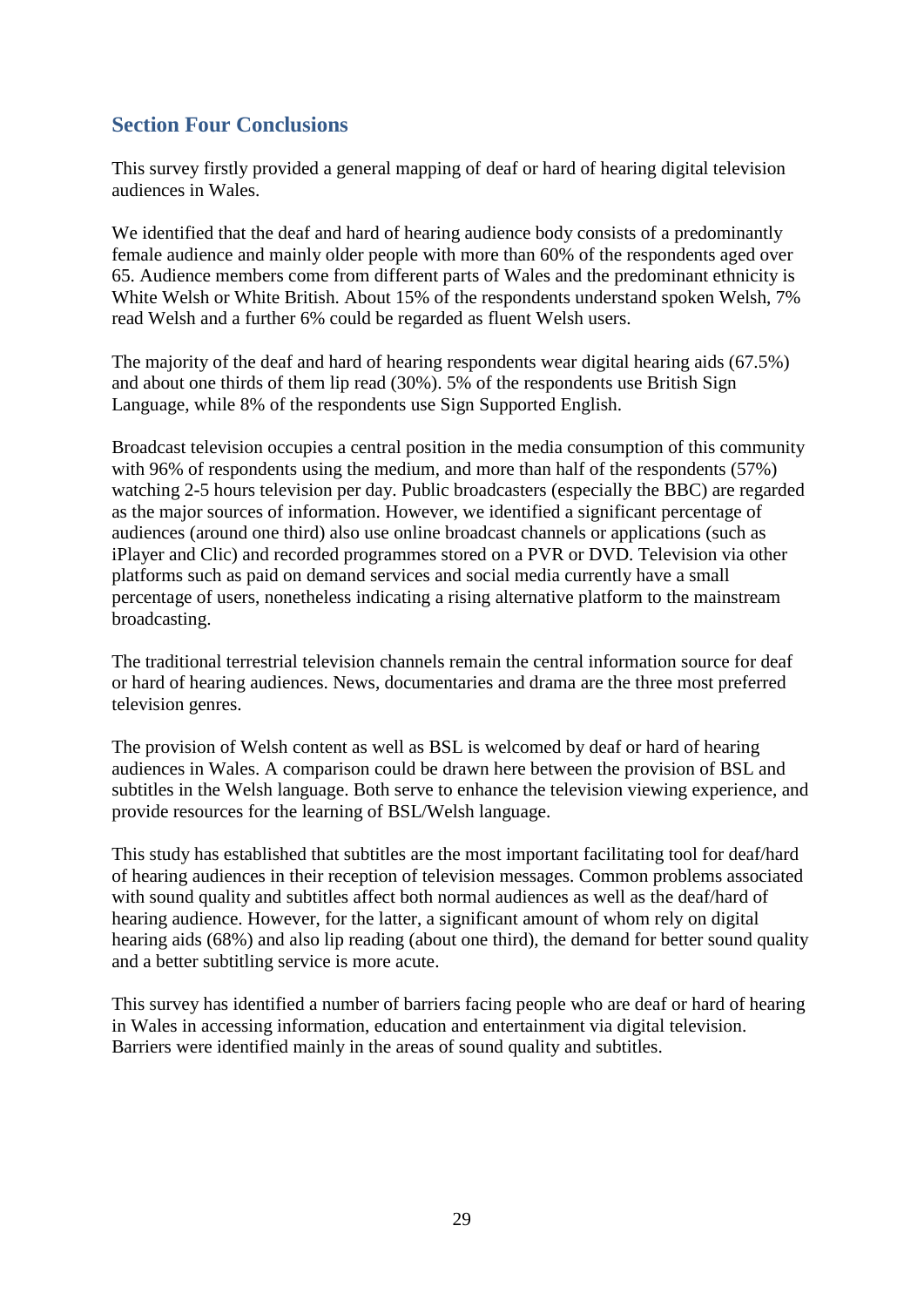## **Section Four Conclusions**

This survey firstly provided a general mapping of deaf or hard of hearing digital television audiences in Wales.

We identified that the deaf and hard of hearing audience body consists of a predominantly female audience and mainly older people with more than 60% of the respondents aged over 65. Audience members come from different parts of Wales and the predominant ethnicity is White Welsh or White British. About 15% of the respondents understand spoken Welsh, 7% read Welsh and a further 6% could be regarded as fluent Welsh users.

The majority of the deaf and hard of hearing respondents wear digital hearing aids (67.5%) and about one thirds of them lip read (30%). 5% of the respondents use British Sign Language, while 8% of the respondents use Sign Supported English.

Broadcast television occupies a central position in the media consumption of this community with 96% of respondents using the medium, and more than half of the respondents (57%) watching 2-5 hours television per day. Public broadcasters (especially the BBC) are regarded as the major sources of information. However, we identified a significant percentage of audiences (around one third) also use online broadcast channels or applications (such as iPlayer and Clic) and recorded programmes stored on a PVR or DVD. Television via other platforms such as paid on demand services and social media currently have a small percentage of users, nonetheless indicating a rising alternative platform to the mainstream broadcasting.

The traditional terrestrial television channels remain the central information source for deaf or hard of hearing audiences. News, documentaries and drama are the three most preferred television genres.

The provision of Welsh content as well as BSL is welcomed by deaf or hard of hearing audiences in Wales. A comparison could be drawn here between the provision of BSL and subtitles in the Welsh language. Both serve to enhance the television viewing experience, and provide resources for the learning of BSL/Welsh language.

This study has established that subtitles are the most important facilitating tool for deaf/hard of hearing audiences in their reception of television messages. Common problems associated with sound quality and subtitles affect both normal audiences as well as the deaf/hard of hearing audience. However, for the latter, a significant amount of whom rely on digital hearing aids (68%) and also lip reading (about one third), the demand for better sound quality and a better subtitling service is more acute.

This survey has identified a number of barriers facing people who are deaf or hard of hearing in Wales in accessing information, education and entertainment via digital television. Barriers were identified mainly in the areas of sound quality and subtitles.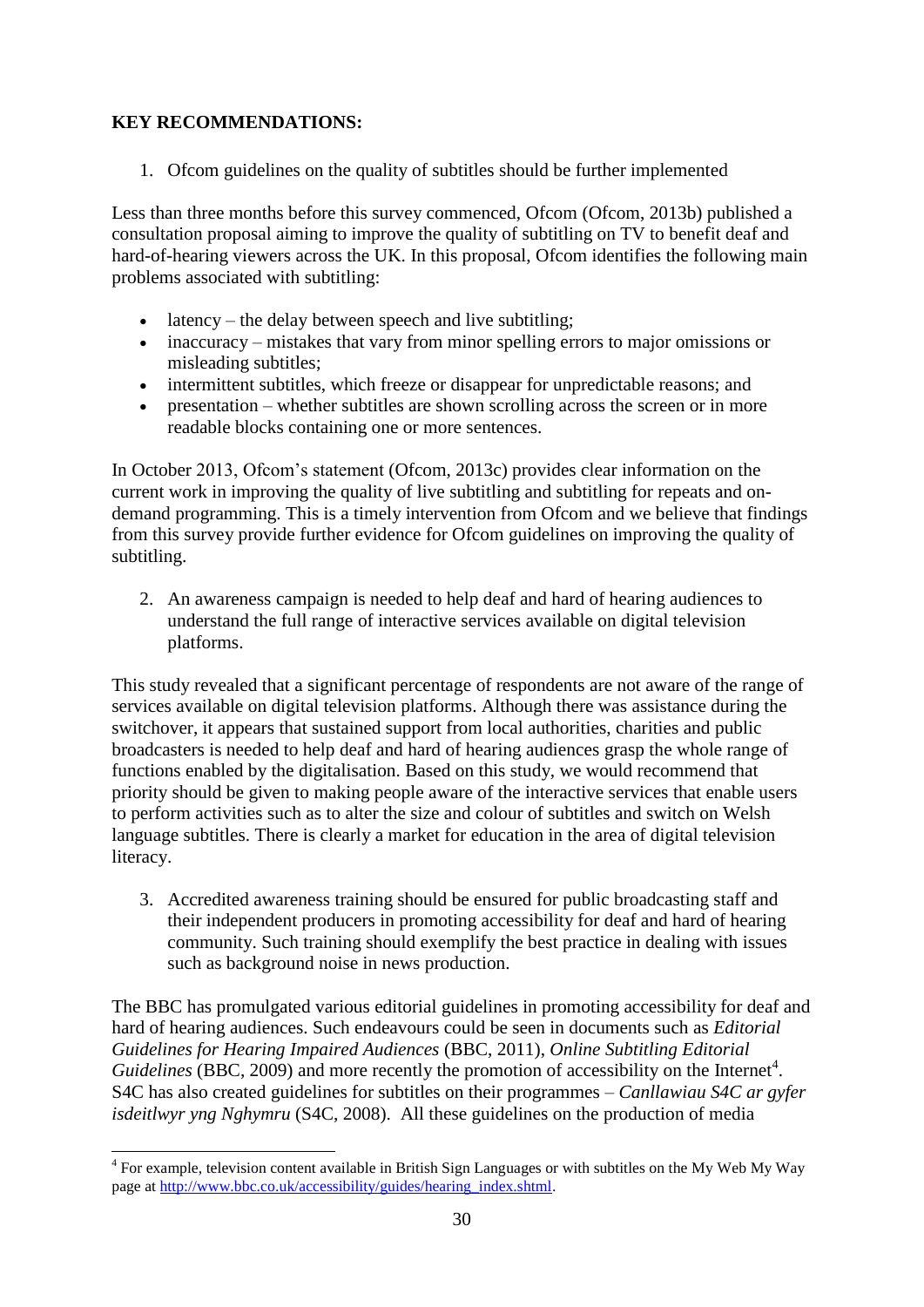## **KEY RECOMMENDATIONS:**

1. Ofcom guidelines on the quality of subtitles should be further implemented

Less than three months before this survey commenced, Ofcom (Ofcom, 2013b) published a consultation proposal aiming to improve the quality of subtitling on TV to benefit deaf and hard-of-hearing viewers across the UK. In this proposal, Ofcom identifies the following main problems associated with subtitling:

- $\bullet$  latency the delay between speech and live subtitling;
- inaccuracy mistakes that vary from minor spelling errors to major omissions or misleading subtitles;
- intermittent subtitles, which freeze or disappear for unpredictable reasons; and
- presentation whether subtitles are shown scrolling across the screen or in more readable blocks containing one or more sentences.

In October 2013, Ofcom's statement (Ofcom, 2013c) provides clear information on the current work in improving the quality of live subtitling and subtitling for repeats and ondemand programming. This is a timely intervention from Ofcom and we believe that findings from this survey provide further evidence for Ofcom guidelines on improving the quality of subtitling.

2. An awareness campaign is needed to help deaf and hard of hearing audiences to understand the full range of interactive services available on digital television platforms.

This study revealed that a significant percentage of respondents are not aware of the range of services available on digital television platforms. Although there was assistance during the switchover, it appears that sustained support from local authorities, charities and public broadcasters is needed to help deaf and hard of hearing audiences grasp the whole range of functions enabled by the digitalisation. Based on this study, we would recommend that priority should be given to making people aware of the interactive services that enable users to perform activities such as to alter the size and colour of subtitles and switch on Welsh language subtitles. There is clearly a market for education in the area of digital television literacy.

3. Accredited awareness training should be ensured for public broadcasting staff and their independent producers in promoting accessibility for deaf and hard of hearing community. Such training should exemplify the best practice in dealing with issues such as background noise in news production.

The BBC has promulgated various editorial guidelines in promoting accessibility for deaf and hard of hearing audiences. Such endeavours could be seen in documents such as *Editorial Guidelines for Hearing Impaired Audiences* (BBC, 2011), *Online Subtitling Editorial*  Guidelines (BBC, 2009) and more recently the promotion of accessibility on the Internet<sup>4</sup>. S4C has also created guidelines for subtitles on their programmes – *Canllawiau S4C ar gyfer isdeitlwyr yng Nghymru* (S4C, 2008). All these guidelines on the production of media

The sample, television content available in British Sign Languages or with subtitles on the My Web My Way page at [http://www.bbc.co.uk/accessibility/guides/hearing\\_index.shtml.](http://www.bbc.co.uk/accessibility/guides/hearing_index.shtml)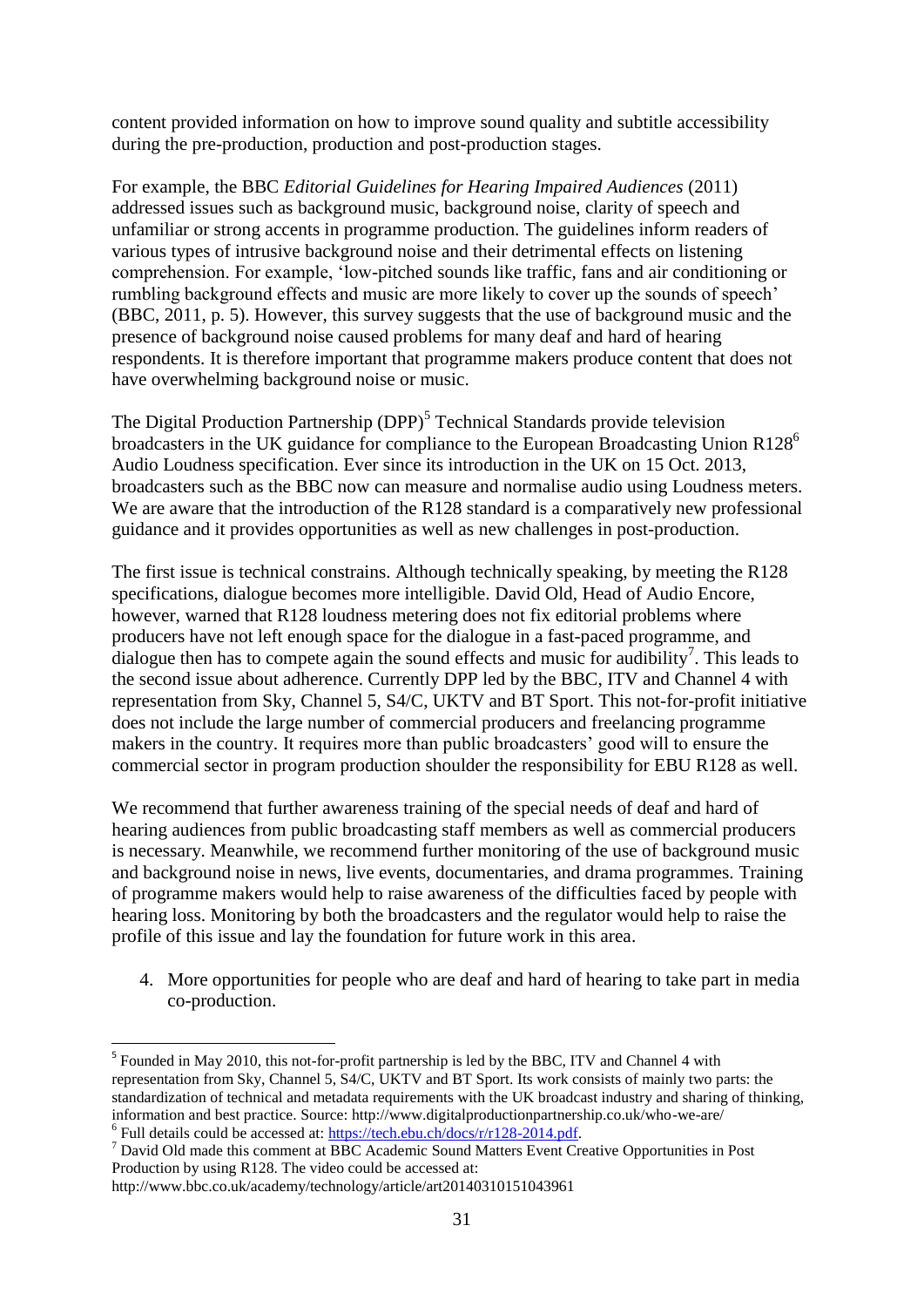content provided information on how to improve sound quality and subtitle accessibility during the pre-production, production and post-production stages.

For example, the BBC *Editorial Guidelines for Hearing Impaired Audiences* (2011) addressed issues such as background music, background noise, clarity of speech and unfamiliar or strong accents in programme production. The guidelines inform readers of various types of intrusive background noise and their detrimental effects on listening comprehension. For example, 'low-pitched sounds like traffic, fans and air conditioning or rumbling background effects and music are more likely to cover up the sounds of speech' (BBC, 2011, p. 5). However, this survey suggests that the use of background music and the presence of background noise caused problems for many deaf and hard of hearing respondents. It is therefore important that programme makers produce content that does not have overwhelming background noise or music.

The Digital Production Partnership (DPP)<sup>5</sup> Technical Standards provide television broadcasters in the UK guidance for compliance to the European Broadcasting Union R128<sup>6</sup> Audio Loudness specification. Ever since its introduction in the UK on 15 Oct. 2013, broadcasters such as the BBC now can measure and normalise audio using Loudness meters. We are aware that the introduction of the R128 standard is a comparatively new professional guidance and it provides opportunities as well as new challenges in post-production.

The first issue is technical constrains. Although technically speaking, by meeting the R128 specifications, dialogue becomes more intelligible. David Old, Head of Audio Encore, however, warned that R128 loudness metering does not fix editorial problems where producers have not left enough space for the dialogue in a fast-paced programme, and dialogue then has to compete again the sound effects and music for audibility<sup>7</sup>. This leads to the second issue about adherence. Currently DPP led by the BBC, ITV and Channel 4 with representation from Sky, Channel 5, S4/C, UKTV and BT Sport. This not-for-profit initiative does not include the large number of commercial producers and freelancing programme makers in the country. It requires more than public broadcasters' good will to ensure the commercial sector in program production shoulder the responsibility for EBU R128 as well.

We recommend that further awareness training of the special needs of deaf and hard of hearing audiences from public broadcasting staff members as well as commercial producers is necessary. Meanwhile, we recommend further monitoring of the use of background music and background noise in news, live events, documentaries, and drama programmes. Training of programme makers would help to raise awareness of the difficulties faced by people with hearing loss. Monitoring by both the broadcasters and the regulator would help to raise the profile of this issue and lay the foundation for future work in this area.

4. More opportunities for people who are deaf and hard of hearing to take part in media co-production.

<u>.</u>

<sup>&</sup>lt;sup>5</sup> Founded in May 2010, this not-for-profit partnership is led by the BBC, ITV and Channel 4 with representation from Sky, Channel 5, S4/C, UKTV and BT Sport. Its work consists of mainly two parts: the standardization of technical and metadata requirements with the UK broadcast industry and sharing of thinking, information and best practice. Source: http://www.digitalproductionpartnership.co.uk/who-we-are/  $6$  Full details could be accessed at: [https://tech.ebu.ch/docs/r/r128-2014.pdf.](https://tech.ebu.ch/docs/r/r128-2014.pdf)

<sup>7</sup> David Old made this comment at BBC Academic Sound Matters Event Creative Opportunities in Post Production by using R128. The video could be accessed at:

http://www.bbc.co.uk/academy/technology/article/art20140310151043961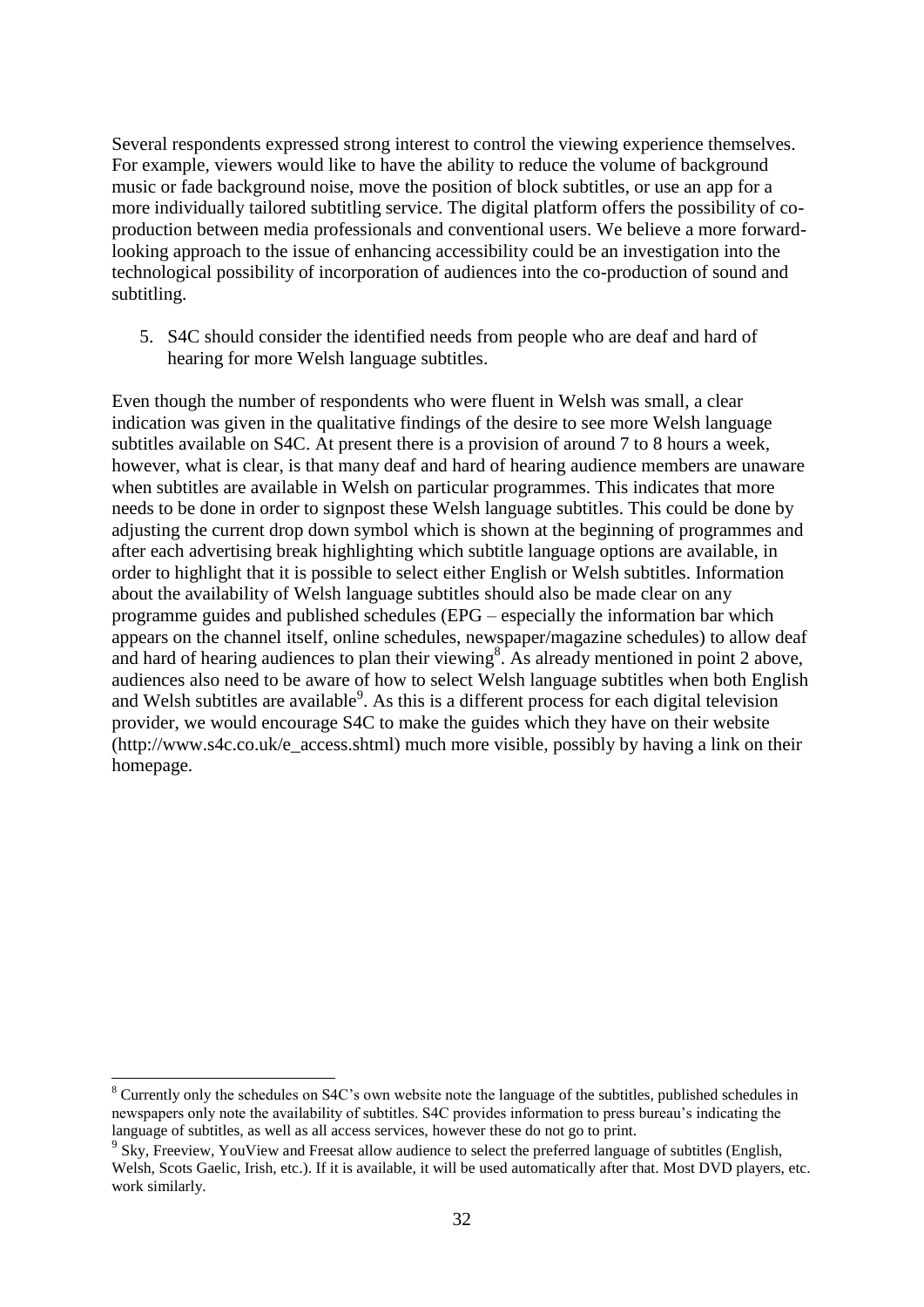Several respondents expressed strong interest to control the viewing experience themselves. For example, viewers would like to have the ability to reduce the volume of background music or fade background noise, move the position of block subtitles, or use an app for a more individually tailored subtitling service. The digital platform offers the possibility of coproduction between media professionals and conventional users. We believe a more forwardlooking approach to the issue of enhancing accessibility could be an investigation into the technological possibility of incorporation of audiences into the co-production of sound and subtitling.

5. S4C should consider the identified needs from people who are deaf and hard of hearing for more Welsh language subtitles.

Even though the number of respondents who were fluent in Welsh was small, a clear indication was given in the qualitative findings of the desire to see more Welsh language subtitles available on S4C. At present there is a provision of around 7 to 8 hours a week, however, what is clear, is that many deaf and hard of hearing audience members are unaware when subtitles are available in Welsh on particular programmes. This indicates that more needs to be done in order to signpost these Welsh language subtitles. This could be done by adjusting the current drop down symbol which is shown at the beginning of programmes and after each advertising break highlighting which subtitle language options are available, in order to highlight that it is possible to select either English or Welsh subtitles. Information about the availability of Welsh language subtitles should also be made clear on any programme guides and published schedules (EPG – especially the information bar which appears on the channel itself, online schedules, newspaper/magazine schedules) to allow deaf and hard of hearing audiences to plan their viewing<sup>8</sup>. As already mentioned in point 2 above, audiences also need to be aware of how to select Welsh language subtitles when both English and Welsh subtitles are available<sup>9</sup>. As this is a different process for each digital television provider, we would encourage S4C to make the guides which they have on their website (http://www.s4c.co.uk/e\_access.shtml) much more visible, possibly by having a link on their homepage.

<u>.</u>

<sup>&</sup>lt;sup>8</sup> Currently only the schedules on S4C's own website note the language of the subtitles, published schedules in newspapers only note the availability of subtitles. S4C provides information to press bureau's indicating the language of subtitles, as well as all access services, however these do not go to print.

<sup>&</sup>lt;sup>9</sup> Sky, Freeview, YouView and Freesat allow audience to select the preferred language of subtitles (English, Welsh, Scots Gaelic, Irish, etc.). If it is available, it will be used automatically after that. Most DVD players, etc. work similarly.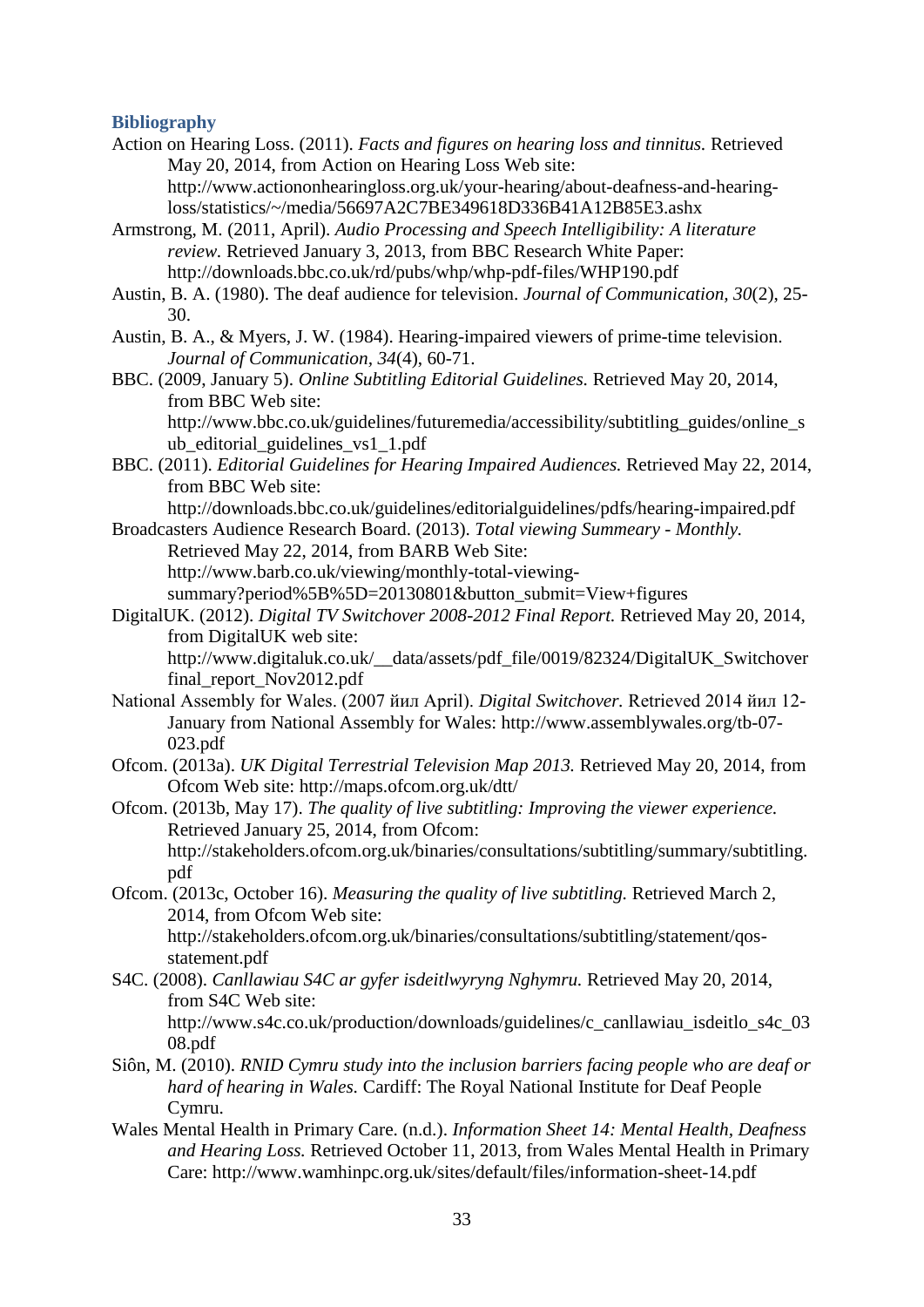#### **Bibliography**

- Action on Hearing Loss. (2011). *Facts and figures on hearing loss and tinnitus.* Retrieved May 20, 2014, from Action on Hearing Loss Web site: http://www.actiononhearingloss.org.uk/your-hearing/about-deafness-and-hearingloss/statistics/~/media/56697A2C7BE349618D336B41A12B85E3.ashx
- Armstrong, M. (2011, April). *Audio Processing and Speech Intelligibility: A literature review.* Retrieved January 3, 2013, from BBC Research White Paper: http://downloads.bbc.co.uk/rd/pubs/whp/whp-pdf-files/WHP190.pdf
- Austin, B. A. (1980). The deaf audience for television. *Journal of Communication, 30*(2), 25- 30.
- Austin, B. A., & Myers, J. W. (1984). Hearing-impaired viewers of prime-time television. *Journal of Communication, 34*(4), 60-71.
- BBC. (2009, January 5). *Online Subtitling Editorial Guidelines.* Retrieved May 20, 2014, from BBC Web site:

http://www.bbc.co.uk/guidelines/futuremedia/accessibility/subtitling\_guides/online\_s ub\_editorial\_guidelines\_vs1\_1.pdf

BBC. (2011). *Editorial Guidelines for Hearing Impaired Audiences.* Retrieved May 22, 2014, from BBC Web site:

http://downloads.bbc.co.uk/guidelines/editorialguidelines/pdfs/hearing-impaired.pdf

Broadcasters Audience Research Board. (2013). *Total viewing Summeary - Monthly.* Retrieved May 22, 2014, from BARB Web Site: http://www.barb.co.uk/viewing/monthly-total-viewing-

summary?period%5B%5D=20130801&button\_submit=View+figures

DigitalUK. (2012). *Digital TV Switchover 2008-2012 Final Report.* Retrieved May 20, 2014, from DigitalUK web site:

http://www.digitaluk.co.uk/\_\_data/assets/pdf\_file/0019/82324/DigitalUK\_Switchover final\_report\_Nov2012.pdf

- National Assembly for Wales. (2007 йил April). *Digital Switchover.* Retrieved 2014 йил 12- January from National Assembly for Wales: http://www.assemblywales.org/tb-07- 023.pdf
- Ofcom. (2013a). *UK Digital Terrestrial Television Map 2013.* Retrieved May 20, 2014, from Ofcom Web site: http://maps.ofcom.org.uk/dtt/
- Ofcom. (2013b, May 17). *The quality of live subtitling: Improving the viewer experience.* Retrieved January 25, 2014, from Ofcom: http://stakeholders.ofcom.org.uk/binaries/consultations/subtitling/summary/subtitling. pdf
- Ofcom. (2013c, October 16). *Measuring the quality of live subtitling.* Retrieved March 2, 2014, from Ofcom Web site: http://stakeholders.ofcom.org.uk/binaries/consultations/subtitling/statement/qos-

statement.pdf

S4C. (2008). *Canllawiau S4C ar gyfer isdeitlwyryng Nghymru.* Retrieved May 20, 2014, from S4C Web site:

http://www.s4c.co.uk/production/downloads/guidelines/c\_canllawiau\_isdeitlo\_s4c\_03 08.pdf

- Siôn, M. (2010). *RNID Cymru study into the inclusion barriers facing people who are deaf or hard of hearing in Wales.* Cardiff: The Royal National Institute for Deaf People Cymru.
- Wales Mental Health in Primary Care. (n.d.). *Information Sheet 14: Mental Health, Deafness and Hearing Loss.* Retrieved October 11, 2013, from Wales Mental Health in Primary Care: http://www.wamhinpc.org.uk/sites/default/files/information-sheet-14.pdf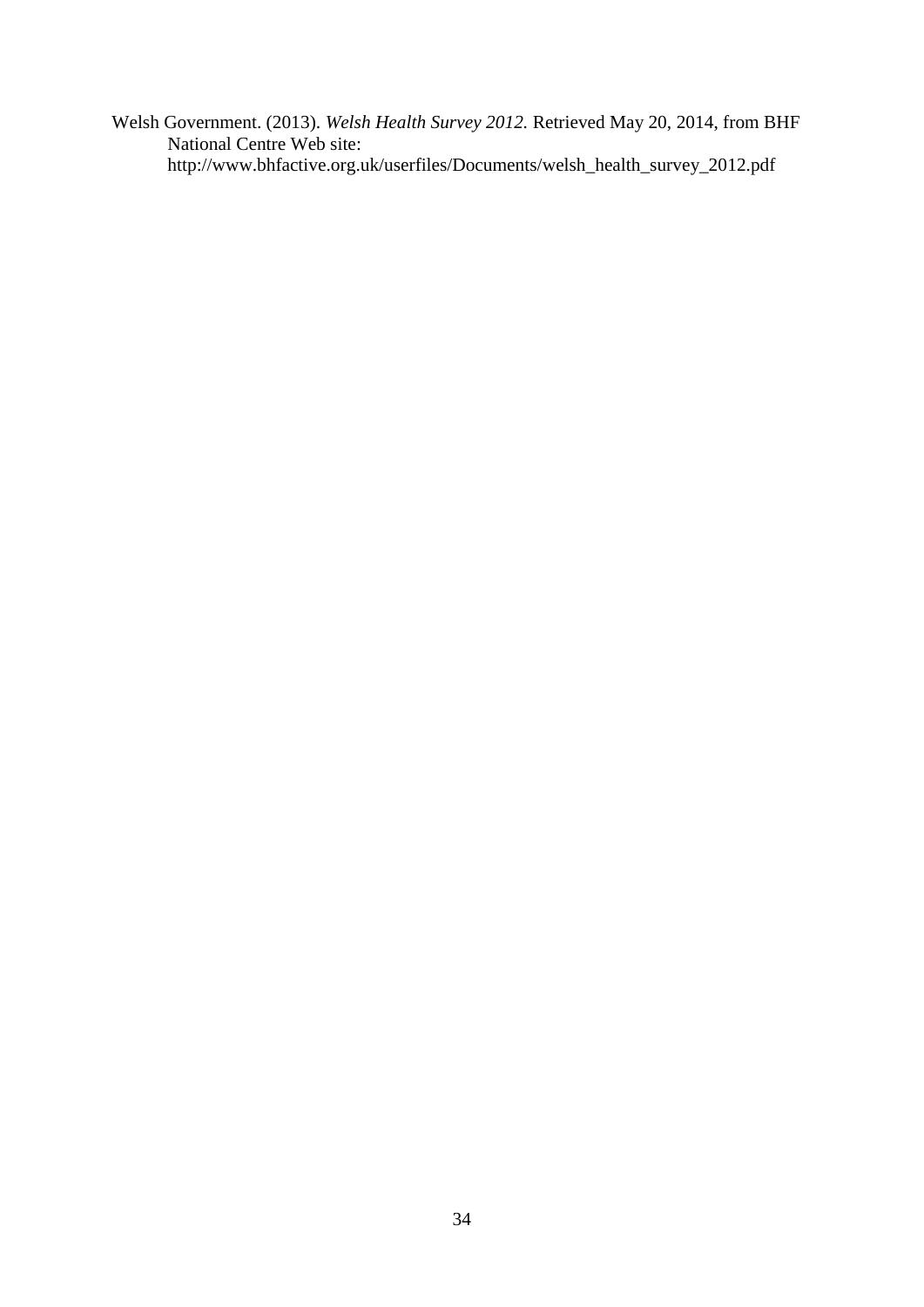Welsh Government. (2013). *Welsh Health Survey 2012.* Retrieved May 20, 2014, from BHF National Centre Web site: http://www.bhfactive.org.uk/userfiles/Documents/welsh\_health\_survey\_2012.pdf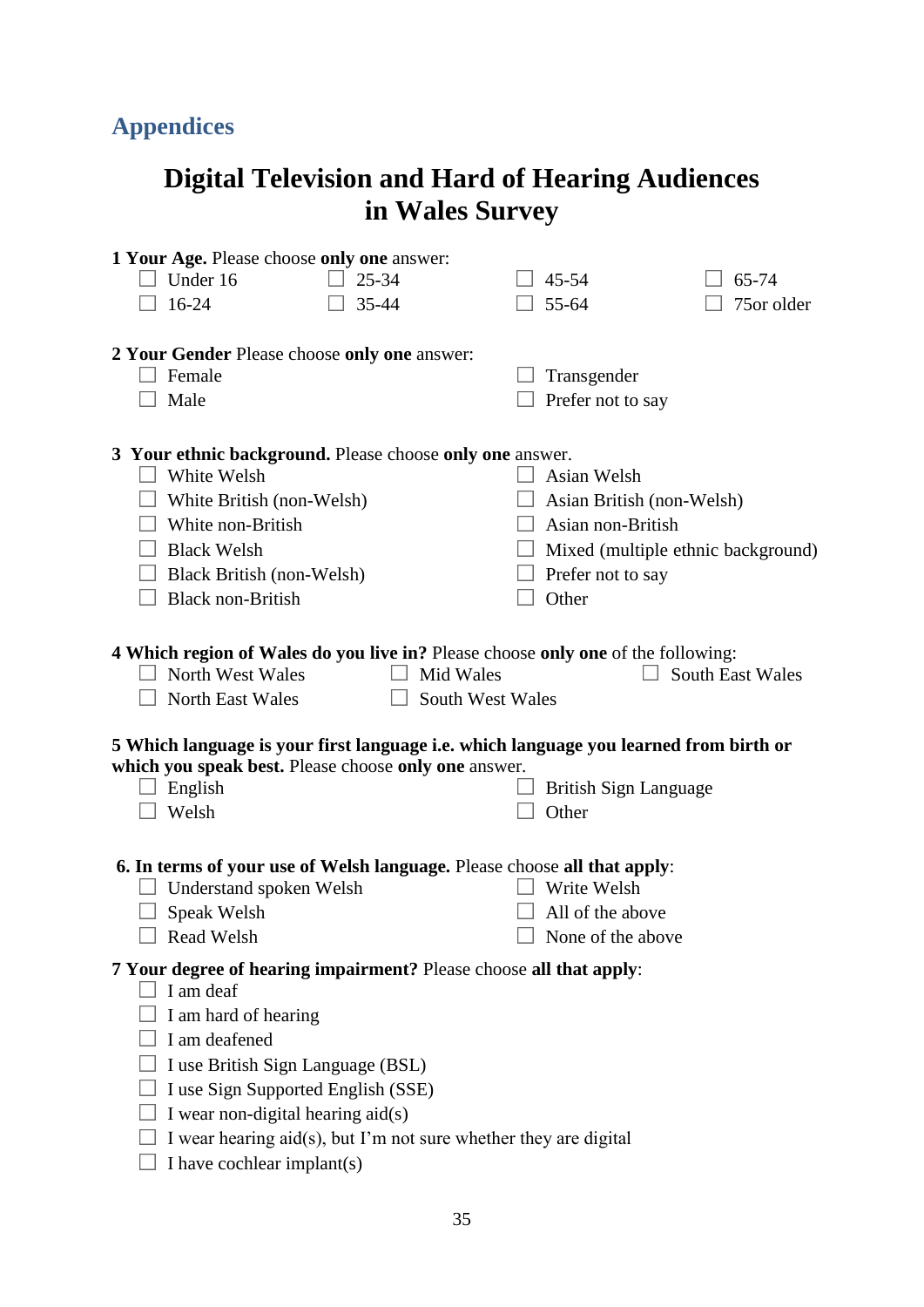## **Appendices**

## **Digital Television and Hard of Hearing Audiences in Wales Survey**

| 1 Your Age. Please choose only one answer:                                                     |                           |                                    |
|------------------------------------------------------------------------------------------------|---------------------------|------------------------------------|
| Under 16<br>25-34                                                                              | 45-54                     | 65-74                              |
| $16 - 24$<br>35-44                                                                             | 55-64                     | 75or older                         |
|                                                                                                |                           |                                    |
| 2 Your Gender Please choose only one answer:                                                   |                           |                                    |
| Female                                                                                         | Transgender               |                                    |
| Male                                                                                           | Prefer not to say         |                                    |
|                                                                                                |                           |                                    |
| 3 Your ethnic background. Please choose only one answer.                                       |                           |                                    |
| White Welsh                                                                                    | Asian Welsh               |                                    |
| White British (non-Welsh)                                                                      | Asian British (non-Welsh) |                                    |
| White non-British                                                                              | Asian non-British         |                                    |
| <b>Black Welsh</b>                                                                             |                           | Mixed (multiple ethnic background) |
| Black British (non-Welsh)                                                                      | Prefer not to say         |                                    |
| <b>Black non-British</b>                                                                       | Other                     |                                    |
|                                                                                                |                           |                                    |
| 4 Which region of Wales do you live in? Please choose only one of the following:               |                           |                                    |
| Mid Wales<br>North West Wales                                                                  |                           | <b>South East Wales</b>            |
|                                                                                                |                           |                                    |
| <b>North East Wales</b><br>South West Wales                                                    |                           |                                    |
| 5 Which language is your first language i.e. which language you learned from birth or          |                           |                                    |
| which you speak best. Please choose only one answer.                                           |                           |                                    |
| English                                                                                        | British Sign Language     |                                    |
| Welsh                                                                                          | Other                     |                                    |
|                                                                                                |                           |                                    |
| 6. In terms of your use of Welsh language. Please choose all that apply:                       |                           |                                    |
| Understand spoken Welsh                                                                        | Write Welsh               |                                    |
| Speak Welsh                                                                                    | All of the above          |                                    |
| <b>Read Welsh</b>                                                                              | None of the above         |                                    |
| 7 Your degree of hearing impairment? Please choose all that apply:                             |                           |                                    |
| I am deaf                                                                                      |                           |                                    |
| I am hard of hearing                                                                           |                           |                                    |
| I am deafened                                                                                  |                           |                                    |
| I use British Sign Language (BSL)                                                              |                           |                                    |
| I use Sign Supported English (SSE)                                                             |                           |                                    |
| I wear non-digital hearing aid(s)                                                              |                           |                                    |
| I wear hearing aid(s), but I'm not sure whether they are digital<br>I have cochlear implant(s) |                           |                                    |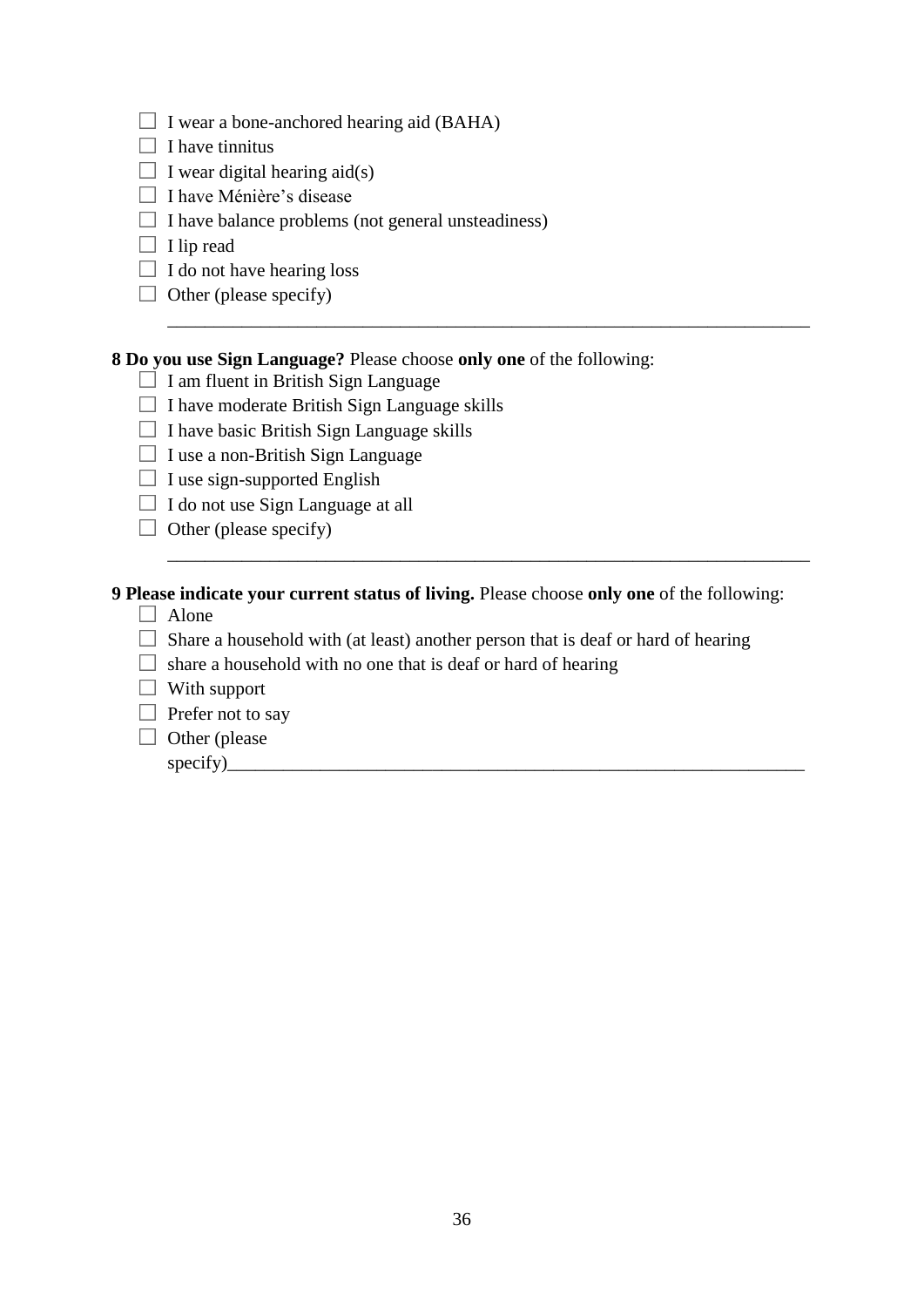- $\Box$  I wear a bone-anchored hearing aid (BAHA)
- $\Box$  I have tinnitus
- $\Box$  I wear digital hearing aid(s)
- □ I have Ménière's disease
- $\Box$  I have balance problems (not general unsteadiness)
- $\Box$  I lip read
- $\Box$  I do not have hearing loss
- $\Box$  Other (please specify)

## **8 Do you use Sign Language?** Please choose **only one** of the following:

- $\Box$  I am fluent in British Sign Language
- $\Box$  I have moderate British Sign Language skills
- $\Box$  I have basic British Sign Language skills
- $\Box$  I use a non-British Sign Language
- $\Box$  I use sign-supported English
- $\Box$  I do not use Sign Language at all
- $\Box$  Other (please specify)

## **9 Please indicate your current status of living.** Please choose **only one** of the following:

\_\_\_\_\_\_\_\_\_\_\_\_\_\_\_\_\_\_\_\_\_\_\_\_\_\_\_\_\_\_\_\_\_\_\_\_\_\_\_\_\_\_\_\_\_\_\_\_\_\_\_\_\_\_\_\_\_\_\_\_\_\_\_\_\_\_\_\_\_

\_\_\_\_\_\_\_\_\_\_\_\_\_\_\_\_\_\_\_\_\_\_\_\_\_\_\_\_\_\_\_\_\_\_\_\_\_\_\_\_\_\_\_\_\_\_\_\_\_\_\_\_\_\_\_\_\_\_\_\_\_\_\_\_\_\_\_\_\_

- $\Box$  Alone
- $\Box$  Share a household with (at least) another person that is deaf or hard of hearing
- $\Box$  share a household with no one that is deaf or hard of hearing
- $\Box$  With support
- $\Box$  Prefer not to say
- $\Box$  Other (please)
	- $specify)$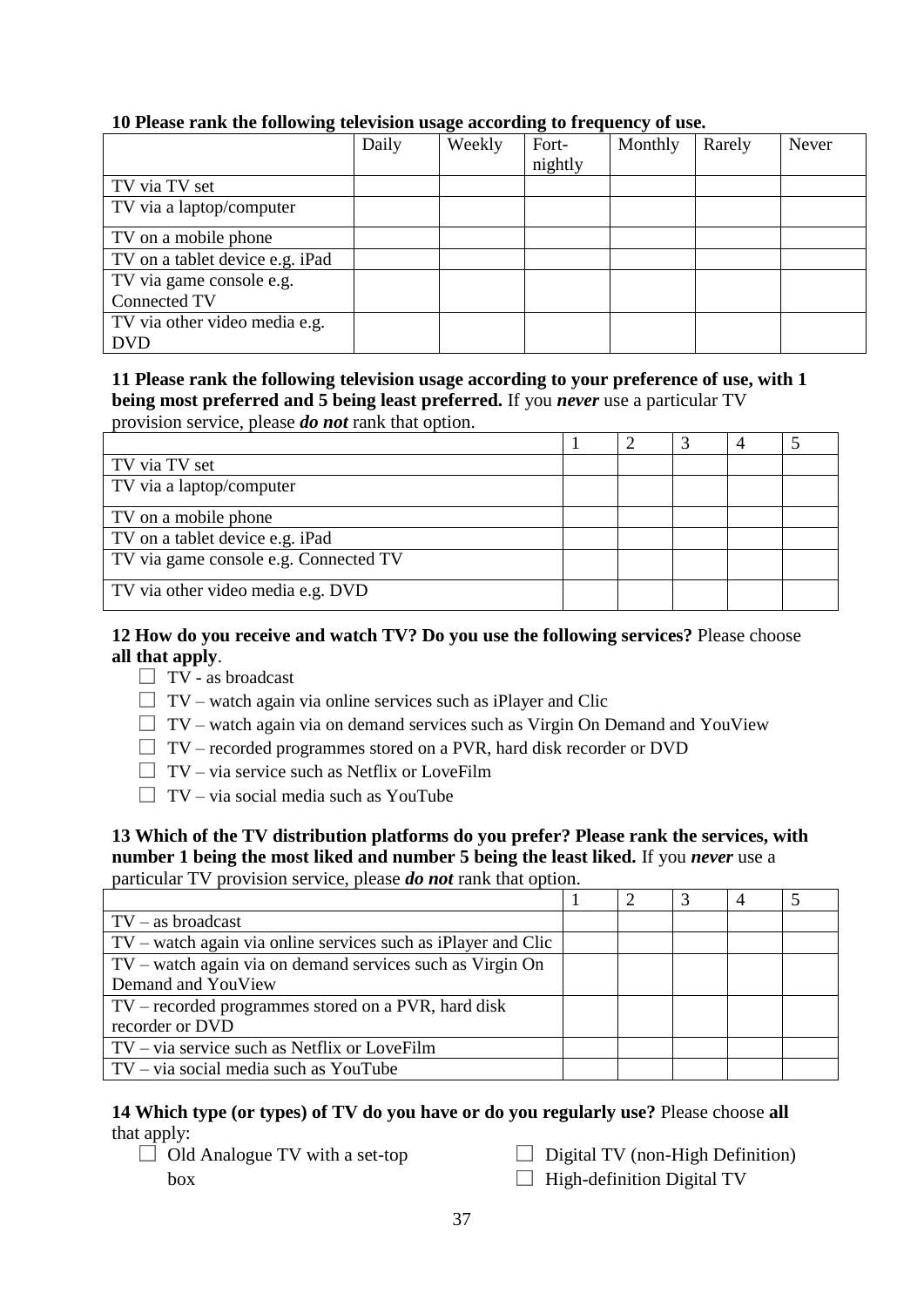#### Daily Weekly Fortnightly Monthly Rarely Never TV via TV set TV via a laptop/computer TV on a mobile phone TV on a tablet device e.g. iPad TV via game console e.g. Connected TV TV via other video media e.g. DVD

## **10 Please rank the following television usage according to frequency of use.**

#### **11 Please rank the following television usage according to your preference of use, with 1 being most preferred and 5 being least preferred.** If you *never* use a particular TV provision service, please *do not* rank that option.

| TV via TV set                         |  |  |  |
|---------------------------------------|--|--|--|
| TV via a laptop/computer              |  |  |  |
| TV on a mobile phone                  |  |  |  |
| TV on a tablet device e.g. iPad       |  |  |  |
| TV via game console e.g. Connected TV |  |  |  |
| TV via other video media e.g. DVD     |  |  |  |

## **12 How do you receive and watch TV? Do you use the following services?** Please choose **all that apply**.

- $\Box$  TV as broadcast
- $\Box$  TV watch again via online services such as iPlayer and Clic
- $\Box$  TV watch again via on demand services such as Virgin On Demand and YouView
- $\Box$  TV recorded programmes stored on a PVR, hard disk recorder or DVD
- $\Box$  TV via service such as Netflix or LoveFilm
- $\Box$  TV via social media such as YouTube

#### **13 Which of the TV distribution platforms do you prefer? Please rank the services, with number 1 being the most liked and number 5 being the least liked.** If you *never* use a particular TV provision service, please *do not* rank that option.

 $1 \t| 2 \t| 3 \t| 4 \t| 5$ TV – as broadcast TV – watch again via online services such as iPlayer and Clic TV – watch again via on demand services such as Virgin On Demand and YouView TV – recorded programmes stored on a PVR, hard disk recorder or DVD TV – via service such as Netflix or LoveFilm TV – via social media such as YouTube

#### **14 Which type (or types) of TV do you have or do you regularly use?** Please choose **all** that apply:

- $\Box$  Old Analogue TV with a set-top box
- $\Box$  Digital TV (non-High Definition)

 $\Box$  High-definition Digital TV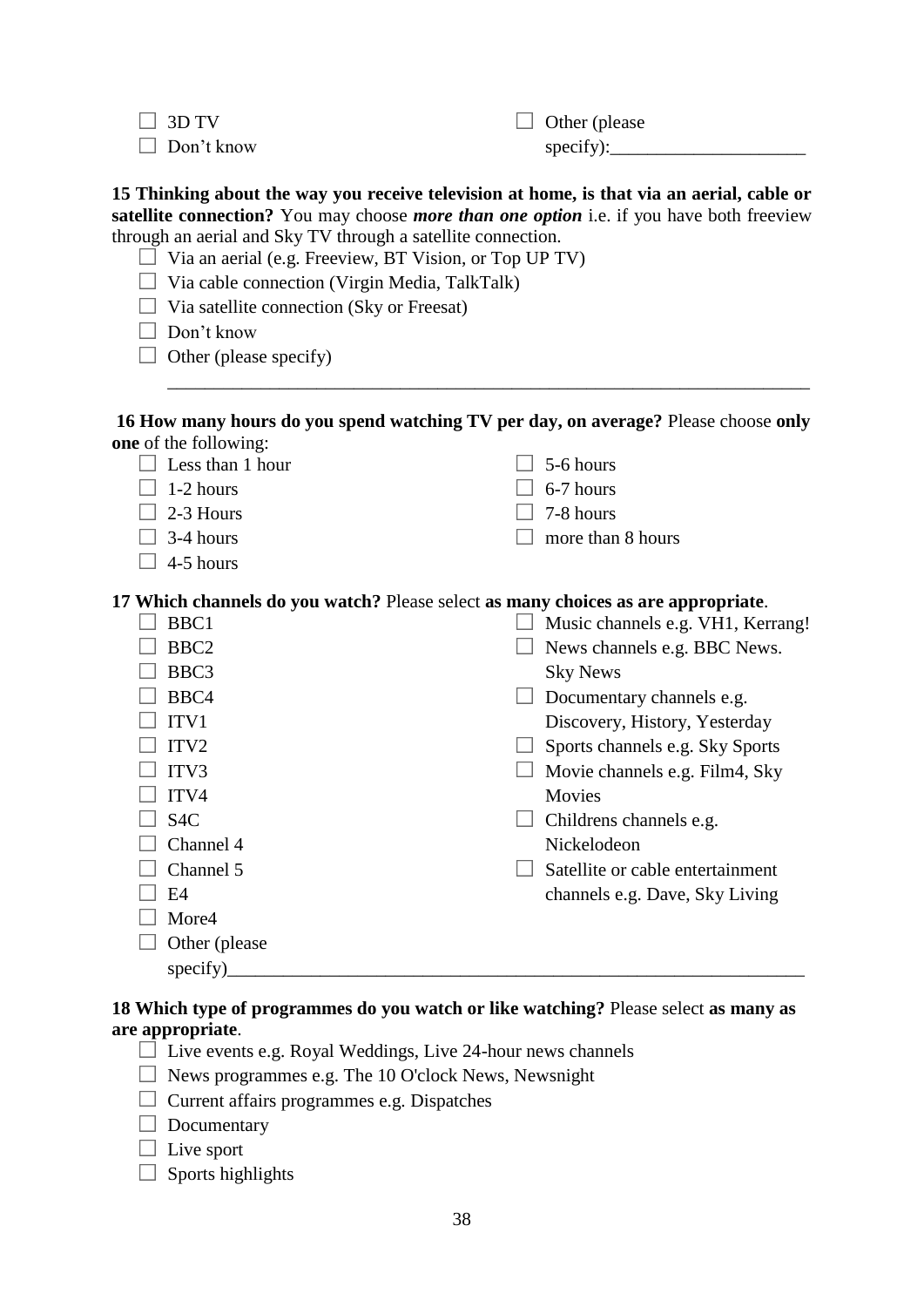$\Box$  3D TV

 $\Box$  Other (please specify):

 $\Box$  Don't know

**15 Thinking about the way you receive television at home, is that via an aerial, cable or** 

**satellite connection?** You may choose *more than one option* i.e. if you have both freeview through an aerial and Sky TV through a satellite connection.

- $\Box$  Via an aerial (e.g. Freeview, BT Vision, or Top UP TV)
- $\Box$  Via cable connection (Virgin Media, TalkTalk)

 $\Box$  Via satellite connection (Sky or Freesat)

 $\Box$  Don't know

|  |  |  | $\Box$ Other (please specify) |
|--|--|--|-------------------------------|
|--|--|--|-------------------------------|

#### **16 How many hours do you spend watching TV per day, on average?** Please choose **only one** of the following:

\_\_\_\_\_\_\_\_\_\_\_\_\_\_\_\_\_\_\_\_\_\_\_\_\_\_\_\_\_\_\_\_\_\_\_\_\_\_\_\_\_\_\_\_\_\_\_\_\_\_\_\_\_\_\_\_\_\_\_\_\_\_\_\_\_\_\_\_\_

| $\Box$ Less than 1 hour | $\Box$ 5-6 hours         |
|-------------------------|--------------------------|
| $\Box$ 1-2 hours        | $\Box$ 6-7 hours         |
| $\Box$ 2-3 Hours        | $\Box$ 7-8 hours         |
| $\Box$ 3-4 hours        | $\Box$ more than 8 hours |

 $\Box$  4-5 hours

**17 Which channels do you watch?** Please select **as many choices as are appropriate**.

| BBC1             | Music channels e.g. VH1, Kerrang! |
|------------------|-----------------------------------|
| BBC <sub>2</sub> | News channels e.g. BBC News.      |
| BBC3             | <b>Sky News</b>                   |
| BBC4             | Documentary channels e.g.         |
| ITV1             | Discovery, History, Yesterday     |
| ITV <sub>2</sub> | Sports channels e.g. Sky Sports   |
| ITV <sub>3</sub> | Movie channels e.g. Film4, Sky    |
| ITV4             | Movies                            |
| S <sub>4</sub> C | Childrens channels e.g.           |
| Channel 4        | Nickelodeon                       |
| Channel 5        | Satellite or cable entertainment  |
| E4               | channels e.g. Dave, Sky Living    |
| More4            |                                   |
| Other (please)   |                                   |
| specify)         |                                   |
|                  |                                   |

## **18 Which type of programmes do you watch or like watching?** Please select **as many as are appropriate**.

- $\Box$  Live events e.g. Royal Weddings, Live 24-hour news channels
- $\Box$  News programmes e.g. The 10 O'clock News, Newsnight
- $\Box$  Current affairs programmes e.g. Dispatches

 $\Box$  Documentary

 $\Box$  Live sport

 $\Box$  Sports highlights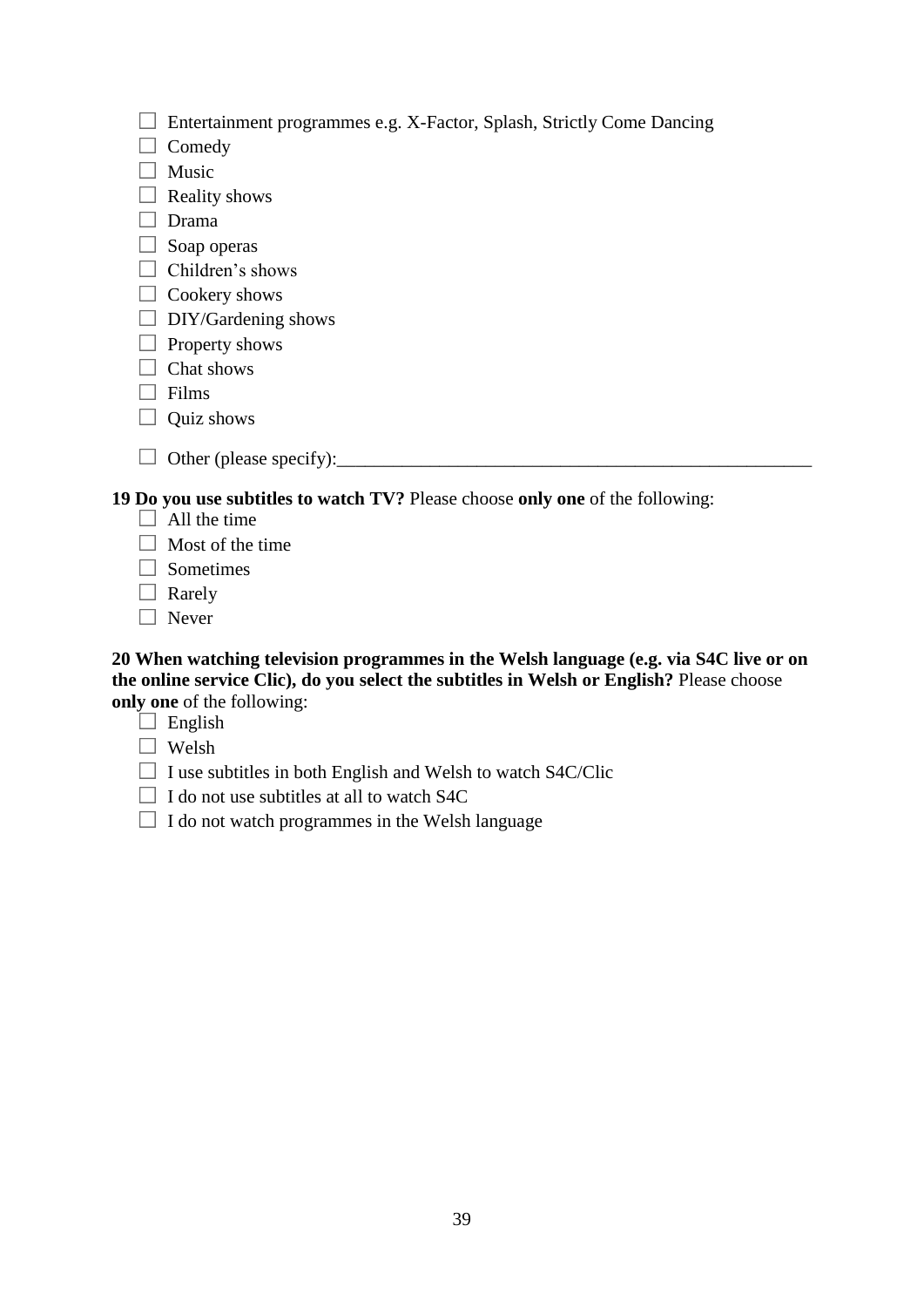| □ Entertainment programmes e.g. X-Factor, Splash, Strictly Come Dancing |  |  |
|-------------------------------------------------------------------------|--|--|
|-------------------------------------------------------------------------|--|--|

- $\Box$  Comedy
- $\Box$  Music
- $\Box$  Reality shows
- $\Box$  Drama
- $\Box$  Soap operas
- $\Box$  Children's shows
- $\Box$  Cookery shows
- $\Box$  DIY/Gardening shows
- $\Box$  Property shows
- $\Box$  Chat shows
- $\Box$  Films
- $\Box$  Quiz shows
- $\Box$  Other (please specify):

## **19 Do you use subtitles to watch TV?** Please choose **only one** of the following:

- $\Box$  All the time
- $\Box$  Most of the time
- $\Box$  Sometimes
- $\Box$  Rarely
- $\Box$  Never

#### **20 When watching television programmes in the Welsh language (e.g. via S4C live or on the online service Clic), do you select the subtitles in Welsh or English?** Please choose **only one** of the following:

 $\Box$  English

- Welsh
- $\Box$  I use subtitles in both English and Welsh to watch S4C/Clic
- $\Box$  I do not use subtitles at all to watch S4C
- $\Box$  I do not watch programmes in the Welsh language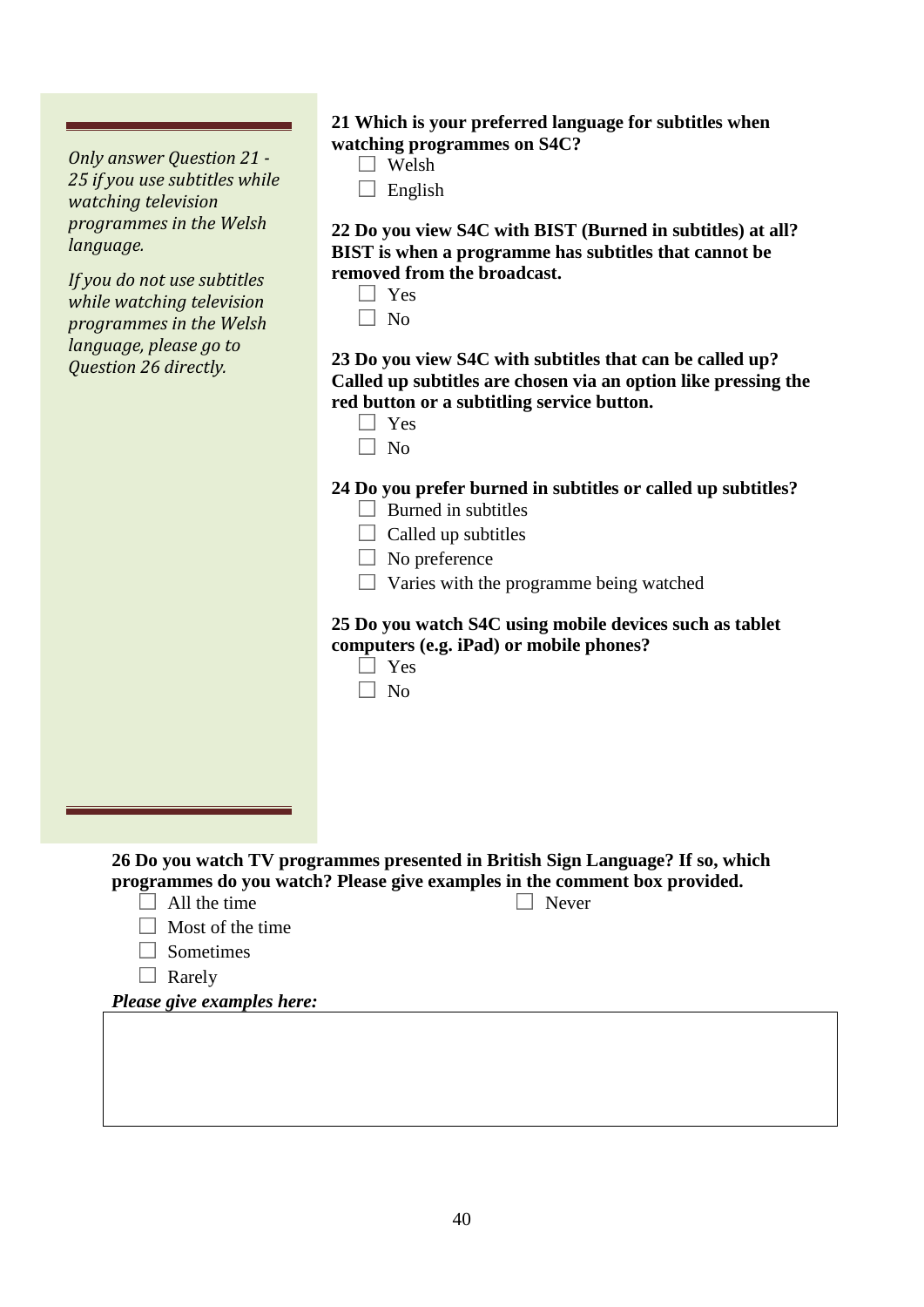*Only answer Question 21 - 25 if you use subtitles while watching television programmes in the Welsh language.* 

*If you do not use subtitles while watching television programmes in the Welsh language, please go to Question 26 directly.* 

#### **21 Which is your preferred language for subtitles when watching programmes on S4C?**

- $\Box$  Welsh
- $\Box$  English

**22 Do you view S4C with BIST (Burned in subtitles) at all? BIST is when a programme has subtitles that cannot be removed from the broadcast.** 

 $\Box$  No

**23 Do you view S4C with subtitles that can be called up? Called up subtitles are chosen via an option like pressing the red button or a subtitling service button.** 

| ×<br>٧ |  |
|--------|--|
|--------|--|

 $\Box$  No

#### **24 Do you prefer burned in subtitles or called up subtitles?**   $\Box$  Burned in subtitles

- $\Box$  Called up subtitles
- $\Box$  No preference
- $\Box$  Varies with the programme being watched

#### **25 Do you watch S4C using mobile devices such as tablet computers (e.g. iPad) or mobile phones?**

- $\Box$  Yes
- $\Box$  No

**26 Do you watch TV programmes presented in British Sign Language? If so, which programmes do you watch? Please give examples in the comment box provided.** 

 $\Box$  All the time

□ Never

- $\Box$  Most of the time
- $\Box$  Sometimes
- $\Box$  Rarely

*Please give examples here:*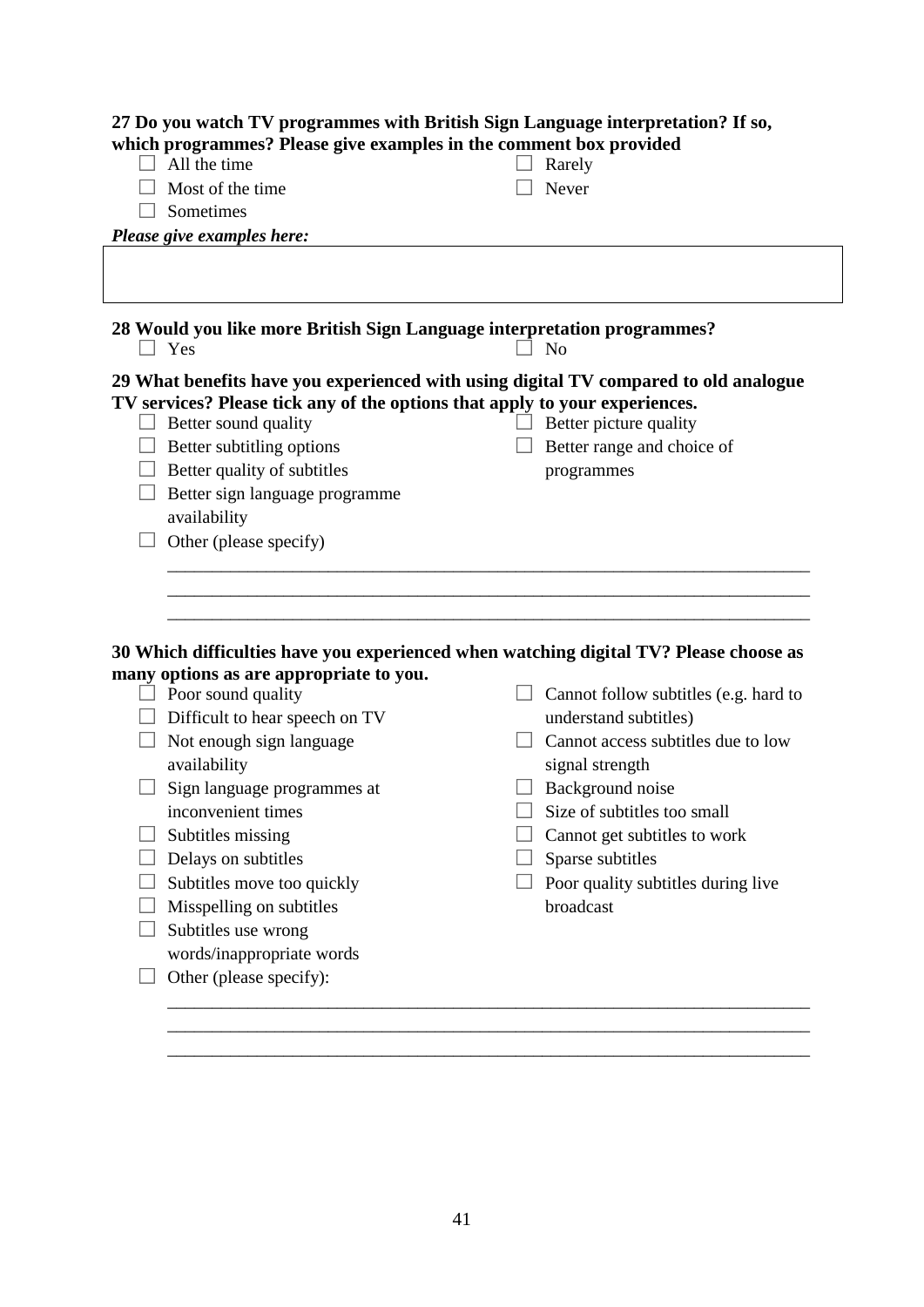|                                                                                                                                                                                                                                                                                                                               | 27 Do you watch TV programmes with British Sign Language interpretation? If so,                                                                                                                                                                                                                                                                                            |
|-------------------------------------------------------------------------------------------------------------------------------------------------------------------------------------------------------------------------------------------------------------------------------------------------------------------------------|----------------------------------------------------------------------------------------------------------------------------------------------------------------------------------------------------------------------------------------------------------------------------------------------------------------------------------------------------------------------------|
| which programmes? Please give examples in the comment box provided<br>All the time                                                                                                                                                                                                                                            | Rarely                                                                                                                                                                                                                                                                                                                                                                     |
| Most of the time                                                                                                                                                                                                                                                                                                              | Never                                                                                                                                                                                                                                                                                                                                                                      |
| Sometimes                                                                                                                                                                                                                                                                                                                     |                                                                                                                                                                                                                                                                                                                                                                            |
|                                                                                                                                                                                                                                                                                                                               |                                                                                                                                                                                                                                                                                                                                                                            |
| Please give examples here:                                                                                                                                                                                                                                                                                                    |                                                                                                                                                                                                                                                                                                                                                                            |
|                                                                                                                                                                                                                                                                                                                               |                                                                                                                                                                                                                                                                                                                                                                            |
| Yes                                                                                                                                                                                                                                                                                                                           | 28 Would you like more British Sign Language interpretation programmes?<br><b>No</b>                                                                                                                                                                                                                                                                                       |
| TV services? Please tick any of the options that apply to your experiences.<br>Better sound quality<br>Better subtitling options<br>Better quality of subtitles<br>Better sign language programme<br>availability<br>Other (please specify)                                                                                   | 29 What benefits have you experienced with using digital TV compared to old analogue<br>Better picture quality<br>Better range and choice of<br>programmes                                                                                                                                                                                                                 |
| many options as are appropriate to you.<br>Poor sound quality<br>Difficult to hear speech on TV<br>Not enough sign language<br>availability<br>Sign language programmes at<br>inconvenient times<br>Subtitles missing<br>Delays on subtitles<br>Subtitles move too quickly<br>Misspelling on subtitles<br>Subtitles use wrong | 30 Which difficulties have you experienced when watching digital TV? Please choose as<br>Cannot follow subtitles (e.g. hard to<br>understand subtitles)<br>Cannot access subtitles due to low<br>signal strength<br>Background noise<br>Size of subtitles too small<br>Cannot get subtitles to work<br>Sparse subtitles<br>Poor quality subtitles during live<br>broadcast |
| words/inappropriate words<br>Other (please specify):                                                                                                                                                                                                                                                                          |                                                                                                                                                                                                                                                                                                                                                                            |

41

\_\_\_\_\_\_\_\_\_\_\_\_\_\_\_\_\_\_\_\_\_\_\_\_\_\_\_\_\_\_\_\_\_\_\_\_\_\_\_\_\_\_\_\_\_\_\_\_\_\_\_\_\_\_\_\_\_\_\_\_\_\_\_\_\_\_\_\_\_\_\_\_ \_\_\_\_\_\_\_\_\_\_\_\_\_\_\_\_\_\_\_\_\_\_\_\_\_\_\_\_\_\_\_\_\_\_\_\_\_\_\_\_\_\_\_\_\_\_\_\_\_\_\_\_\_\_\_\_\_\_\_\_\_\_\_\_\_\_\_\_\_\_\_\_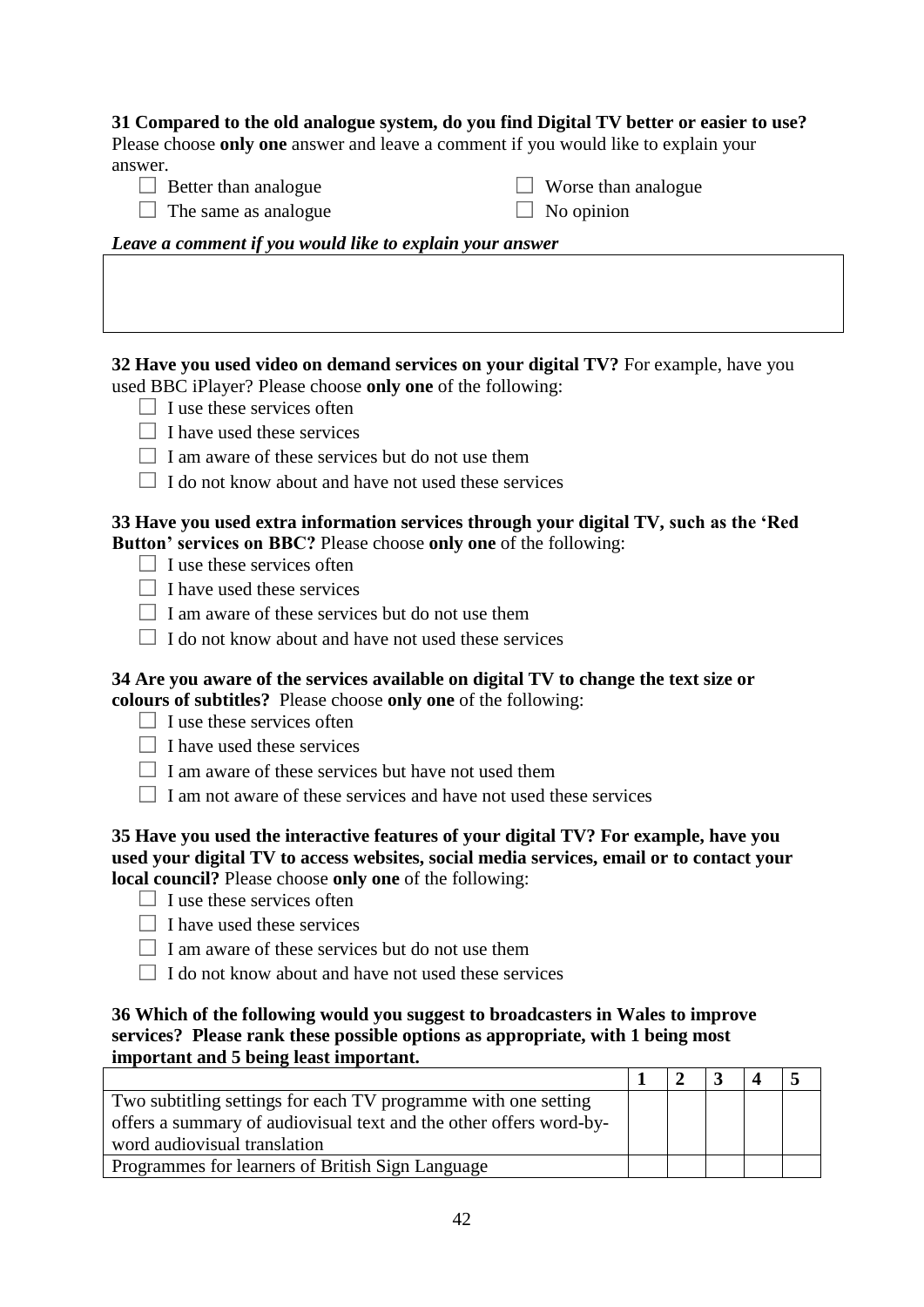#### **31 Compared to the old analogue system, do you find Digital TV better or easier to use?**

Please choose **only one** answer and leave a comment if you would like to explain your answer.

 $\Box$  Better than analogue

 $\Box$  Worse than analogue  $\Box$  No opinion

 $\Box$  The same as analogue

*Leave a comment if you would like to explain your answer*

**32 Have you used video on demand services on your digital TV?** For example, have you used BBC iPlayer? Please choose **only one** of the following:

- $\Box$  I use these services often
- $\Box$  I have used these services
- $\Box$  I am aware of these services but do not use them
- $\Box$  I do not know about and have not used these services

## **33 Have you used extra information services through your digital TV, such as the 'Red Button' services on BBC?** Please choose **only one** of the following:

- $\Box$  I use these services often
- $\Box$  I have used these services
- $\Box$  I am aware of these services but do not use them
- $\Box$  I do not know about and have not used these services

#### **34 Are you aware of the services available on digital TV to change the text size or colours of subtitles?** Please choose **only one** of the following:

- $\Box$  I use these services often
- $\Box$  I have used these services
- $\Box$  I am aware of these services but have not used them
- $\Box$  I am not aware of these services and have not used these services

#### **35 Have you used the interactive features of your digital TV? For example, have you used your digital TV to access websites, social media services, email or to contact your local council?** Please choose **only one** of the following:

- $\Box$  I use these services often
- $\Box$  I have used these services
- $\Box$  I am aware of these services but do not use them
- $\Box$  I do not know about and have not used these services

#### **36 Which of the following would you suggest to broadcasters in Wales to improve services? Please rank these possible options as appropriate, with 1 being most important and 5 being least important.**

| Two subtitling settings for each TV programme with one setting     |  |  |  |
|--------------------------------------------------------------------|--|--|--|
| offers a summary of audiovisual text and the other offers word-by- |  |  |  |
| word audiovisual translation                                       |  |  |  |
| Programmes for learners of British Sign Language                   |  |  |  |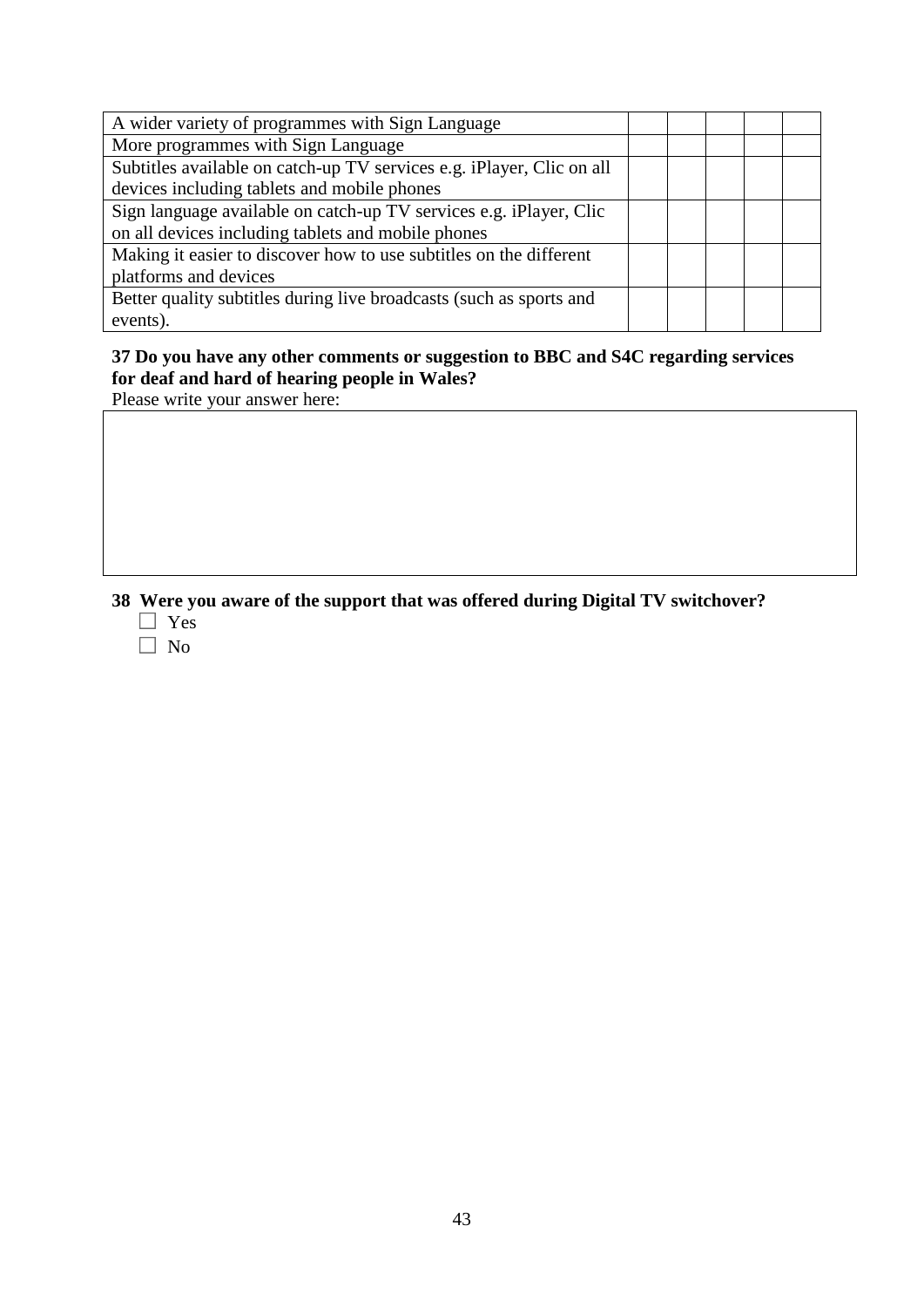| A wider variety of programmes with Sign Language                      |  |  |  |
|-----------------------------------------------------------------------|--|--|--|
| More programmes with Sign Language                                    |  |  |  |
| Subtitles available on catch-up TV services e.g. iPlayer, Clic on all |  |  |  |
| devices including tablets and mobile phones                           |  |  |  |
| Sign language available on catch-up TV services e.g. iPlayer, Clic    |  |  |  |
| on all devices including tablets and mobile phones                    |  |  |  |
| Making it easier to discover how to use subtitles on the different    |  |  |  |
| platforms and devices                                                 |  |  |  |
| Better quality subtitles during live broadcasts (such as sports and   |  |  |  |
| events).                                                              |  |  |  |

## **37 Do you have any other comments or suggestion to BBC and S4C regarding services for deaf and hard of hearing people in Wales?**

Please write your answer here:

## **38 Were you aware of the support that was offered during Digital TV switchover?**

- Yes
- $\Box$  No